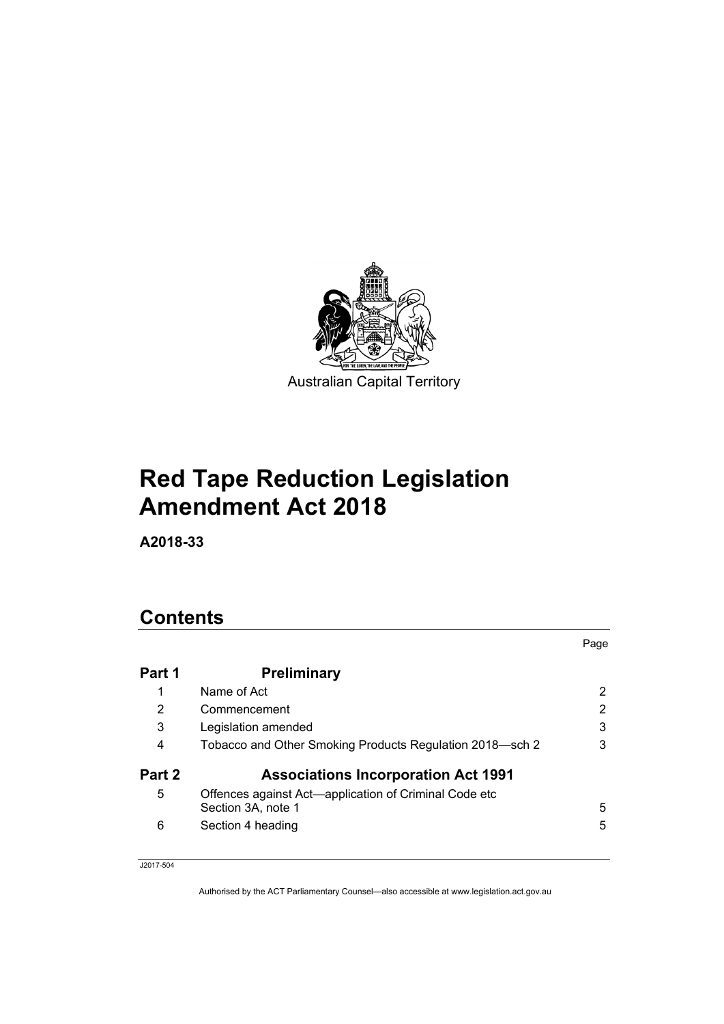

# **Red Tape Reduction Legislation Amendment Act 2018**

**A2018-33**

# **Contents**

|        |                                                                             | Page |
|--------|-----------------------------------------------------------------------------|------|
| Part 1 | <b>Preliminary</b>                                                          |      |
|        | Name of Act                                                                 | 2    |
| 2      | Commencement                                                                | 2    |
| 3      | Legislation amended                                                         | 3    |
| 4      | Tobacco and Other Smoking Products Regulation 2018—sch 2                    | 3    |
| Part 2 | <b>Associations Incorporation Act 1991</b>                                  |      |
| 5      | Offences against Act-application of Criminal Code etc<br>Section 3A, note 1 | 5    |
| 6      | Section 4 heading                                                           | 5    |

J2017-504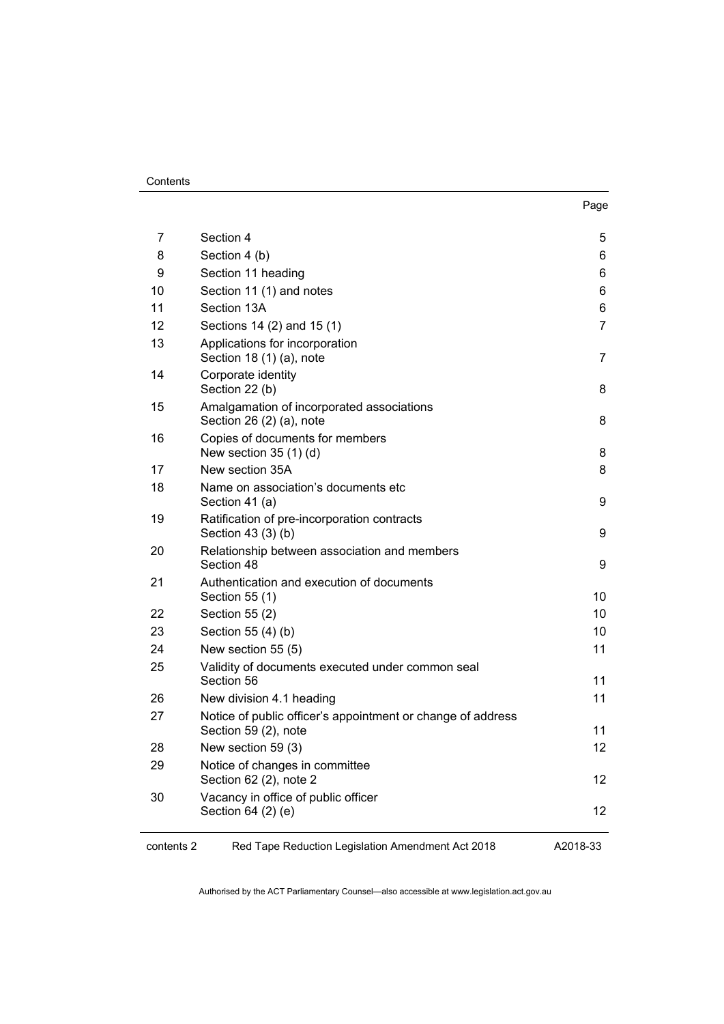#### **Contents**

| <br>۰.<br>×<br>× |
|------------------|
|------------------|

| 7  | Section 4                                                                           | 5              |
|----|-------------------------------------------------------------------------------------|----------------|
| 8  | Section 4 (b)                                                                       | 6              |
| 9  | Section 11 heading                                                                  | 6              |
| 10 | Section 11 (1) and notes                                                            | 6              |
| 11 | Section 13A                                                                         | 6              |
| 12 | Sections 14 (2) and 15 (1)                                                          | $\overline{7}$ |
| 13 | Applications for incorporation<br>Section 18 (1) (a), note                          | $\overline{7}$ |
| 14 | Corporate identity<br>Section 22 (b)                                                | 8              |
| 15 | Amalgamation of incorporated associations<br>Section 26 (2) (a), note               | 8              |
| 16 | Copies of documents for members<br>New section 35 (1) (d)                           | 8              |
| 17 | New section 35A                                                                     | 8              |
| 18 | Name on association's documents etc<br>Section 41 (a)                               | 9              |
| 19 | Ratification of pre-incorporation contracts<br>Section 43 (3) (b)                   | 9              |
| 20 | Relationship between association and members<br>Section 48                          | 9              |
| 21 | Authentication and execution of documents<br>Section 55 (1)                         | 10             |
| 22 | Section 55 (2)                                                                      | 10             |
| 23 | Section 55 (4) (b)                                                                  | 10             |
| 24 | New section 55 (5)                                                                  | 11             |
| 25 | Validity of documents executed under common seal<br>Section 56                      | 11             |
| 26 | New division 4.1 heading                                                            | 11             |
| 27 | Notice of public officer's appointment or change of address<br>Section 59 (2), note | 11             |
| 28 | New section 59 (3)                                                                  | 12             |
| 29 | Notice of changes in committee<br>Section 62 (2), note 2                            | 12             |
| 30 | Vacancy in office of public officer<br>Section 64 (2) (e)                           | 12             |

contents 2 Red Tape Reduction Legislation Amendment Act 2018

A2018-33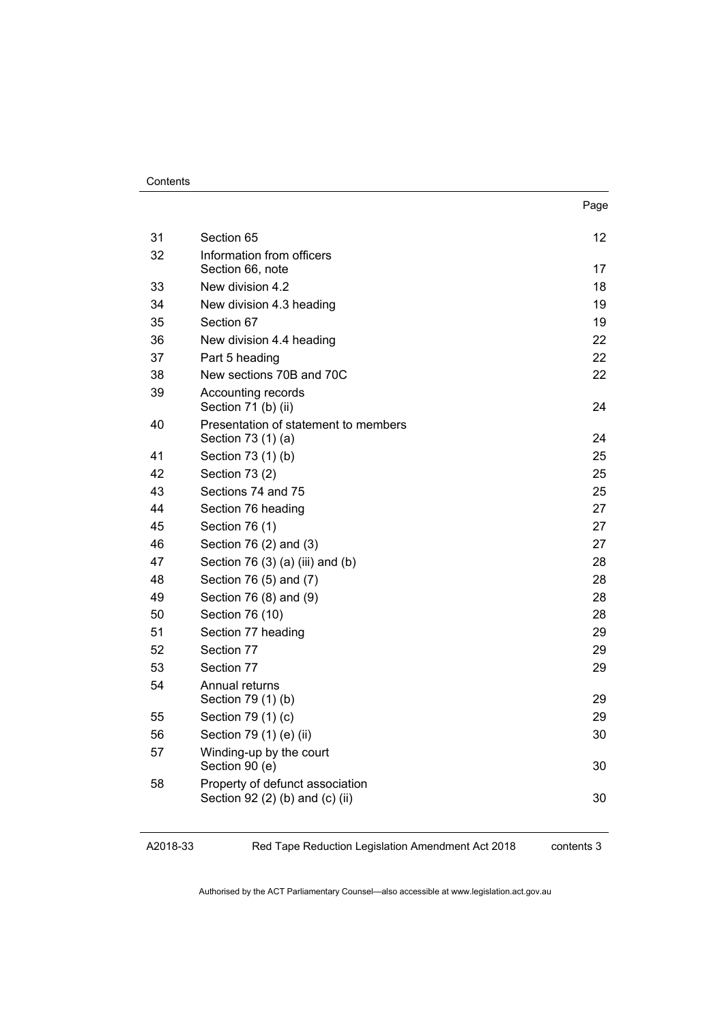#### **Contents**

|    |                                                                    | Page |
|----|--------------------------------------------------------------------|------|
| 31 | Section 65                                                         | 12   |
| 32 | Information from officers                                          |      |
|    | Section 66, note                                                   | 17   |
| 33 | New division 4.2                                                   | 18   |
| 34 | New division 4.3 heading                                           | 19   |
| 35 | Section 67                                                         | 19   |
| 36 | New division 4.4 heading                                           | 22   |
| 37 | Part 5 heading                                                     | 22   |
| 38 | New sections 70B and 70C                                           | 22   |
| 39 | Accounting records<br>Section 71 (b) (ii)                          | 24   |
| 40 | Presentation of statement to members                               |      |
|    | Section 73 (1) (a)                                                 | 24   |
| 41 | Section 73 (1) (b)                                                 | 25   |
| 42 | Section 73 (2)                                                     | 25   |
| 43 | Sections 74 and 75                                                 | 25   |
| 44 | Section 76 heading                                                 | 27   |
| 45 | Section 76 (1)                                                     | 27   |
| 46 | Section 76 (2) and (3)                                             | 27   |
| 47 | Section 76 (3) (a) (iii) and (b)                                   | 28   |
| 48 | Section 76 (5) and (7)                                             | 28   |
| 49 | Section 76 (8) and (9)                                             | 28   |
| 50 | Section 76 (10)                                                    | 28   |
| 51 | Section 77 heading                                                 | 29   |
| 52 | Section 77                                                         | 29   |
| 53 | Section 77                                                         | 29   |
| 54 | Annual returns<br>Section 79 (1) (b)                               | 29   |
| 55 | Section 79 (1) (c)                                                 | 29   |
| 56 | Section 79 (1) (e) (ii)                                            | 30   |
| 57 | Winding-up by the court<br>Section 90 (e)                          | 30   |
| 58 | Property of defunct association<br>Section 92 (2) (b) and (c) (ii) | 30   |
|    |                                                                    |      |

A2018-33

Red Tape Reduction Legislation Amendment Act 2018

contents 3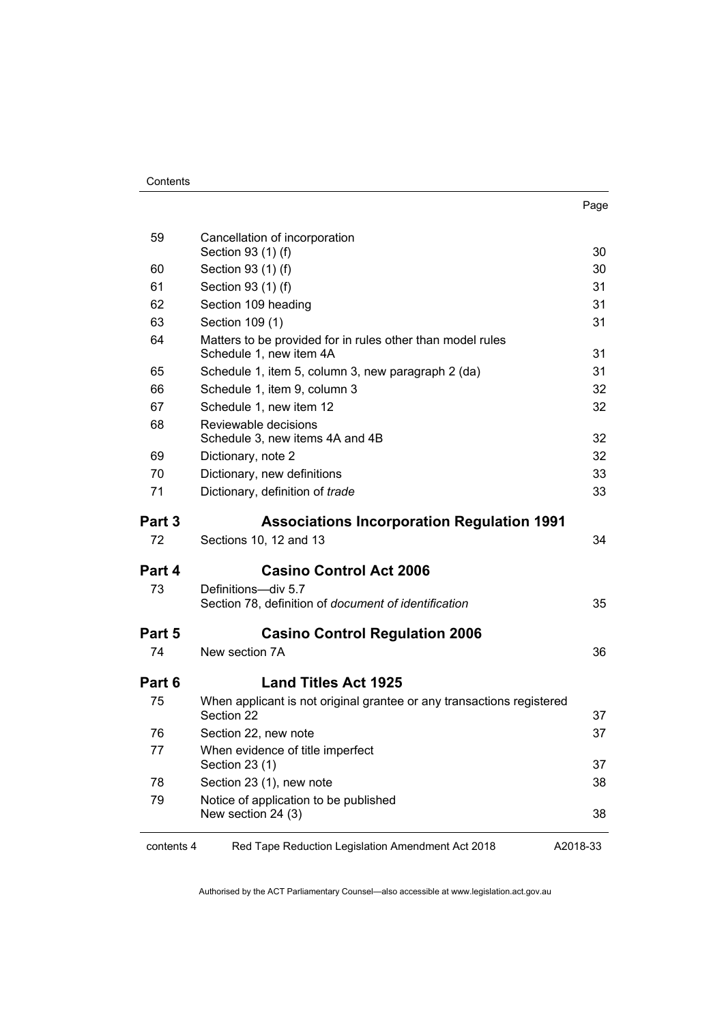| 59         | Cancellation of incorporation<br>Section 93 (1) (f)                                   | 30       |
|------------|---------------------------------------------------------------------------------------|----------|
| 60         | Section 93 (1) (f)                                                                    | 30       |
| 61         | Section 93 (1) (f)                                                                    | 31       |
| 62         | Section 109 heading                                                                   | 31       |
| 63         | Section 109 (1)                                                                       | 31       |
| 64         | Matters to be provided for in rules other than model rules<br>Schedule 1, new item 4A | 31       |
| 65         | Schedule 1, item 5, column 3, new paragraph 2 (da)                                    | 31       |
| 66         | Schedule 1, item 9, column 3                                                          | 32       |
| 67         | Schedule 1, new item 12                                                               | 32       |
| 68         | Reviewable decisions<br>Schedule 3, new items 4A and 4B                               | 32       |
| 69         | Dictionary, note 2                                                                    | 32       |
| 70         | Dictionary, new definitions                                                           | 33       |
| 71         | Dictionary, definition of trade                                                       | 33       |
| Part 3     | <b>Associations Incorporation Regulation 1991</b>                                     |          |
| 72         | Sections 10, 12 and 13                                                                | 34       |
| Part 4     | <b>Casino Control Act 2006</b>                                                        |          |
| 73         | Definitions-div 5.7<br>Section 78, definition of document of identification           | 35       |
| Part 5     | <b>Casino Control Regulation 2006</b>                                                 |          |
| 74         | New section 7A                                                                        | 36       |
| Part 6     | <b>Land Titles Act 1925</b>                                                           |          |
| 75         | When applicant is not original grantee or any transactions registered<br>Section 22   | 37       |
| 76         | Section 22, new note                                                                  | 37       |
| 77         | When evidence of title imperfect<br>Section 23 (1)                                    | 37       |
| 78         | Section 23 (1), new note                                                              | 38       |
| 79         | Notice of application to be published                                                 | 38       |
|            | New section 24 (3)                                                                    |          |
| contents 4 | Red Tape Reduction Legislation Amendment Act 2018                                     | A2018-33 |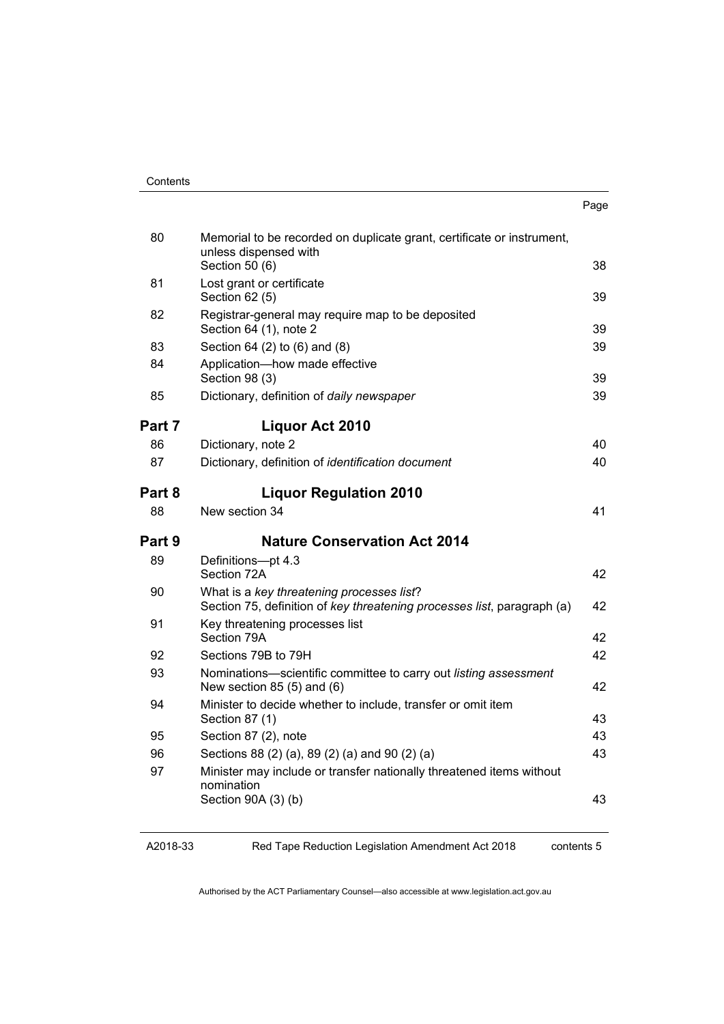| Contents |
|----------|
|----------|

| . .<br>×<br>×<br>۰. |
|---------------------|
|---------------------|

| 80     | Memorial to be recorded on duplicate grant, certificate or instrument,<br>unless dispensed with                                                             |          |
|--------|-------------------------------------------------------------------------------------------------------------------------------------------------------------|----------|
|        | Section 50 (6)                                                                                                                                              | 38       |
| 81     | Lost grant or certificate<br>Section 62 (5)                                                                                                                 | 39       |
| 82     | Registrar-general may require map to be deposited<br>Section 64 (1), note 2                                                                                 | 39       |
| 83     | Section 64 (2) to (6) and (8)                                                                                                                               | 39       |
| 84     | Application-how made effective<br>Section 98 (3)                                                                                                            | 39       |
| 85     | Dictionary, definition of daily newspaper                                                                                                                   | 39       |
| Part 7 | <b>Liquor Act 2010</b>                                                                                                                                      |          |
| 86     | Dictionary, note 2                                                                                                                                          | 40       |
| 87     | Dictionary, definition of identification document                                                                                                           | 40       |
| Part 8 | <b>Liquor Regulation 2010</b>                                                                                                                               |          |
| 88     | New section 34                                                                                                                                              | 41       |
|        |                                                                                                                                                             |          |
| Part 9 | <b>Nature Conservation Act 2014</b>                                                                                                                         |          |
| 89     | Definitions-pt 4.3<br>Section 72A                                                                                                                           | 42       |
| 90     | What is a key threatening processes list?<br>Section 75, definition of key threatening processes list, paragraph (a)                                        | 42       |
| 91     | Key threatening processes list<br>Section 79A                                                                                                               | 42       |
| 92     | Sections 79B to 79H                                                                                                                                         | 42       |
| 93     | Nominations-scientific committee to carry out listing assessment<br>New section $85(5)$ and $(6)$                                                           | 42       |
| 94     | Minister to decide whether to include, transfer or omit item<br>Section 87 (1)                                                                              |          |
| 95     | Section 87 (2), note                                                                                                                                        | 43<br>43 |
| 96     |                                                                                                                                                             | 43       |
| 97     | Sections 88 (2) (a), 89 (2) (a) and 90 (2) (a)<br>Minister may include or transfer nationally threatened items without<br>nomination<br>Section 90A (3) (b) | 43       |

A2018-33

Red Tape Reduction Legislation Amendment Act 2018

contents 5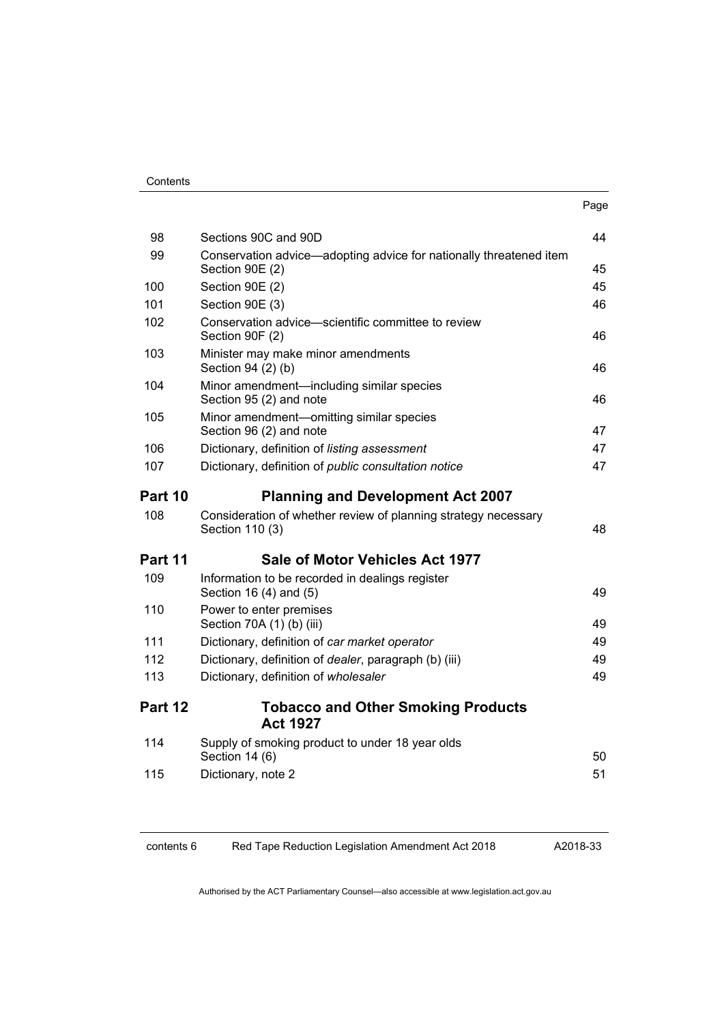|         |                                                                                   | Page |
|---------|-----------------------------------------------------------------------------------|------|
| 98      | Sections 90C and 90D                                                              | 44   |
| 99      | Conservation advice-adopting advice for nationally threatened item                |      |
|         | Section 90E (2)                                                                   | 45   |
| 100     | Section 90E (2)                                                                   | 45   |
| 101     | Section 90E (3)                                                                   | 46   |
| 102     | Conservation advice-scientific committee to review<br>Section 90F (2)             | 46   |
| 103     | Minister may make minor amendments<br>Section 94 (2) (b)                          | 46   |
| 104     | Minor amendment—including similar species<br>Section 95 (2) and note              | 46   |
| 105     | Minor amendment-omitting similar species<br>Section 96 (2) and note               | 47   |
| 106     | Dictionary, definition of listing assessment                                      | 47   |
| 107     | Dictionary, definition of public consultation notice                              | 47   |
| Part 10 | <b>Planning and Development Act 2007</b>                                          |      |
| 108     | Consideration of whether review of planning strategy necessary<br>Section 110 (3) | 48   |
| Part 11 | Sale of Motor Vehicles Act 1977                                                   |      |
| 109     | Information to be recorded in dealings register<br>Section 16 (4) and (5)         | 49   |
| 110     | Power to enter premises<br>Section 70A (1) (b) (iii)                              | 49   |
| 111     | Dictionary, definition of car market operator                                     | 49   |
| 112     | Dictionary, definition of dealer, paragraph (b) (iii)                             | 49   |
| 113     | Dictionary, definition of wholesaler                                              | 49   |
| Part 12 | <b>Tobacco and Other Smoking Products</b><br><b>Act 1927</b>                      |      |
| 114     | Supply of smoking product to under 18 year olds<br>Section 14 (6)                 | 50   |
| 115     | Dictionary, note 2                                                                | 51   |
|         |                                                                                   |      |

contents 6 Red Tape Reduction Legislation Amendment Act 2018

A2018-33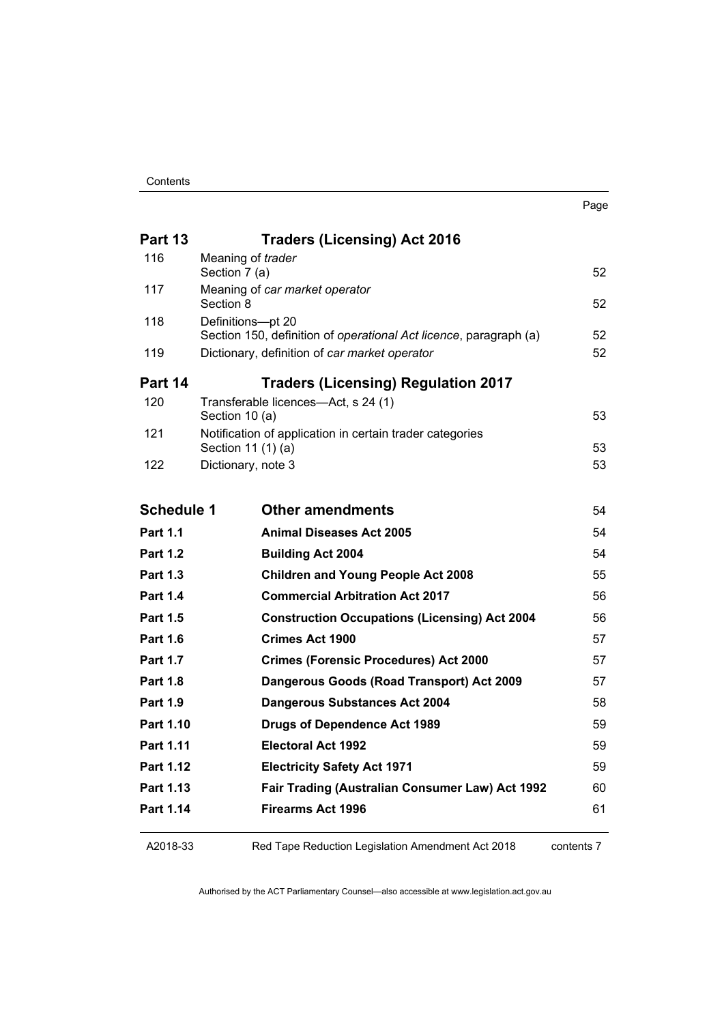|                   |                                                                                        | Page |
|-------------------|----------------------------------------------------------------------------------------|------|
| Part 13           | <b>Traders (Licensing) Act 2016</b>                                                    |      |
| 116               | Meaning of trader<br>Section 7 (a)                                                     | 52   |
| 117               | Meaning of car market operator                                                         |      |
|                   | Section 8                                                                              | 52   |
| 118               | Definitions-pt 20<br>Section 150, definition of operational Act licence, paragraph (a) | 52   |
| 119               | Dictionary, definition of car market operator                                          | 52   |
|                   |                                                                                        |      |
| Part 14           | <b>Traders (Licensing) Regulation 2017</b>                                             |      |
| 120               | Transferable licences-Act, s 24 (1)<br>Section 10 (a)                                  | 53   |
| 121               | Notification of application in certain trader categories                               |      |
|                   | Section 11 (1) (a)                                                                     | 53   |
| 122               | Dictionary, note 3                                                                     | 53   |
| <b>Schedule 1</b> | <b>Other amendments</b>                                                                | 54   |
| <b>Part 1.1</b>   | <b>Animal Diseases Act 2005</b>                                                        | 54   |
| <b>Part 1.2</b>   | <b>Building Act 2004</b>                                                               | 54   |
| <b>Part 1.3</b>   | <b>Children and Young People Act 2008</b>                                              | 55   |
| <b>Part 1.4</b>   | <b>Commercial Arbitration Act 2017</b>                                                 | 56   |
| <b>Part 1.5</b>   | <b>Construction Occupations (Licensing) Act 2004</b>                                   | 56   |
| <b>Part 1.6</b>   | <b>Crimes Act 1900</b>                                                                 | 57   |
| <b>Part 1.7</b>   | <b>Crimes (Forensic Procedures) Act 2000</b>                                           | 57   |
| <b>Part 1.8</b>   | Dangerous Goods (Road Transport) Act 2009                                              | 57   |
| <b>Part 1.9</b>   | <b>Dangerous Substances Act 2004</b>                                                   | 58   |
| Part 1.10         | <b>Drugs of Dependence Act 1989</b>                                                    | 59   |
| Part 1.11         | <b>Electoral Act 1992</b>                                                              | 59   |
| Part 1.12         | <b>Electricity Safety Act 1971</b>                                                     | 59   |
| Part 1.13         | Fair Trading (Australian Consumer Law) Act 1992                                        | 60   |
| Part 1.14         | <b>Firearms Act 1996</b>                                                               | 61   |
|                   |                                                                                        |      |

A2018-33

Red Tape Reduction Legislation Amendment Act 2018

contents 7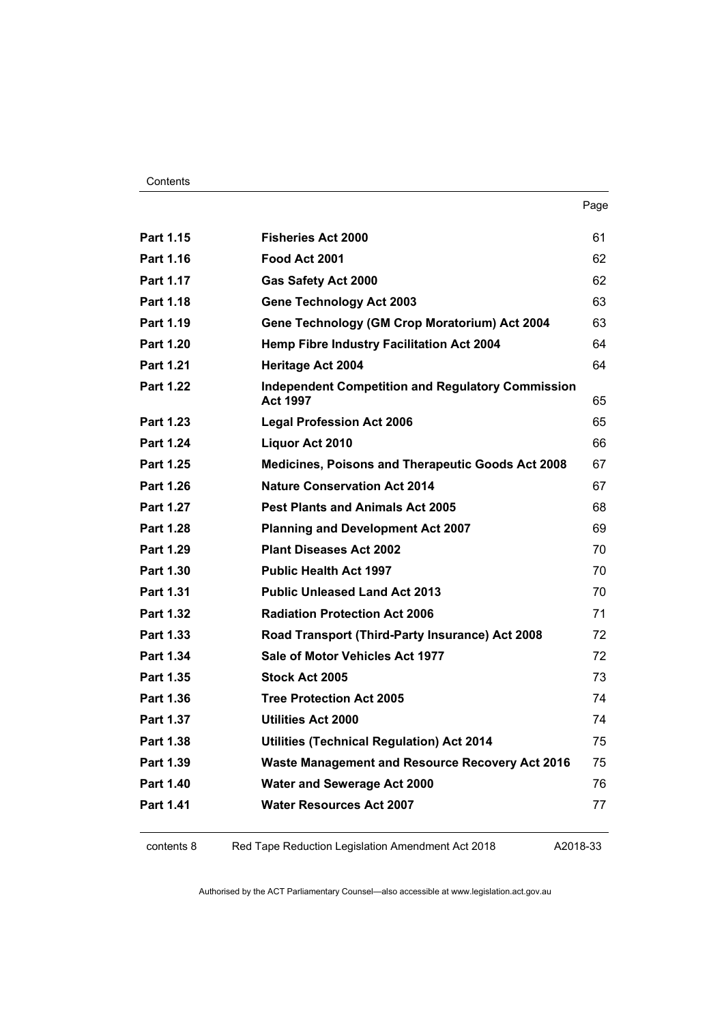| <br>× |
|-------|
|-------|

| Part 1.15        | <b>Fisheries Act 2000</b>                                                   | 61 |
|------------------|-----------------------------------------------------------------------------|----|
| Part 1.16        | Food Act 2001                                                               | 62 |
| Part 1.17        | <b>Gas Safety Act 2000</b>                                                  | 62 |
| <b>Part 1.18</b> | <b>Gene Technology Act 2003</b>                                             | 63 |
| <b>Part 1.19</b> | Gene Technology (GM Crop Moratorium) Act 2004                               | 63 |
| <b>Part 1.20</b> | Hemp Fibre Industry Facilitation Act 2004                                   | 64 |
| Part 1.21        | <b>Heritage Act 2004</b>                                                    | 64 |
| <b>Part 1.22</b> | <b>Independent Competition and Regulatory Commission</b><br><b>Act 1997</b> | 65 |
| Part 1.23        | <b>Legal Profession Act 2006</b>                                            | 65 |
| Part 1.24        | Liquor Act 2010                                                             | 66 |
| <b>Part 1.25</b> | Medicines, Poisons and Therapeutic Goods Act 2008                           | 67 |
| Part 1.26        | <b>Nature Conservation Act 2014</b>                                         | 67 |
| Part 1.27        | <b>Pest Plants and Animals Act 2005</b>                                     | 68 |
| <b>Part 1.28</b> | <b>Planning and Development Act 2007</b>                                    | 69 |
| Part 1.29        | <b>Plant Diseases Act 2002</b>                                              | 70 |
| Part 1.30        | <b>Public Health Act 1997</b>                                               | 70 |
| Part 1.31        | <b>Public Unleased Land Act 2013</b>                                        | 70 |
| Part 1.32        | <b>Radiation Protection Act 2006</b>                                        | 71 |
| Part 1.33        | Road Transport (Third-Party Insurance) Act 2008                             | 72 |
| Part 1.34        | Sale of Motor Vehicles Act 1977                                             | 72 |
| Part 1.35        | Stock Act 2005                                                              | 73 |
| Part 1.36        | <b>Tree Protection Act 2005</b>                                             | 74 |
| Part 1.37        | <b>Utilities Act 2000</b>                                                   | 74 |
| Part 1.38        | <b>Utilities (Technical Regulation) Act 2014</b>                            | 75 |
| Part 1.39        | <b>Waste Management and Resource Recovery Act 2016</b>                      | 75 |
| <b>Part 1.40</b> | <b>Water and Sewerage Act 2000</b>                                          | 76 |
| Part 1.41        | <b>Water Resources Act 2007</b>                                             | 77 |
|                  |                                                                             |    |

contents 8 Red Tape Reduction Legislation Amendment Act 2018

A2018-33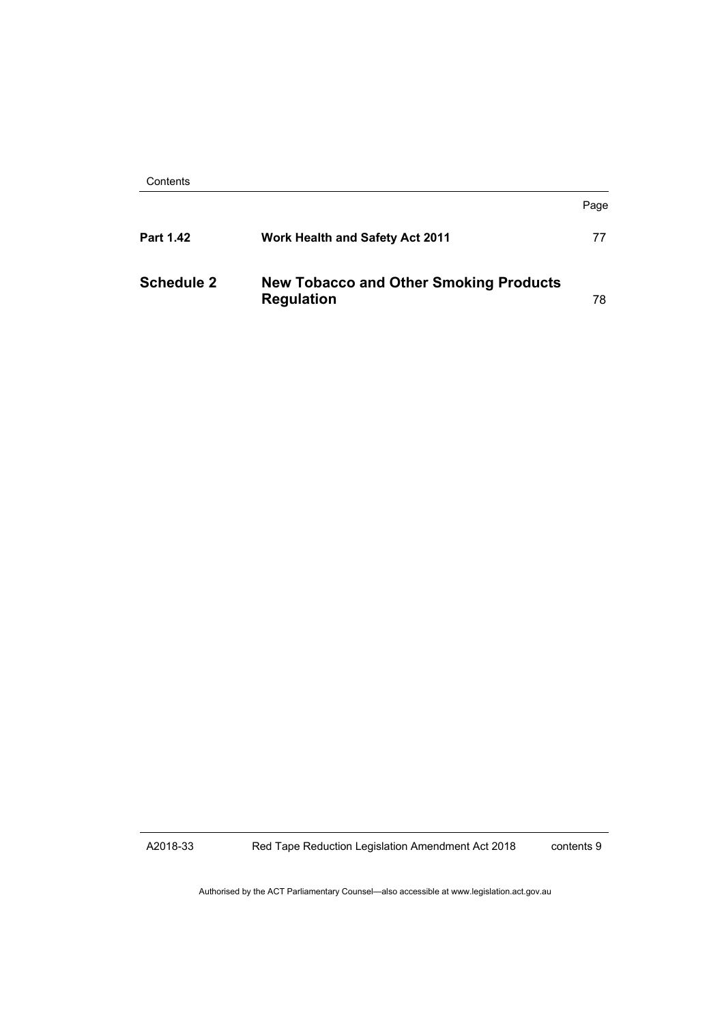| Contents |
|----------|
|----------|

|                   |                                                                    | Page |
|-------------------|--------------------------------------------------------------------|------|
| Part 1.42         | <b>Work Health and Safety Act 2011</b>                             | 77   |
| <b>Schedule 2</b> | <b>New Tobacco and Other Smoking Products</b><br><b>Regulation</b> | 78   |

A2018-33

Red Tape Reduction Legislation Amendment Act 2018

contents 9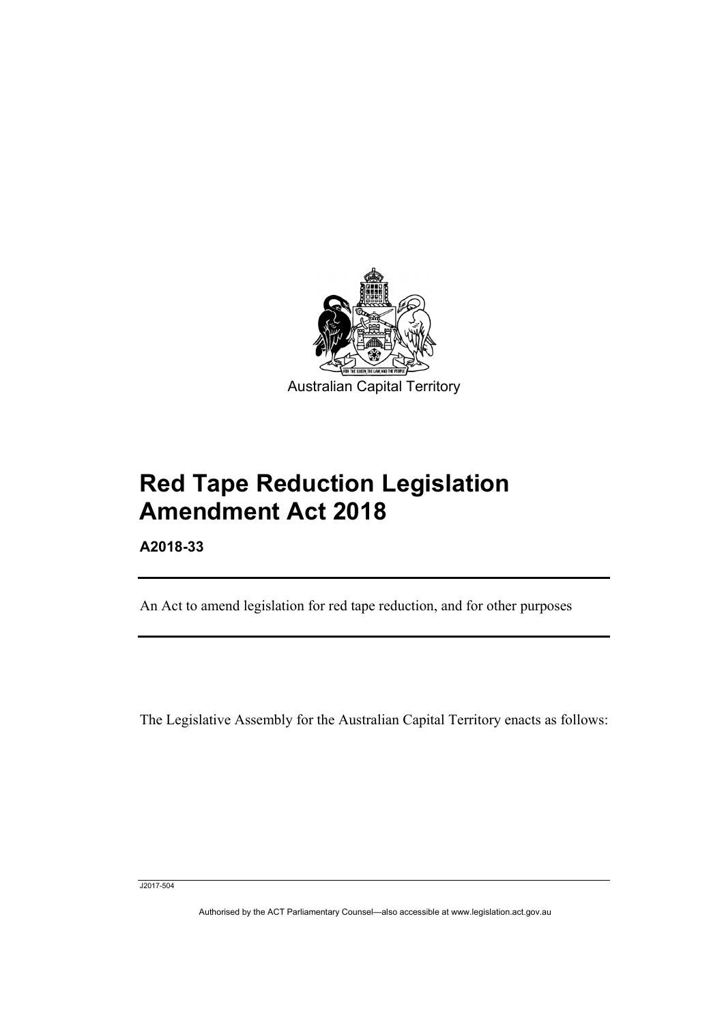

# **Red Tape Reduction Legislation Amendment Act 2018**

**A2018-33**

I

An Act to amend legislation for red tape reduction, and for other purposes

The Legislative Assembly for the Australian Capital Territory enacts as follows:

J2017-504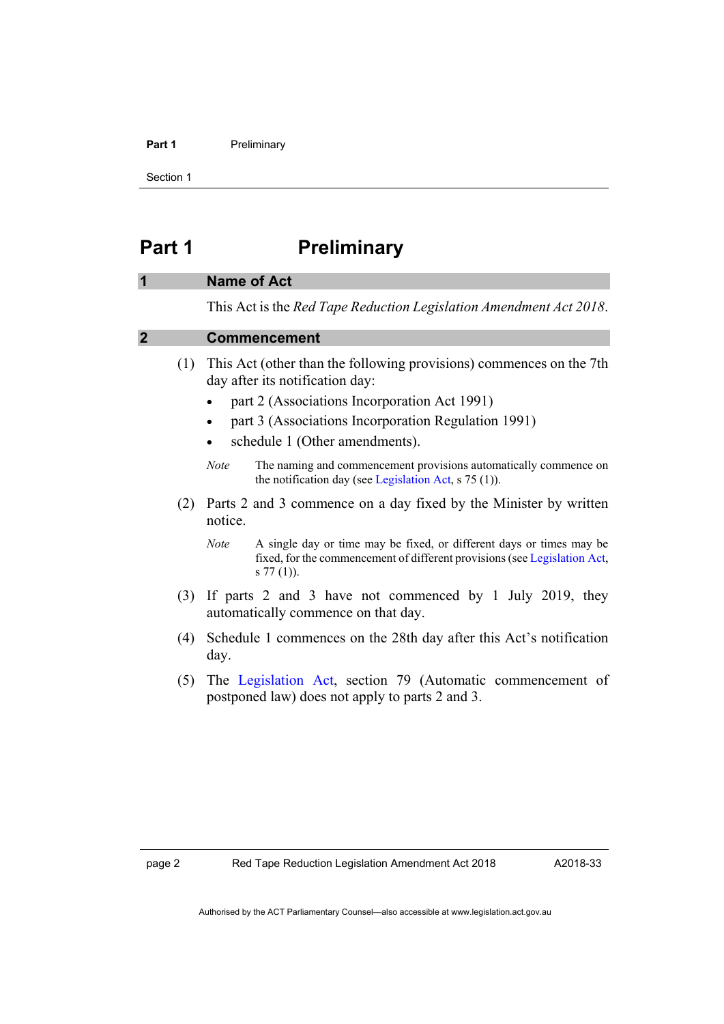#### Part 1 **Preliminary**

Section 1

# <span id="page-11-0"></span>**Part 1 Preliminary**

### <span id="page-11-1"></span>**1 Name of Act**

This Act is the *Red Tape Reduction Legislation Amendment Act 2018*.

# <span id="page-11-2"></span>**2 Commencement**

- (1) This Act (other than the following provisions) commences on the 7th day after its notification day:
	- part 2 (Associations Incorporation Act 1991)
	- part 3 (Associations Incorporation Regulation 1991)
	- schedule 1 (Other amendments).
	- *Note* The naming and commencement provisions automatically commence on the notification day (see [Legislation Act,](http://www.legislation.act.gov.au/a/2001-14) s 75 (1)).
- (2) Parts 2 and 3 commence on a day fixed by the Minister by written notice.
	- *Note* A single day or time may be fixed, or different days or times may be fixed, for the commencement of different provisions (see [Legislation](http://www.legislation.act.gov.au/a/2001-14) Act, s 77 (1)).
- (3) If parts 2 and 3 have not commenced by 1 July 2019, they automatically commence on that day.
- (4) Schedule 1 commences on the 28th day after this Act's notification day.
- (5) The [Legislation Act,](http://www.legislation.act.gov.au/a/2001-14) section 79 (Automatic commencement of postponed law) does not apply to parts 2 and 3.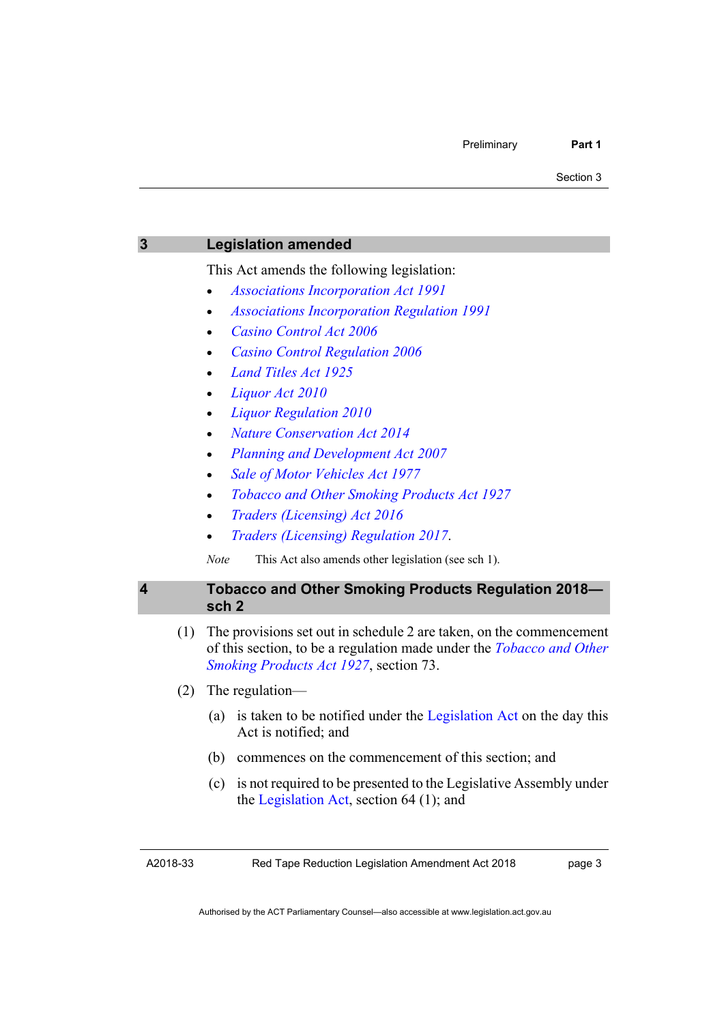<span id="page-12-0"></span>

| 3 |     | <b>Legislation amended</b>                                                                                                                                                                   |  |
|---|-----|----------------------------------------------------------------------------------------------------------------------------------------------------------------------------------------------|--|
|   |     | This Act amends the following legislation:                                                                                                                                                   |  |
|   |     | <b>Associations Incorporation Act 1991</b>                                                                                                                                                   |  |
|   |     | <b>Associations Incorporation Regulation 1991</b>                                                                                                                                            |  |
|   |     | <b>Casino Control Act 2006</b>                                                                                                                                                               |  |
|   |     | <b>Casino Control Regulation 2006</b>                                                                                                                                                        |  |
|   |     | <b>Land Titles Act 1925</b>                                                                                                                                                                  |  |
|   |     | Liquor Act 2010                                                                                                                                                                              |  |
|   |     | <b>Liquor Regulation 2010</b>                                                                                                                                                                |  |
|   |     | <b>Nature Conservation Act 2014</b>                                                                                                                                                          |  |
|   |     | Planning and Development Act 2007                                                                                                                                                            |  |
|   |     | Sale of Motor Vehicles Act 1977                                                                                                                                                              |  |
|   |     | <b>Tobacco and Other Smoking Products Act 1927</b>                                                                                                                                           |  |
|   |     | Traders (Licensing) Act 2016                                                                                                                                                                 |  |
|   |     | Traders (Licensing) Regulation 2017.                                                                                                                                                         |  |
|   |     | <b>Note</b><br>This Act also amends other legislation (see sch 1).                                                                                                                           |  |
| 4 |     | <b>Tobacco and Other Smoking Products Regulation 2018-</b><br>sch <sub>2</sub>                                                                                                               |  |
|   | (1) | The provisions set out in schedule 2 are taken, on the commencement<br>of this section, to be a regulation made under the <i>Tobacco and Other</i><br>Smoking Products Act 1927, section 73. |  |
|   | (2) | The regulation—                                                                                                                                                                              |  |
|   |     | is taken to be notified under the Legislation Act on the day this<br>(a)<br>Act is notified; and                                                                                             |  |
|   |     | commences on the commencement of this section; and<br>(b)                                                                                                                                    |  |
|   |     | is not required to be presented to the Legislative Assembly under<br>(c)<br>the Legislation Act, section $64$ (1); and                                                                       |  |
|   |     |                                                                                                                                                                                              |  |

<span id="page-12-1"></span>A2018-33

Red Tape Reduction Legislation Amendment Act 2018

page 3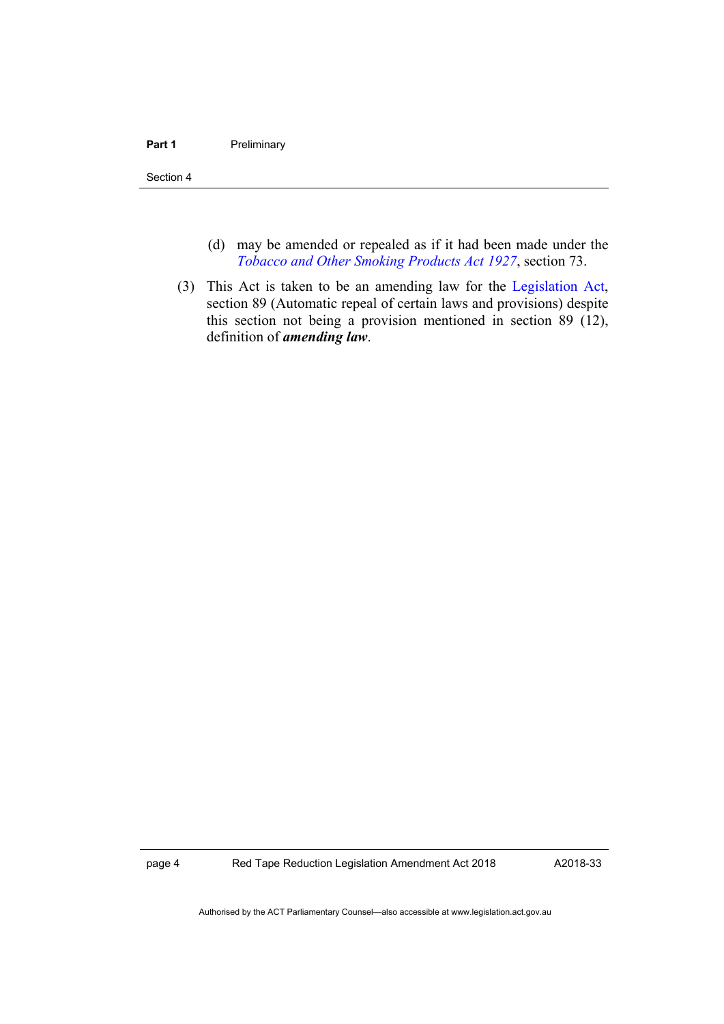#### Part 1 **Preliminary**

Section 4

- (d) may be amended or repealed as if it had been made under the *[Tobacco and Other Smoking Products Act 1927](https://www.legislation.act.gov.au/a/1927-14/)*, section 73.
- (3) This Act is taken to be an amending law for the [Legislation Act,](http://www.legislation.act.gov.au/a/2001-14) section 89 (Automatic repeal of certain laws and provisions) despite this section not being a provision mentioned in section 89 (12), definition of *amending law*.

page 4 Red Tape Reduction Legislation Amendment Act 2018

A2018-33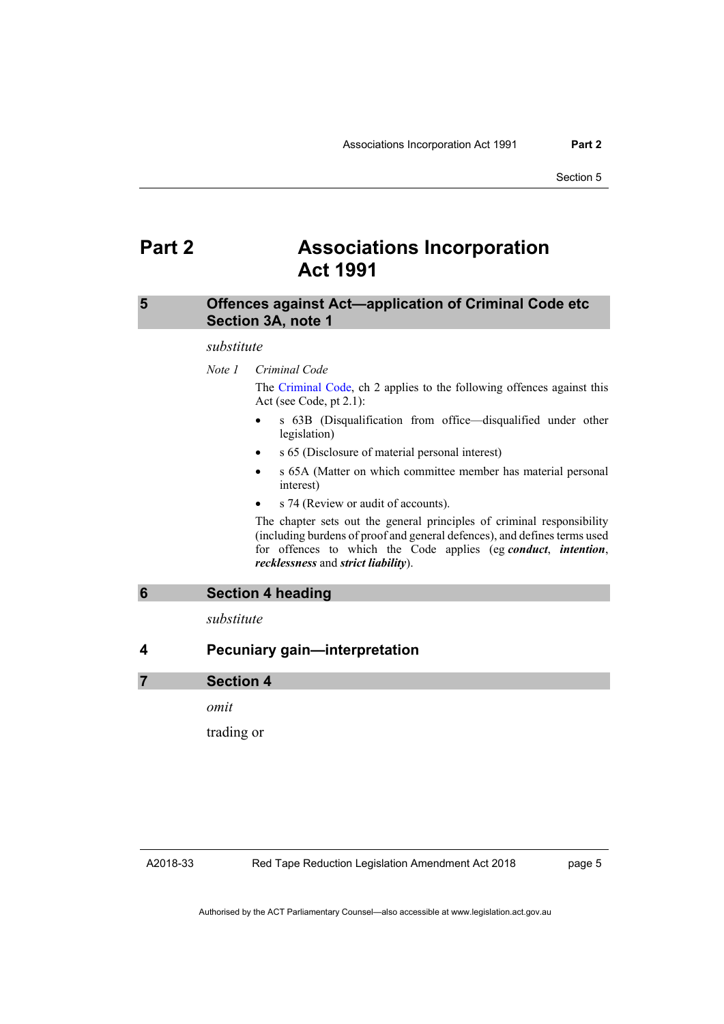# <span id="page-14-0"></span>**Part 2 Associations Incorporation Act 1991**

# <span id="page-14-1"></span>**5 Offences against Act—application of Criminal Code etc Section 3A, note 1**

#### *substitute*

*Note 1 Criminal Code* The [Criminal Code,](http://www.legislation.act.gov.au/a/2002-51) ch 2 applies to the following offences against this Act (see Code, pt 2.1):

- s 63B (Disqualification from office—disqualified under other legislation)
- s 65 (Disclosure of material personal interest)
- s 65A (Matter on which committee member has material personal interest)
- s 74 (Review or audit of accounts).

The chapter sets out the general principles of criminal responsibility (including burdens of proof and general defences), and defines terms used for offences to which the Code applies (eg *conduct*, *intention*, *recklessness* and *strict liability*).

<span id="page-14-2"></span>

*substitute*

<span id="page-14-3"></span>**4 Pecuniary gain—interpretation**

**7 Section 4**

*omit*

trading or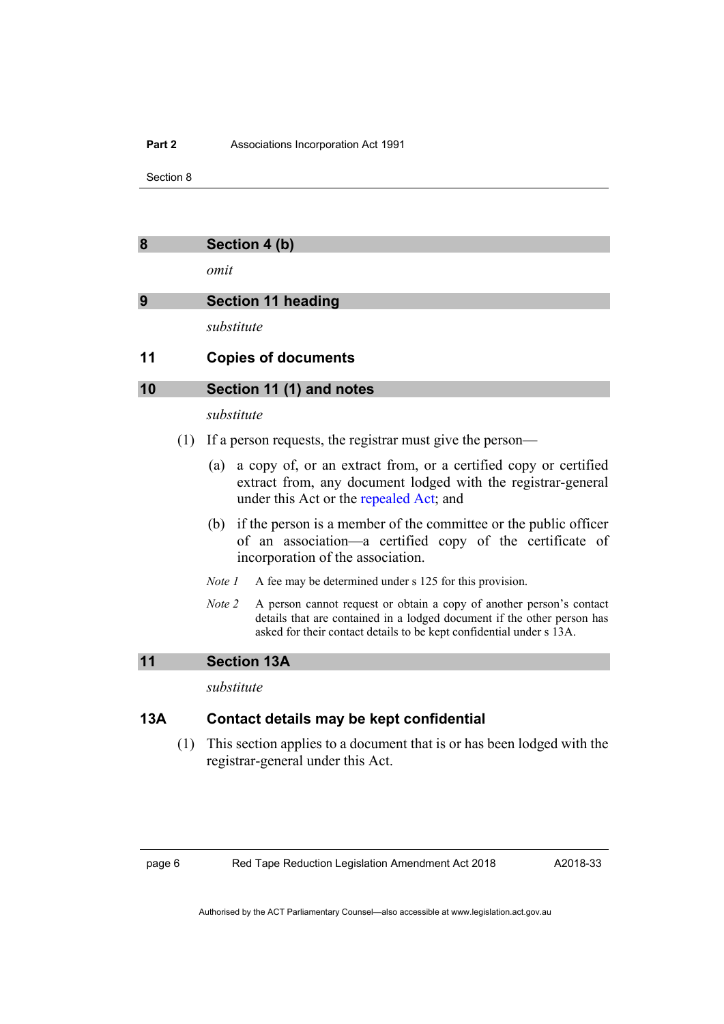#### **Part 2** Associations Incorporation Act 1991

Section 8

<span id="page-15-0"></span>

*omit*

# <span id="page-15-1"></span>**9 Section 11 heading**

*substitute*

# <span id="page-15-2"></span>**11 Copies of documents**

### **10 Section 11 (1) and notes**

# *substitute*

- (1) If a person requests, the registrar must give the person—
	- (a) a copy of, or an extract from, or a certified copy or certified extract from, any document lodged with the registrar-general under this Act or the [repealed Act;](http://www.legislation.act.gov.au/a/1953-15/default.asp) and
	- (b) if the person is a member of the committee or the public officer of an association—a certified copy of the certificate of incorporation of the association.
	- *Note 1* A fee may be determined under s 125 for this provision.
	- *Note 2* A person cannot request or obtain a copy of another person's contact details that are contained in a lodged document if the other person has asked for their contact details to be kept confidential under s 13A.

# <span id="page-15-3"></span>**11 Section 13A**

*substitute*

# **13A Contact details may be kept confidential**

(1) This section applies to a document that is or has been lodged with the registrar-general under this Act.

page 6 Red Tape Reduction Legislation Amendment Act 2018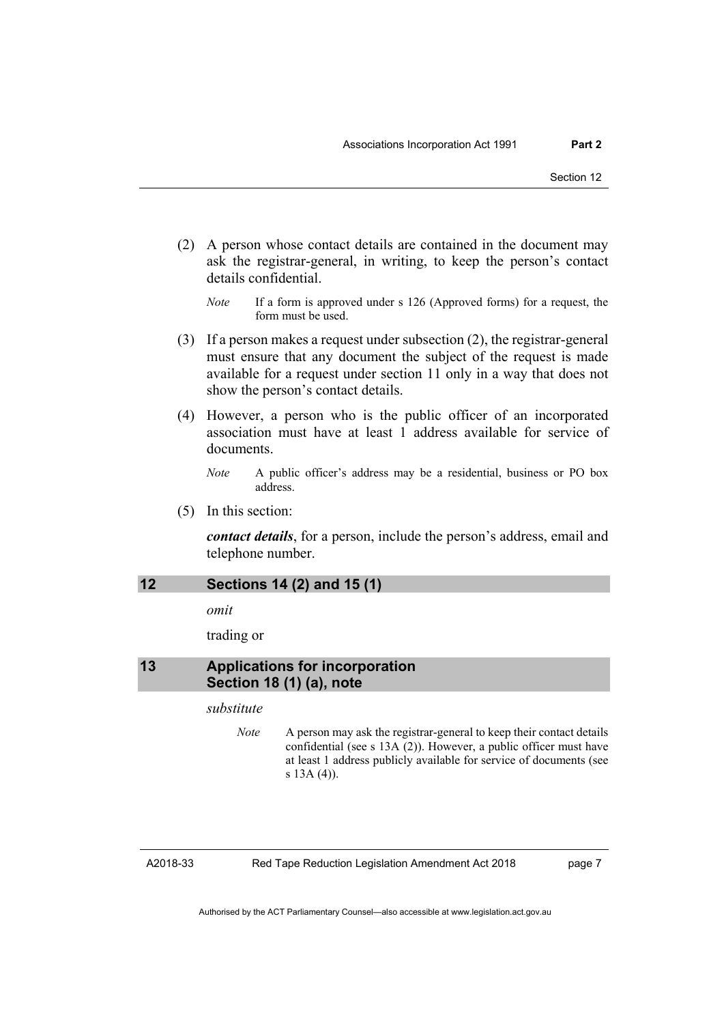- (2) A person whose contact details are contained in the document may ask the registrar-general, in writing, to keep the person's contact details confidential.
	- *Note* If a form is approved under s 126 (Approved forms) for a request, the form must be used.
- (3) If a person makes a request under subsection (2), the registrar-general must ensure that any document the subject of the request is made available for a request under section 11 only in a way that does not show the person's contact details.
- (4) However, a person who is the public officer of an incorporated association must have at least 1 address available for service of documents.

*Note* A public officer's address may be a residential, business or PO box address.

(5) In this section:

*contact details*, for a person, include the person's address, email and telephone number.

# <span id="page-16-0"></span>**12 Sections 14 (2) and 15 (1)**

*omit*

trading or

# <span id="page-16-1"></span>**13 Applications for incorporation Section 18 (1) (a), note**

# *substitute*

*Note* A person may ask the registrar-general to keep their contact details confidential (see s 13A (2)). However, a public officer must have at least 1 address publicly available for service of documents (see s 13A (4)).

A2018-33

Red Tape Reduction Legislation Amendment Act 2018

page 7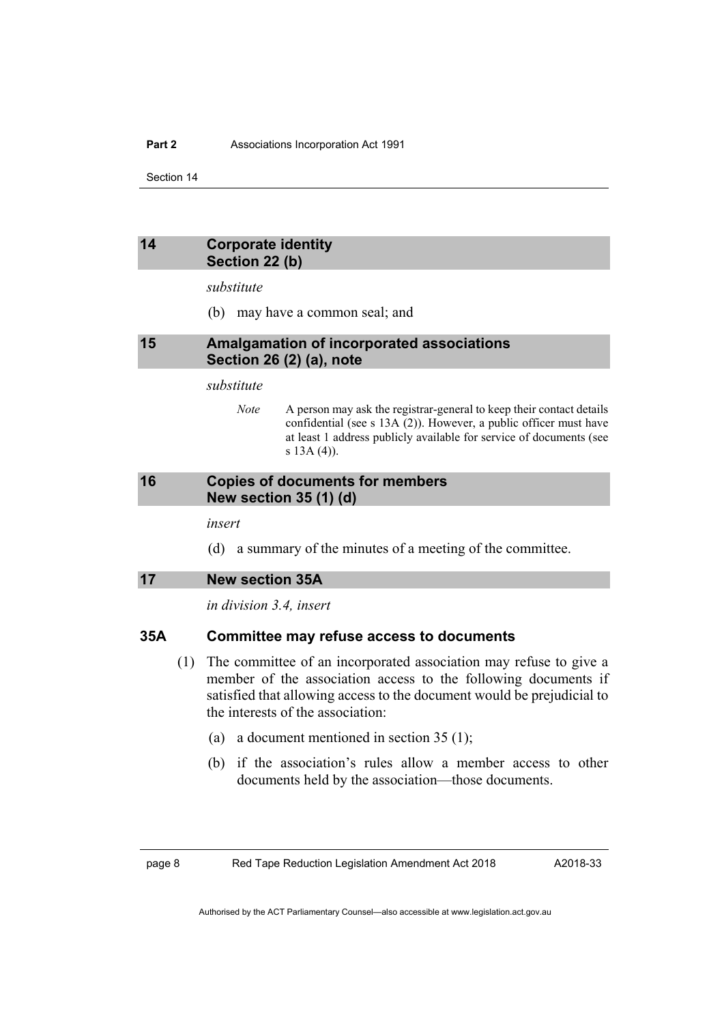# <span id="page-17-0"></span>**14 Corporate identity Section 22 (b)**

*substitute*

(b) may have a common seal; and

### <span id="page-17-1"></span>**15 Amalgamation of incorporated associations Section 26 (2) (a), note**

#### *substitute*

*Note* A person may ask the registrar-general to keep their contact details confidential (see s 13A (2)). However, a public officer must have at least 1 address publicly available for service of documents (see s 13A (4)).

# <span id="page-17-2"></span>**16 Copies of documents for members New section 35 (1) (d)**

*insert*

(d) a summary of the minutes of a meeting of the committee.

<span id="page-17-3"></span>

*in division 3.4, insert*

# **35A Committee may refuse access to documents**

- (1) The committee of an incorporated association may refuse to give a member of the association access to the following documents if satisfied that allowing access to the document would be prejudicial to the interests of the association:
	- (a) a document mentioned in section 35 (1);
	- (b) if the association's rules allow a member access to other documents held by the association—those documents.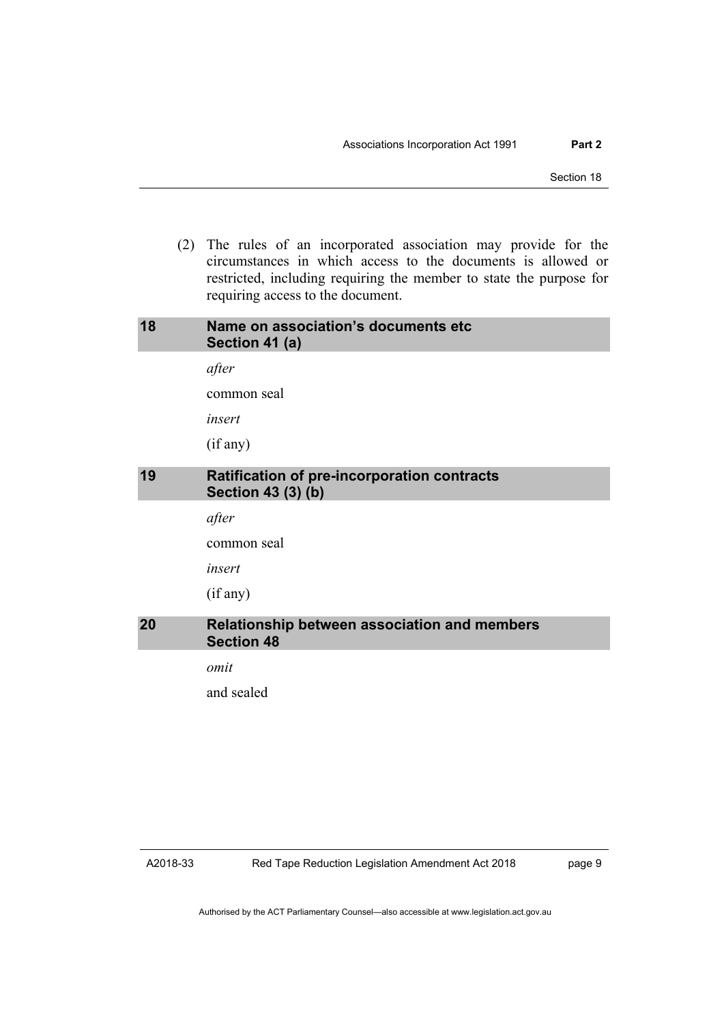(2) The rules of an incorporated association may provide for the circumstances in which access to the documents is allowed or restricted, including requiring the member to state the purpose for requiring access to the document.

<span id="page-18-2"></span><span id="page-18-1"></span><span id="page-18-0"></span>

| 18 | Name on association's documents etc<br>Section 41 (a)                    |
|----|--------------------------------------------------------------------------|
|    | after                                                                    |
|    | common seal                                                              |
|    | insert                                                                   |
|    | (if any)                                                                 |
| 19 | <b>Ratification of pre-incorporation contracts</b><br>Section 43 (3) (b) |
|    | after                                                                    |
|    | common seal                                                              |
|    | insert                                                                   |
|    | (if any)                                                                 |
| 20 | <b>Relationship between association and members</b><br><b>Section 48</b> |
|    | omit                                                                     |
|    | and sealed                                                               |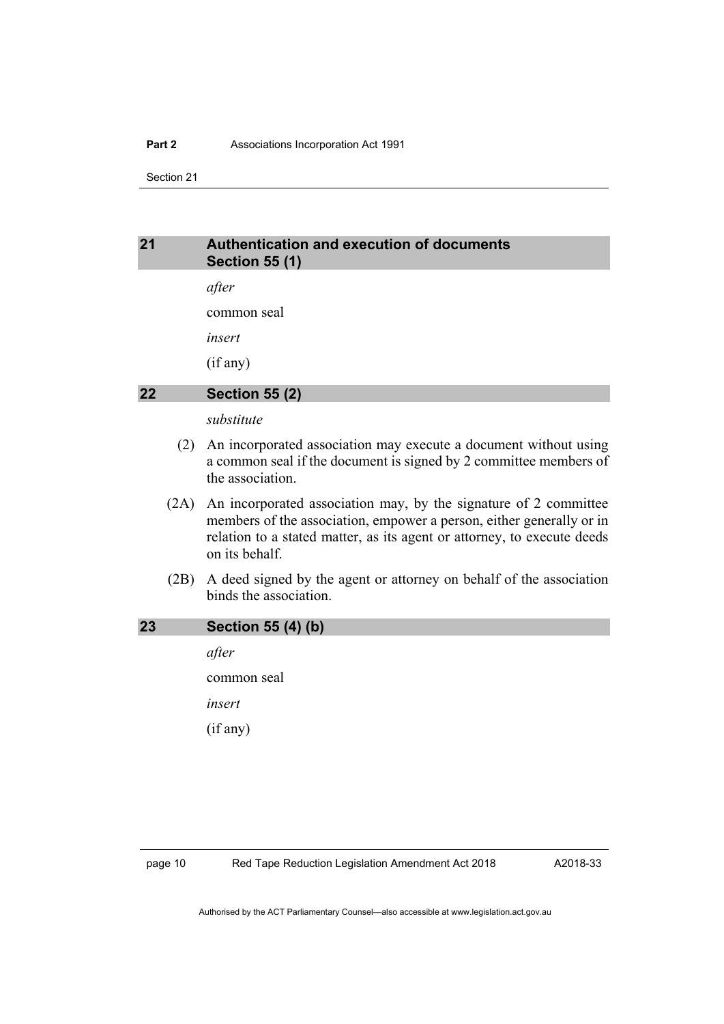#### **Part 2** Associations Incorporation Act 1991

Section 21

# <span id="page-19-0"></span>**21 Authentication and execution of documents Section 55 (1)**

*after*

common seal

*insert*

(if any)

# <span id="page-19-1"></span>**22 Section 55 (2)**

*substitute*

- (2) An incorporated association may execute a document without using a common seal if the document is signed by 2 committee members of the association.
- (2A) An incorporated association may, by the signature of 2 committee members of the association, empower a person, either generally or in relation to a stated matter, as its agent or attorney, to execute deeds on its behalf.
- (2B) A deed signed by the agent or attorney on behalf of the association binds the association.

# <span id="page-19-2"></span>**23 Section 55 (4) (b)**

*after* common seal *insert* (if any)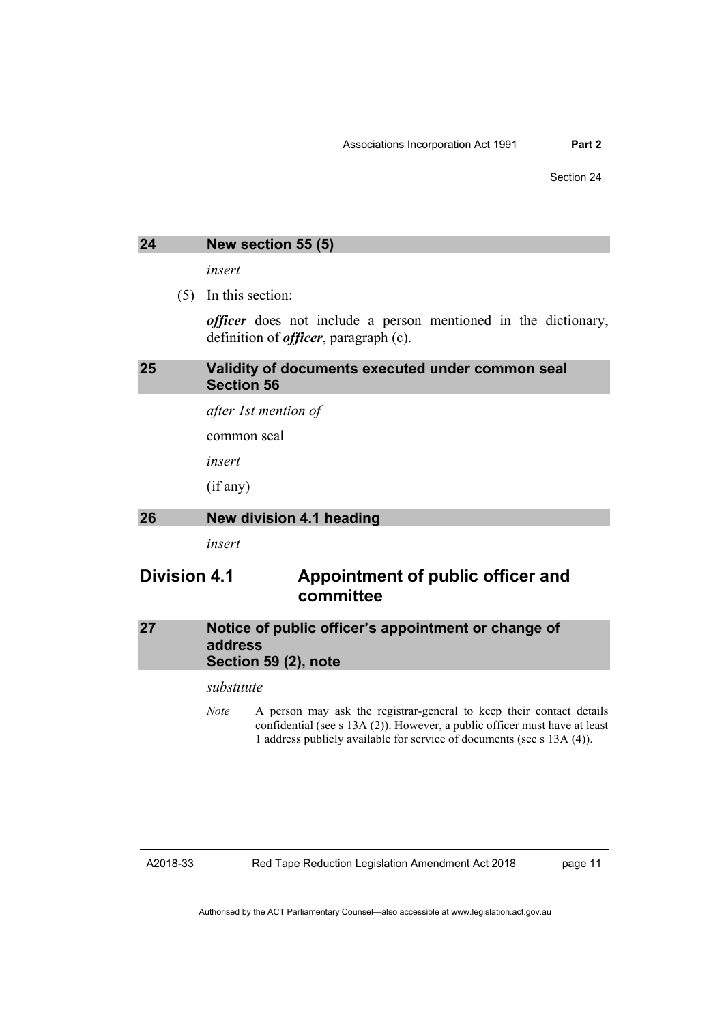# <span id="page-20-0"></span>**24 New section 55 (5)**

*insert*

(5) In this section:

*officer* does not include a person mentioned in the dictionary, definition of *officer*, paragraph (c).

# <span id="page-20-1"></span>**25 Validity of documents executed under common seal Section 56**

*after 1st mention of*

common seal

*insert*

(if any)

# <span id="page-20-2"></span>**26 New division 4.1 heading**

*insert*

# **Division 4.1 Appointment of public officer and committee**

# <span id="page-20-3"></span>**27 Notice of public officer's appointment or change of address Section 59 (2), note**

# *substitute*

*Note* A person may ask the registrar-general to keep their contact details confidential (see s 13A (2)). However, a public officer must have at least 1 address publicly available for service of documents (see s 13A (4)).

#### A2018-33

Red Tape Reduction Legislation Amendment Act 2018

page 11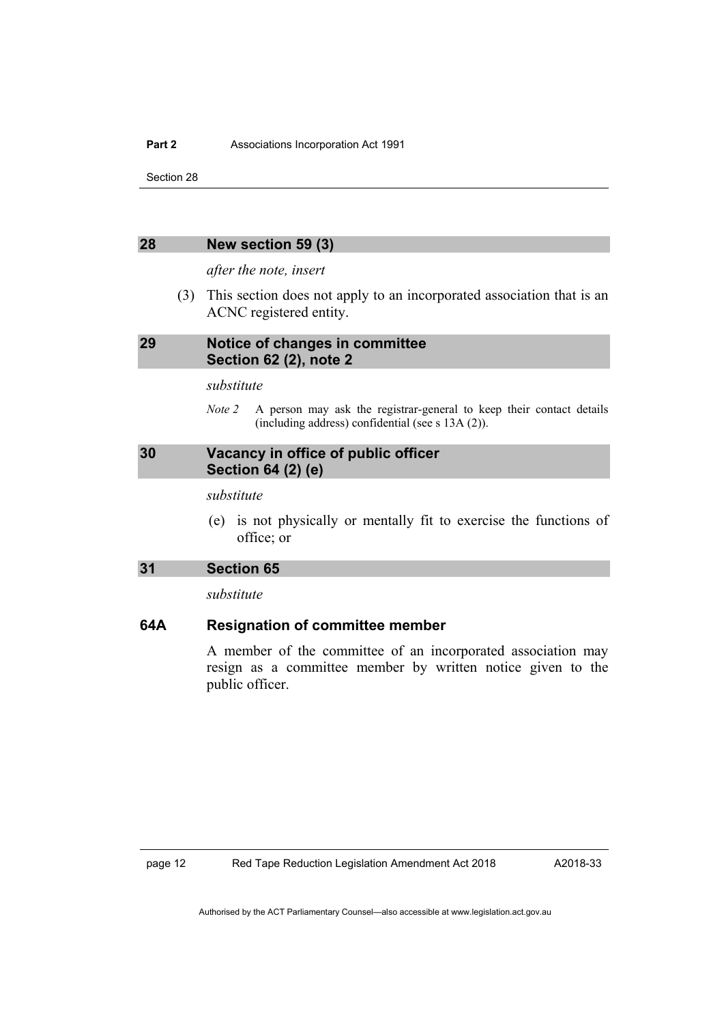#### <span id="page-21-0"></span>**28 New section 59 (3)**

*after the note, insert*

(3) This section does not apply to an incorporated association that is an ACNC registered entity.

# <span id="page-21-1"></span>**29 Notice of changes in committee Section 62 (2), note 2**

*substitute*

*Note 2* A person may ask the registrar-general to keep their contact details (including address) confidential (see s 13A (2)).

# <span id="page-21-2"></span>**30 Vacancy in office of public officer Section 64 (2) (e)**

*substitute*

(e) is not physically or mentally fit to exercise the functions of office; or

# <span id="page-21-3"></span>**31 Section 65**

*substitute*

# **64A Resignation of committee member**

A member of the committee of an incorporated association may resign as a committee member by written notice given to the public officer.

page 12 Red Tape Reduction Legislation Amendment Act 2018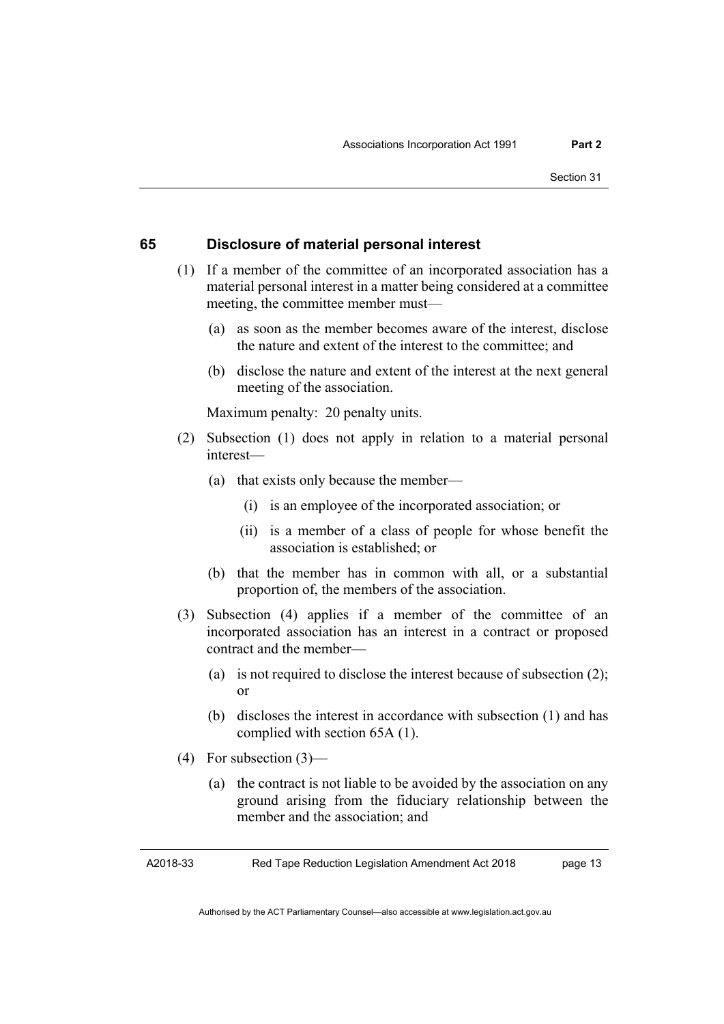# **65 Disclosure of material personal interest**

- (1) If a member of the committee of an incorporated association has a material personal interest in a matter being considered at a committee meeting, the committee member must—
	- (a) as soon as the member becomes aware of the interest, disclose the nature and extent of the interest to the committee; and
	- (b) disclose the nature and extent of the interest at the next general meeting of the association.

Maximum penalty: 20 penalty units.

- (2) Subsection (1) does not apply in relation to a material personal interest—
	- (a) that exists only because the member—
		- (i) is an employee of the incorporated association; or
		- (ii) is a member of a class of people for whose benefit the association is established; or
	- (b) that the member has in common with all, or a substantial proportion of, the members of the association.
- (3) Subsection (4) applies if a member of the committee of an incorporated association has an interest in a contract or proposed contract and the member—
	- (a) is not required to disclose the interest because of subsection (2); or
	- (b) discloses the interest in accordance with subsection (1) and has complied with section 65A (1).
- (4) For subsection (3)—
	- (a) the contract is not liable to be avoided by the association on any ground arising from the fiduciary relationship between the member and the association; and

A2018-33

Red Tape Reduction Legislation Amendment Act 2018

page 13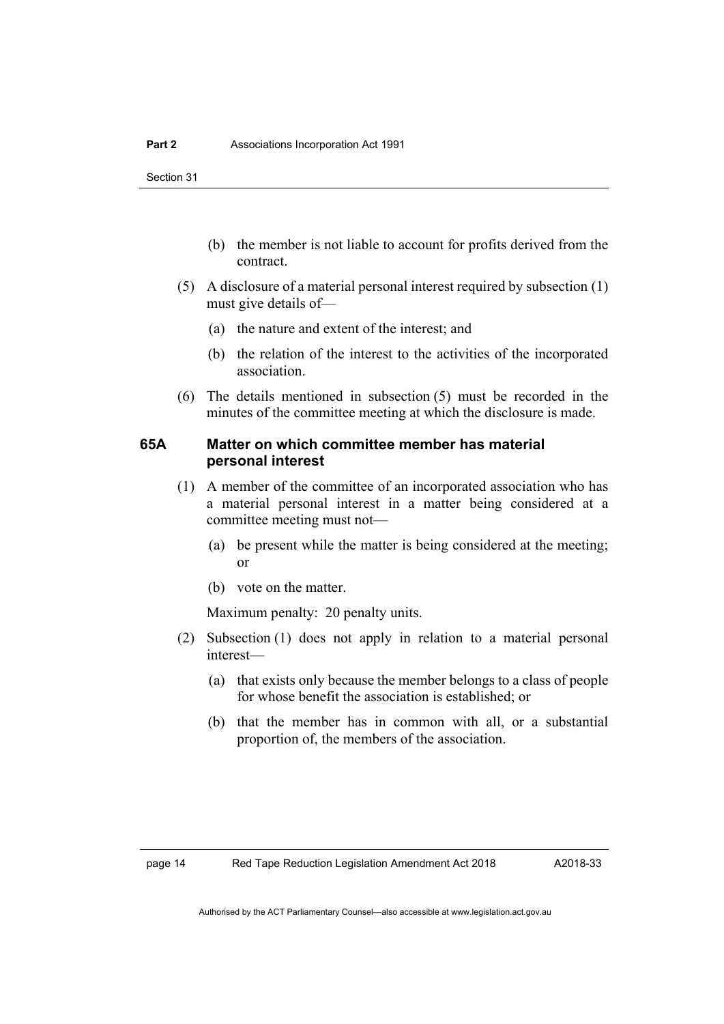- (b) the member is not liable to account for profits derived from the contract.
- (5) A disclosure of a material personal interest required by subsection (1) must give details of—
	- (a) the nature and extent of the interest; and
	- (b) the relation of the interest to the activities of the incorporated association.
- (6) The details mentioned in subsection (5) must be recorded in the minutes of the committee meeting at which the disclosure is made.

# **65A Matter on which committee member has material personal interest**

- (1) A member of the committee of an incorporated association who has a material personal interest in a matter being considered at a committee meeting must not—
	- (a) be present while the matter is being considered at the meeting; or
	- (b) vote on the matter.

Maximum penalty: 20 penalty units.

- (2) Subsection (1) does not apply in relation to a material personal interest—
	- (a) that exists only because the member belongs to a class of people for whose benefit the association is established; or
	- (b) that the member has in common with all, or a substantial proportion of, the members of the association.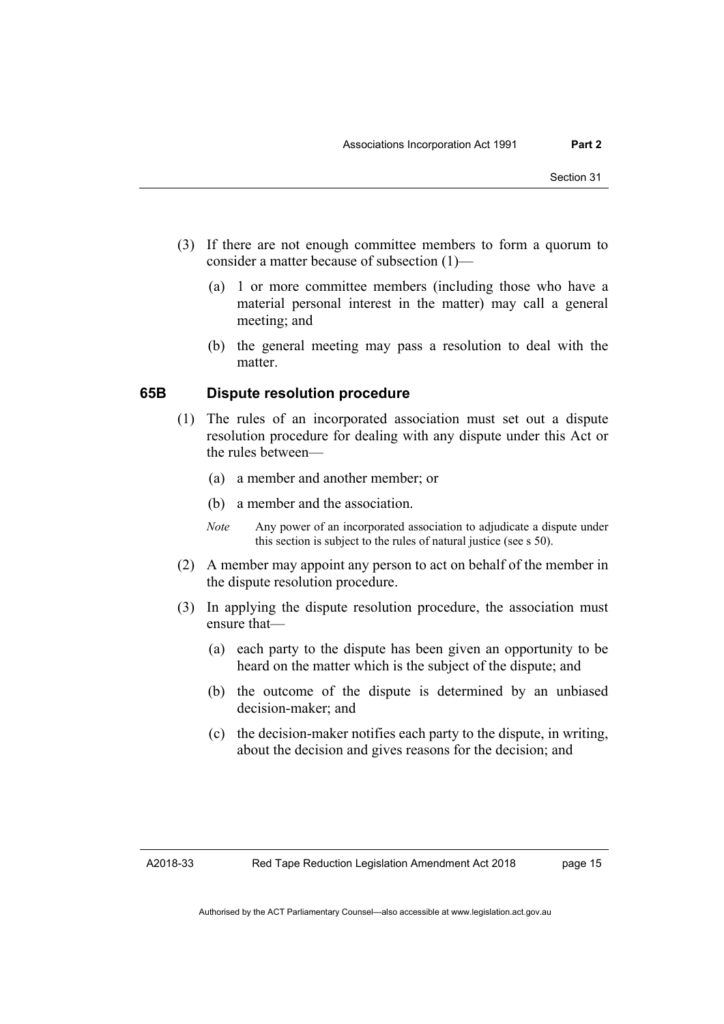- (3) If there are not enough committee members to form a quorum to consider a matter because of subsection (1)—
	- (a) 1 or more committee members (including those who have a material personal interest in the matter) may call a general meeting; and
	- (b) the general meeting may pass a resolution to deal with the matter.

# **65B Dispute resolution procedure**

- (1) The rules of an incorporated association must set out a dispute resolution procedure for dealing with any dispute under this Act or the rules between—
	- (a) a member and another member; or
	- (b) a member and the association.
	- *Note* Any power of an incorporated association to adjudicate a dispute under this section is subject to the rules of natural justice (see s 50).
- (2) A member may appoint any person to act on behalf of the member in the dispute resolution procedure.
- (3) In applying the dispute resolution procedure, the association must ensure that—
	- (a) each party to the dispute has been given an opportunity to be heard on the matter which is the subject of the dispute; and
	- (b) the outcome of the dispute is determined by an unbiased decision-maker; and
	- (c) the decision-maker notifies each party to the dispute, in writing, about the decision and gives reasons for the decision; and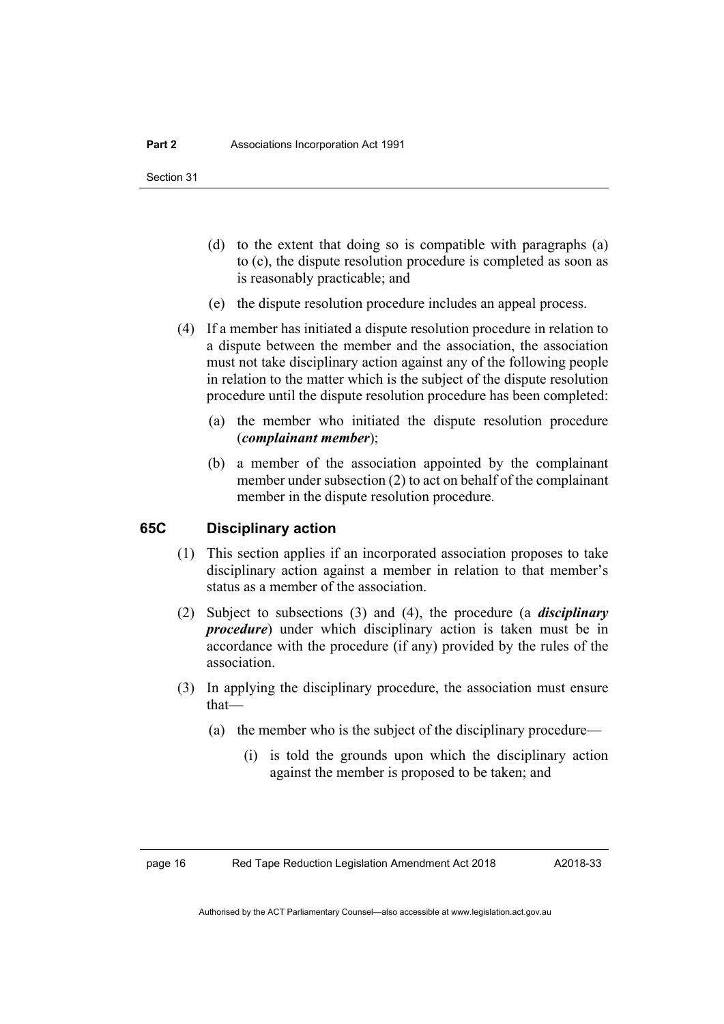- (d) to the extent that doing so is compatible with paragraphs (a) to (c), the dispute resolution procedure is completed as soon as is reasonably practicable; and
- (e) the dispute resolution procedure includes an appeal process.
- (4) If a member has initiated a dispute resolution procedure in relation to a dispute between the member and the association, the association must not take disciplinary action against any of the following people in relation to the matter which is the subject of the dispute resolution procedure until the dispute resolution procedure has been completed:
	- (a) the member who initiated the dispute resolution procedure (*complainant member*);
	- (b) a member of the association appointed by the complainant member under subsection (2) to act on behalf of the complainant member in the dispute resolution procedure.

# **65C Disciplinary action**

- (1) This section applies if an incorporated association proposes to take disciplinary action against a member in relation to that member's status as a member of the association.
- (2) Subject to subsections (3) and (4), the procedure (a *disciplinary procedure*) under which disciplinary action is taken must be in accordance with the procedure (if any) provided by the rules of the association.
- (3) In applying the disciplinary procedure, the association must ensure that—
	- (a) the member who is the subject of the disciplinary procedure—
		- (i) is told the grounds upon which the disciplinary action against the member is proposed to be taken; and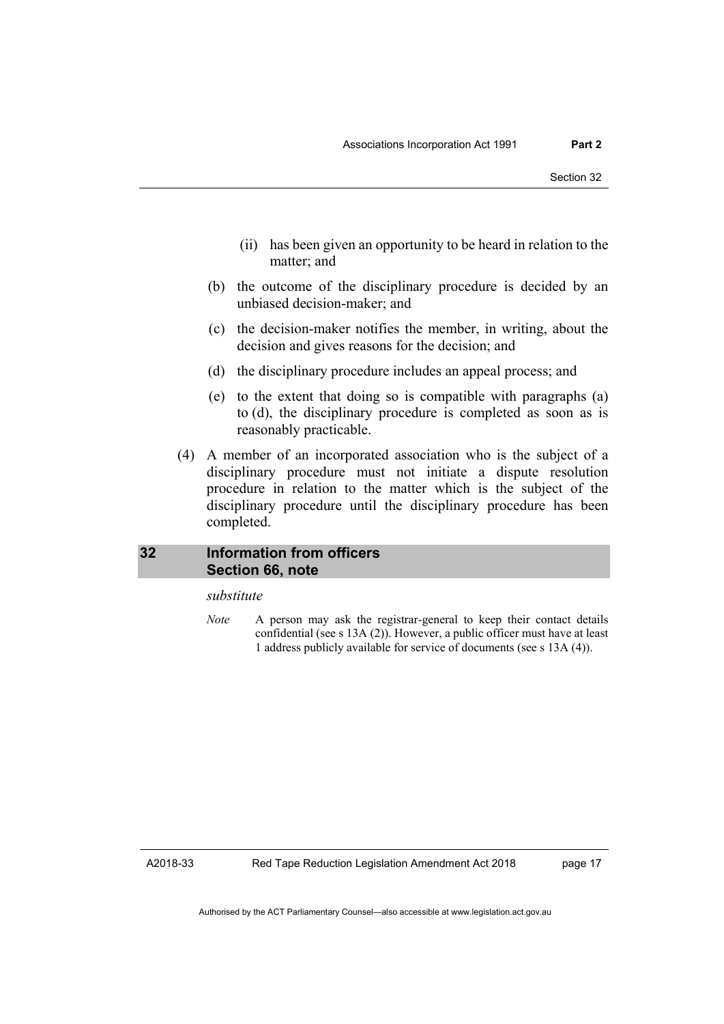- (ii) has been given an opportunity to be heard in relation to the matter; and
- (b) the outcome of the disciplinary procedure is decided by an unbiased decision-maker; and
- (c) the decision-maker notifies the member, in writing, about the decision and gives reasons for the decision; and
- (d) the disciplinary procedure includes an appeal process; and
- (e) to the extent that doing so is compatible with paragraphs (a) to (d), the disciplinary procedure is completed as soon as is reasonably practicable.
- (4) A member of an incorporated association who is the subject of a disciplinary procedure must not initiate a dispute resolution procedure in relation to the matter which is the subject of the disciplinary procedure until the disciplinary procedure has been completed.

# <span id="page-26-0"></span>**32 Information from officers Section 66, note**

# *substitute*

*Note* A person may ask the registrar-general to keep their contact details confidential (see s 13A (2)). However, a public officer must have at least 1 address publicly available for service of documents (see s 13A (4)).

A2018-33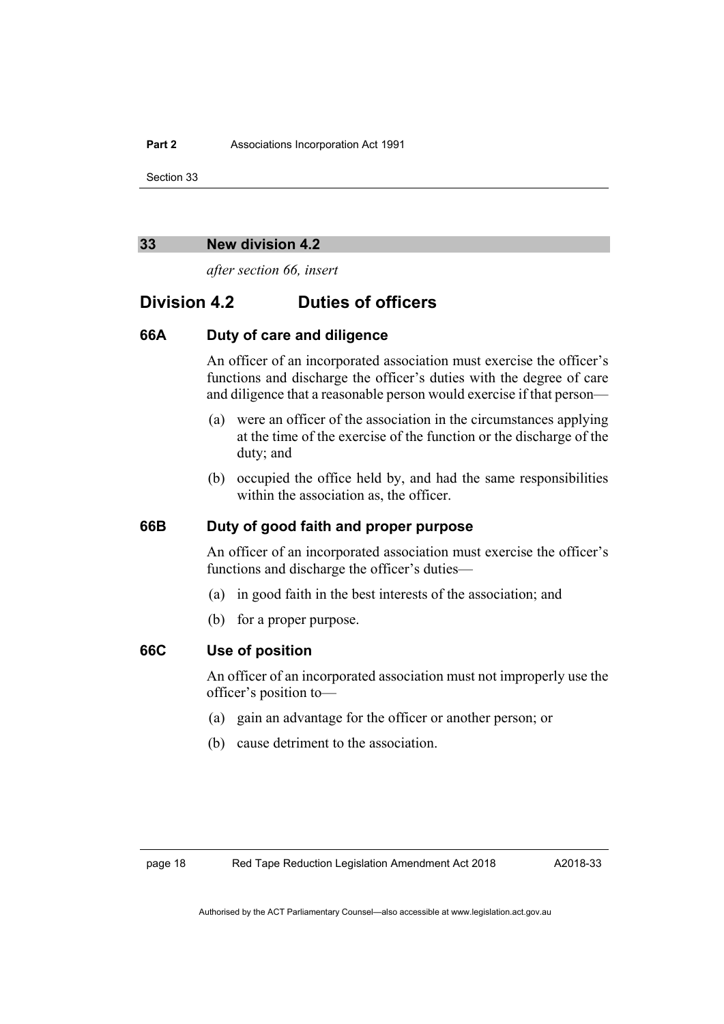#### <span id="page-27-0"></span>**33 New division 4.2**

*after section 66, insert*

# **Division 4.2 Duties of officers**

# **66A Duty of care and diligence**

An officer of an incorporated association must exercise the officer's functions and discharge the officer's duties with the degree of care and diligence that a reasonable person would exercise if that person—

- (a) were an officer of the association in the circumstances applying at the time of the exercise of the function or the discharge of the duty; and
- (b) occupied the office held by, and had the same responsibilities within the association as, the officer.

# **66B Duty of good faith and proper purpose**

An officer of an incorporated association must exercise the officer's functions and discharge the officer's duties—

- (a) in good faith in the best interests of the association; and
- (b) for a proper purpose.

# **66C Use of position**

An officer of an incorporated association must not improperly use the officer's position to—

- (a) gain an advantage for the officer or another person; or
- (b) cause detriment to the association.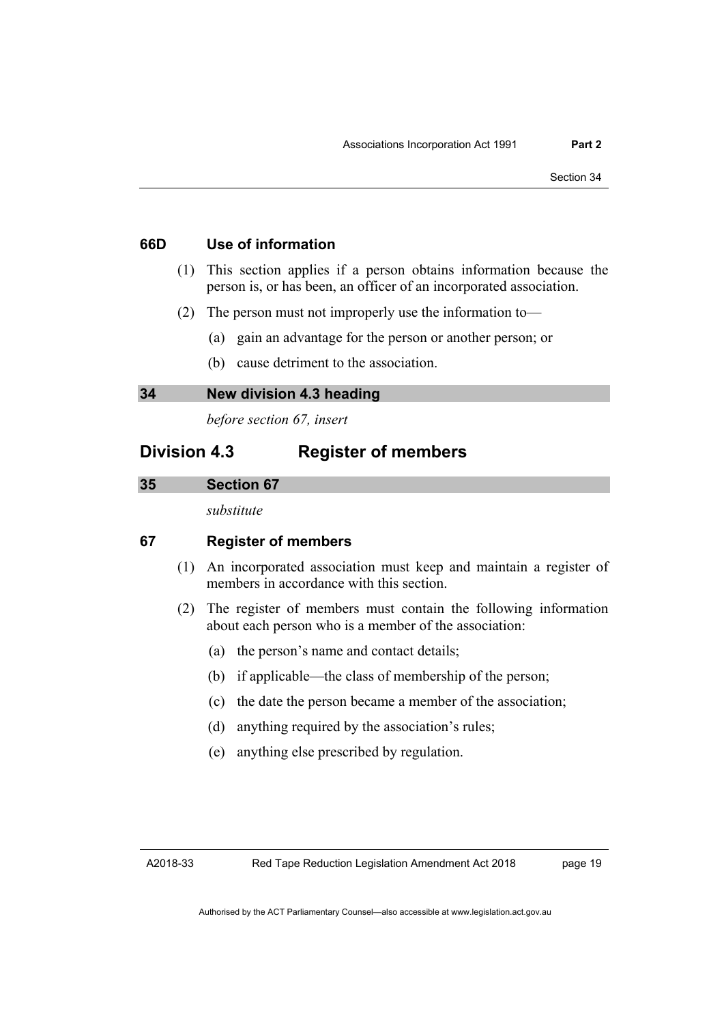- **66D Use of information**
	- (1) This section applies if a person obtains information because the person is, or has been, an officer of an incorporated association.
	- (2) The person must not improperly use the information to—
		- (a) gain an advantage for the person or another person; or
		- (b) cause detriment to the association.

# <span id="page-28-0"></span>**34 New division 4.3 heading**

*before section 67, insert*

# **Division 4.3 Register of members**

#### <span id="page-28-1"></span>**35 Section 67**

*substitute*

# **67 Register of members**

- (1) An incorporated association must keep and maintain a register of members in accordance with this section.
- (2) The register of members must contain the following information about each person who is a member of the association:
	- (a) the person's name and contact details;
	- (b) if applicable—the class of membership of the person;
	- (c) the date the person became a member of the association;
	- (d) anything required by the association's rules;
	- (e) anything else prescribed by regulation.

A2018-33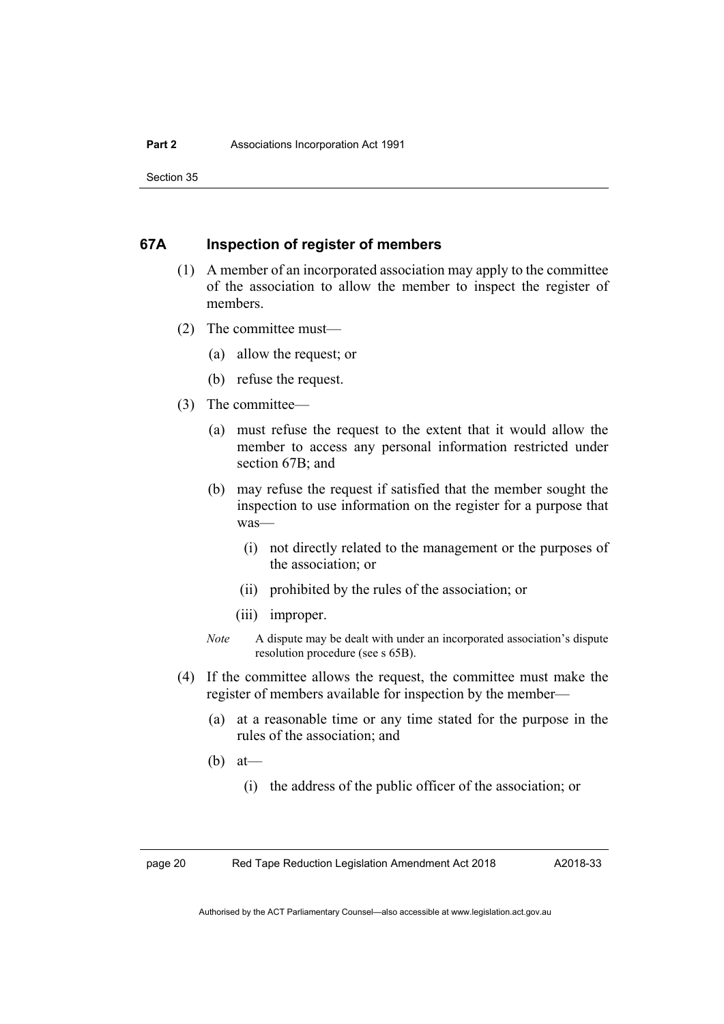# **67A Inspection of register of members**

- (1) A member of an incorporated association may apply to the committee of the association to allow the member to inspect the register of members.
- (2) The committee must—
	- (a) allow the request; or
	- (b) refuse the request.
- (3) The committee—
	- (a) must refuse the request to the extent that it would allow the member to access any personal information restricted under section 67B; and
	- (b) may refuse the request if satisfied that the member sought the inspection to use information on the register for a purpose that was—
		- (i) not directly related to the management or the purposes of the association; or
		- (ii) prohibited by the rules of the association; or
		- (iii) improper.
	- *Note* A dispute may be dealt with under an incorporated association's dispute resolution procedure (see s 65B).
- (4) If the committee allows the request, the committee must make the register of members available for inspection by the member—
	- (a) at a reasonable time or any time stated for the purpose in the rules of the association; and
	- (b) at—
		- (i) the address of the public officer of the association; or

page 20 Red Tape Reduction Legislation Amendment Act 2018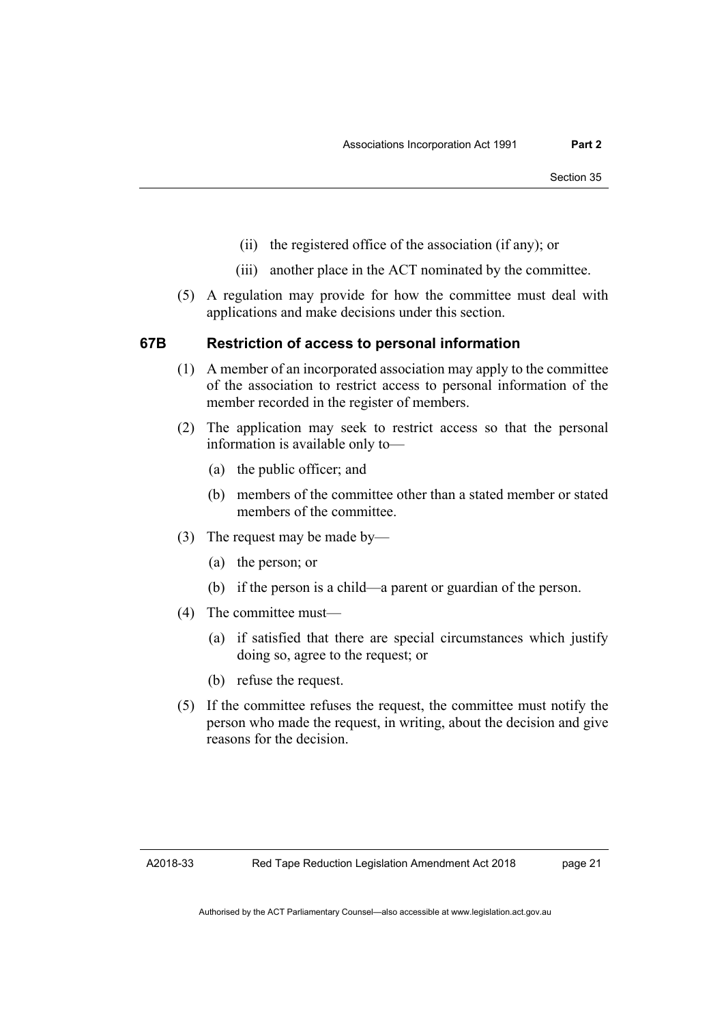- (ii) the registered office of the association (if any); or
- (iii) another place in the ACT nominated by the committee.
- (5) A regulation may provide for how the committee must deal with applications and make decisions under this section.

# **67B Restriction of access to personal information**

- (1) A member of an incorporated association may apply to the committee of the association to restrict access to personal information of the member recorded in the register of members.
- (2) The application may seek to restrict access so that the personal information is available only to—
	- (a) the public officer; and
	- (b) members of the committee other than a stated member or stated members of the committee.
- (3) The request may be made by—
	- (a) the person; or
	- (b) if the person is a child—a parent or guardian of the person.
- (4) The committee must—
	- (a) if satisfied that there are special circumstances which justify doing so, agree to the request; or
	- (b) refuse the request.
- (5) If the committee refuses the request, the committee must notify the person who made the request, in writing, about the decision and give reasons for the decision.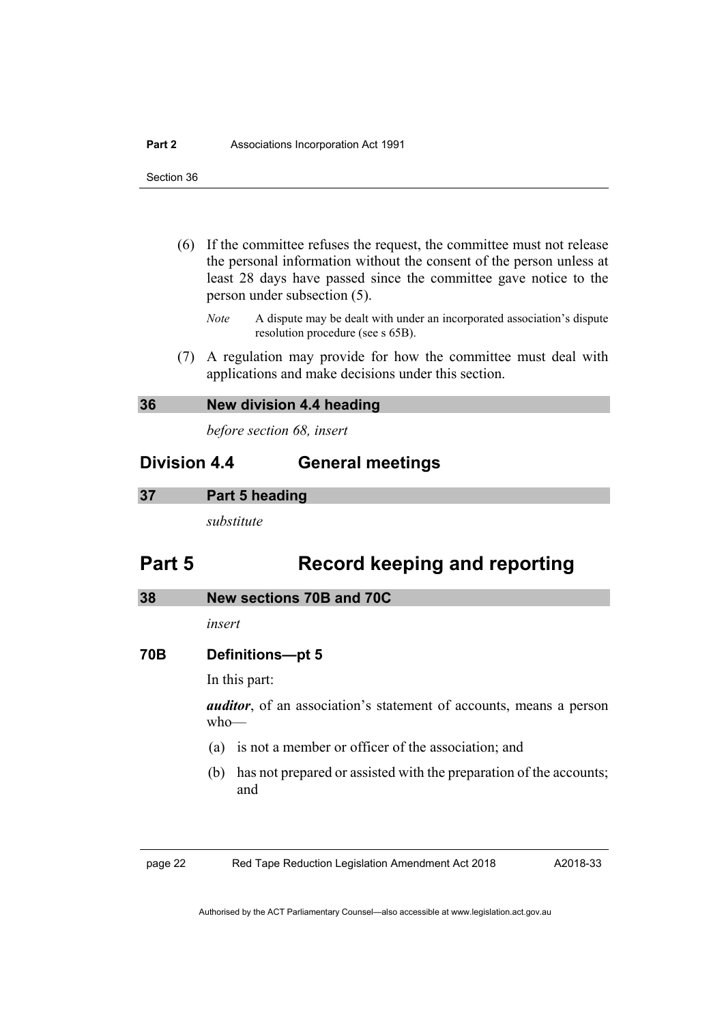- (6) If the committee refuses the request, the committee must not release the personal information without the consent of the person unless at least 28 days have passed since the committee gave notice to the person under subsection (5).
	- *Note* A dispute may be dealt with under an incorporated association's dispute resolution procedure (see s 65B).
- (7) A regulation may provide for how the committee must deal with applications and make decisions under this section.

# <span id="page-31-0"></span>**36 New division 4.4 heading**

*before section 68, insert*

# **Division 4.4 General meetings**

#### <span id="page-31-1"></span>**37 Part 5 heading**

*substitute*

# **Part 5 Record keeping and reporting**

### <span id="page-31-2"></span>**38 New sections 70B and 70C**

*insert*

### **70B Definitions—pt 5**

In this part:

*auditor*, of an association's statement of accounts, means a person who—

- (a) is not a member or officer of the association; and
- (b) has not prepared or assisted with the preparation of the accounts; and

page 22 Red Tape Reduction Legislation Amendment Act 2018

A2018-33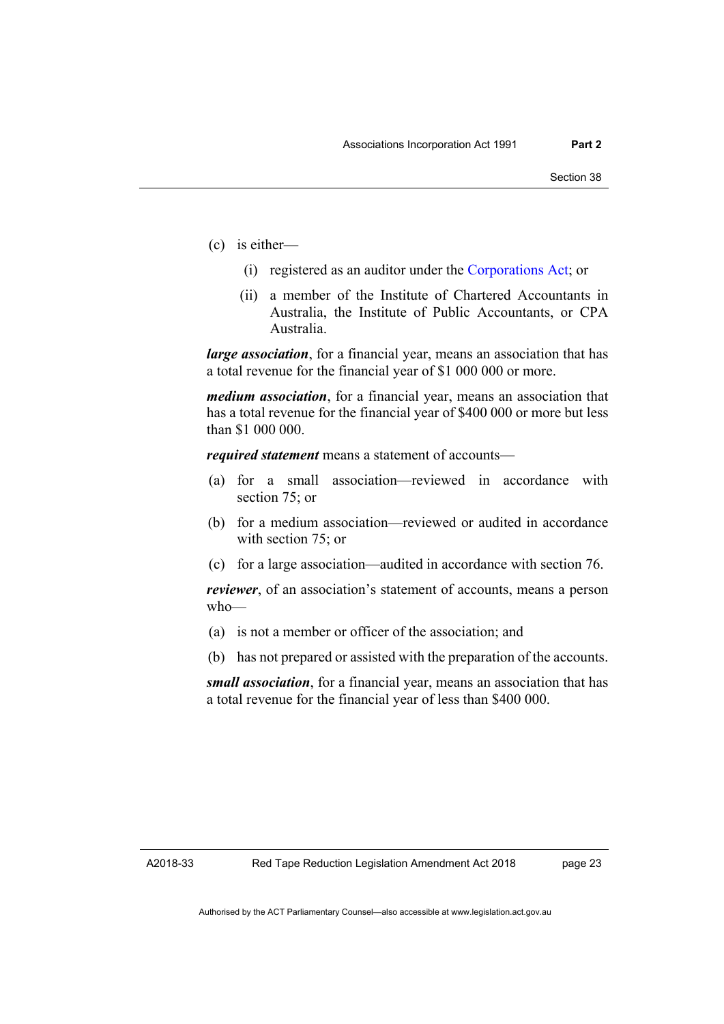- (c) is either—
	- (i) registered as an auditor under the [Corporations Act;](http://www.comlaw.gov.au/Series/C2004A00818) or
	- (ii) a member of the Institute of Chartered Accountants in Australia, the Institute of Public Accountants, or CPA Australia.

*large association*, for a financial year, means an association that has a total revenue for the financial year of \$1 000 000 or more.

*medium association*, for a financial year, means an association that has a total revenue for the financial year of \$400 000 or more but less than \$1 000 000.

*required statement* means a statement of accounts—

- (a) for a small association—reviewed in accordance with section 75; or
- (b) for a medium association—reviewed or audited in accordance with section 75; or
- (c) for a large association—audited in accordance with section 76.

*reviewer*, of an association's statement of accounts, means a person who—

- (a) is not a member or officer of the association; and
- (b) has not prepared or assisted with the preparation of the accounts.

*small association*, for a financial year, means an association that has a total revenue for the financial year of less than \$400 000.

A2018-33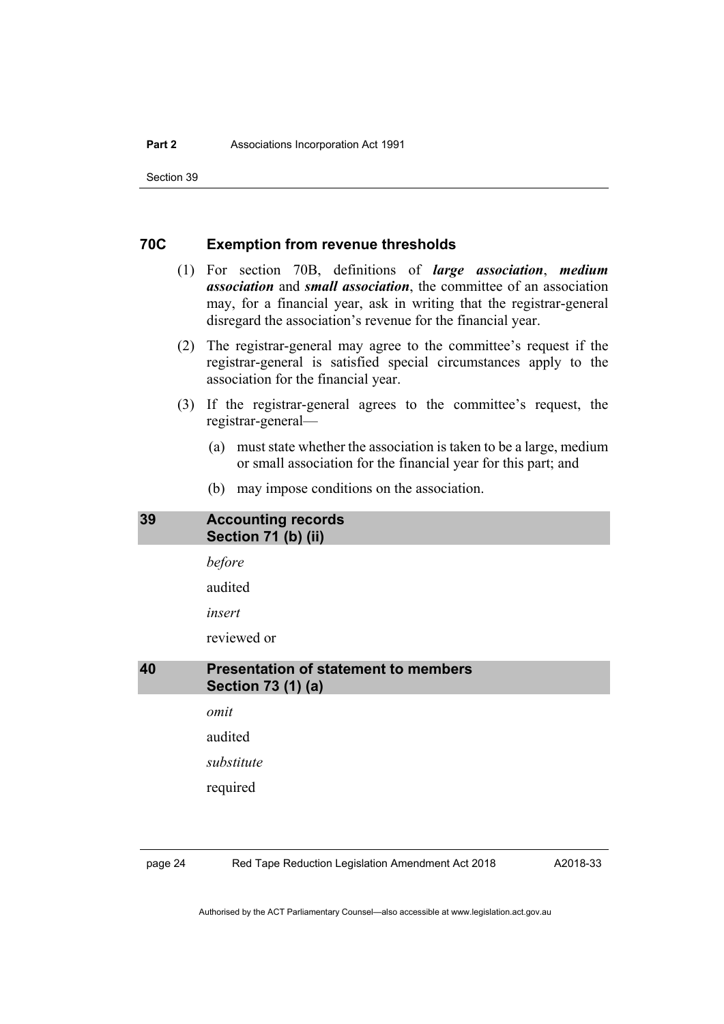# **70C Exemption from revenue thresholds**

- (1) For section 70B, definitions of *large association*, *medium association* and *small association*, the committee of an association may, for a financial year, ask in writing that the registrar-general disregard the association's revenue for the financial year.
- (2) The registrar-general may agree to the committee's request if the registrar-general is satisfied special circumstances apply to the association for the financial year.
- (3) If the registrar-general agrees to the committee's request, the registrar-general—
	- (a) must state whether the association is taken to be a large, medium or small association for the financial year for this part; and
	- (b) may impose conditions on the association.

# <span id="page-33-0"></span>**39 Accounting records Section 71 (b) (ii)**

*before*

audited

*insert*

reviewed or

# <span id="page-33-1"></span>**40 Presentation of statement to members Section 73 (1) (a)**

*omit*

audited

*substitute*

required

page 24 Red Tape Reduction Legislation Amendment Act 2018

A2018-33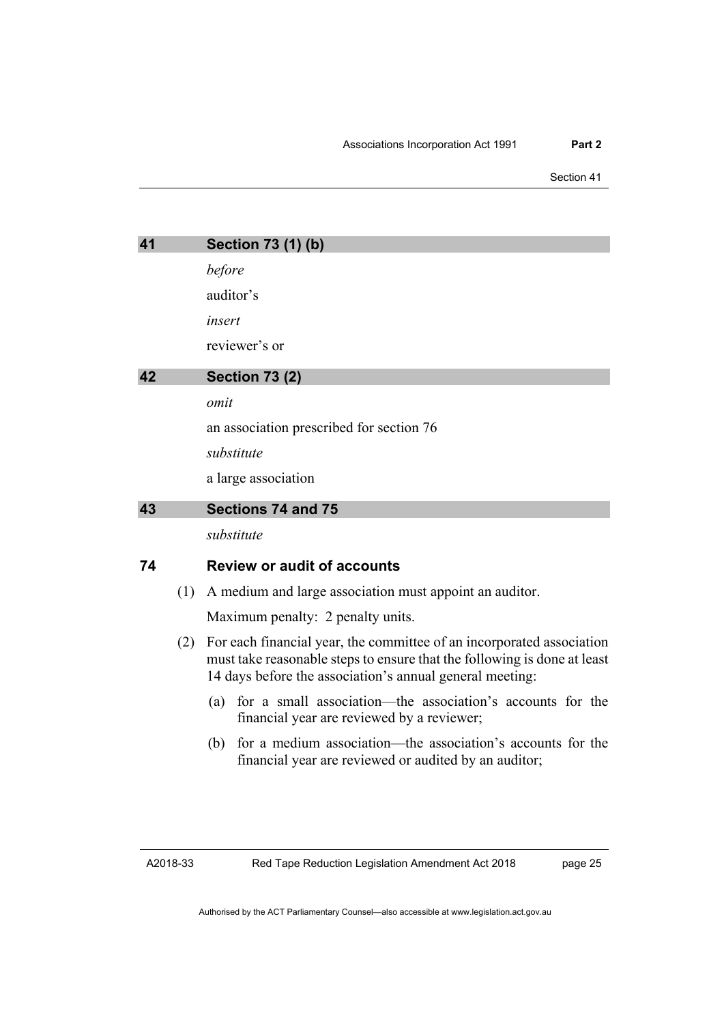<span id="page-34-1"></span><span id="page-34-0"></span>

| 41<br>Section 73 (1) (b)    |     |                                                                                                                                                                                                               |
|-----------------------------|-----|---------------------------------------------------------------------------------------------------------------------------------------------------------------------------------------------------------------|
|                             |     | before                                                                                                                                                                                                        |
|                             |     | auditor's                                                                                                                                                                                                     |
|                             |     | insert                                                                                                                                                                                                        |
|                             |     | reviewer's or                                                                                                                                                                                                 |
| 42<br><b>Section 73 (2)</b> |     |                                                                                                                                                                                                               |
|                             |     | omit                                                                                                                                                                                                          |
|                             |     | an association prescribed for section 76                                                                                                                                                                      |
|                             |     | substitute                                                                                                                                                                                                    |
|                             |     | a large association                                                                                                                                                                                           |
| 43<br>Sections 74 and 75    |     |                                                                                                                                                                                                               |
|                             |     | substitute                                                                                                                                                                                                    |
| 74                          |     | <b>Review or audit of accounts</b>                                                                                                                                                                            |
|                             | (1) | A medium and large association must appoint an auditor.                                                                                                                                                       |
|                             |     | Maximum penalty: 2 penalty units.                                                                                                                                                                             |
|                             | (2) | For each financial year, the committee of an incorporated association<br>must take reasonable steps to ensure that the following is done at least<br>14 days before the association's annual general meeting: |
|                             |     | (a) for a small association the association's accounts for the                                                                                                                                                |

- <span id="page-34-2"></span>(a) for a small association—the association's accounts for the financial year are reviewed by a reviewer;
- (b) for a medium association—the association's accounts for the financial year are reviewed or audited by an auditor;

A2018-33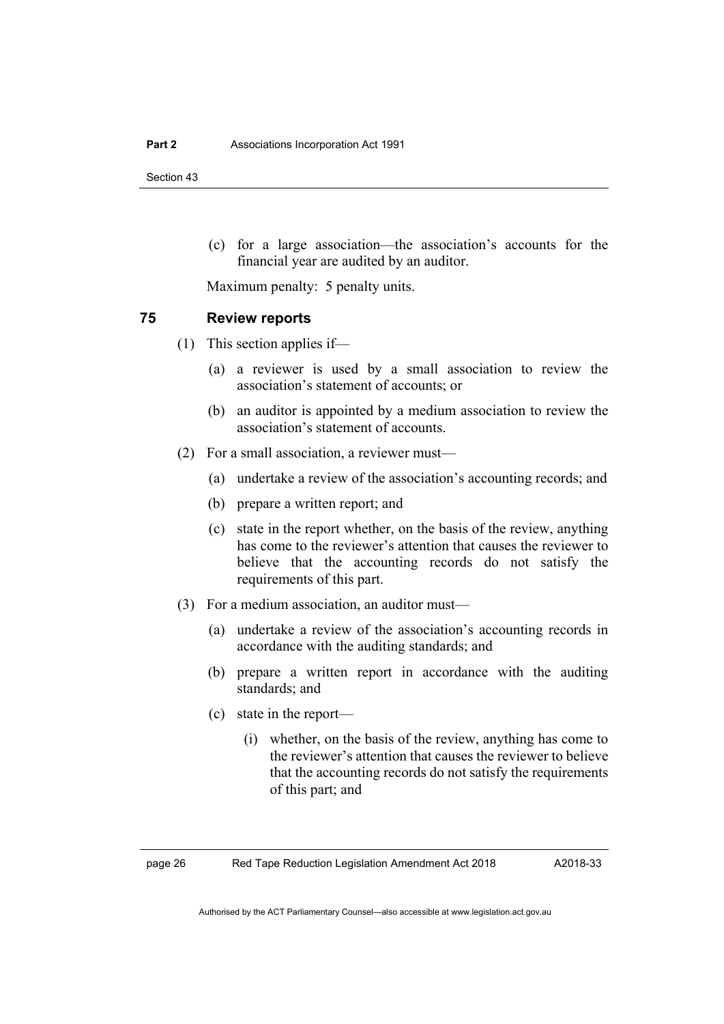(c) for a large association—the association's accounts for the financial year are audited by an auditor.

Maximum penalty: 5 penalty units.

# **75 Review reports**

- (1) This section applies if—
	- (a) a reviewer is used by a small association to review the association's statement of accounts; or
	- (b) an auditor is appointed by a medium association to review the association's statement of accounts.
- (2) For a small association, a reviewer must—
	- (a) undertake a review of the association's accounting records; and
	- (b) prepare a written report; and
	- (c) state in the report whether, on the basis of the review, anything has come to the reviewer's attention that causes the reviewer to believe that the accounting records do not satisfy the requirements of this part.
- (3) For a medium association, an auditor must—
	- (a) undertake a review of the association's accounting records in accordance with the auditing standards; and
	- (b) prepare a written report in accordance with the auditing standards; and
	- (c) state in the report—
		- (i) whether, on the basis of the review, anything has come to the reviewer's attention that causes the reviewer to believe that the accounting records do not satisfy the requirements of this part; and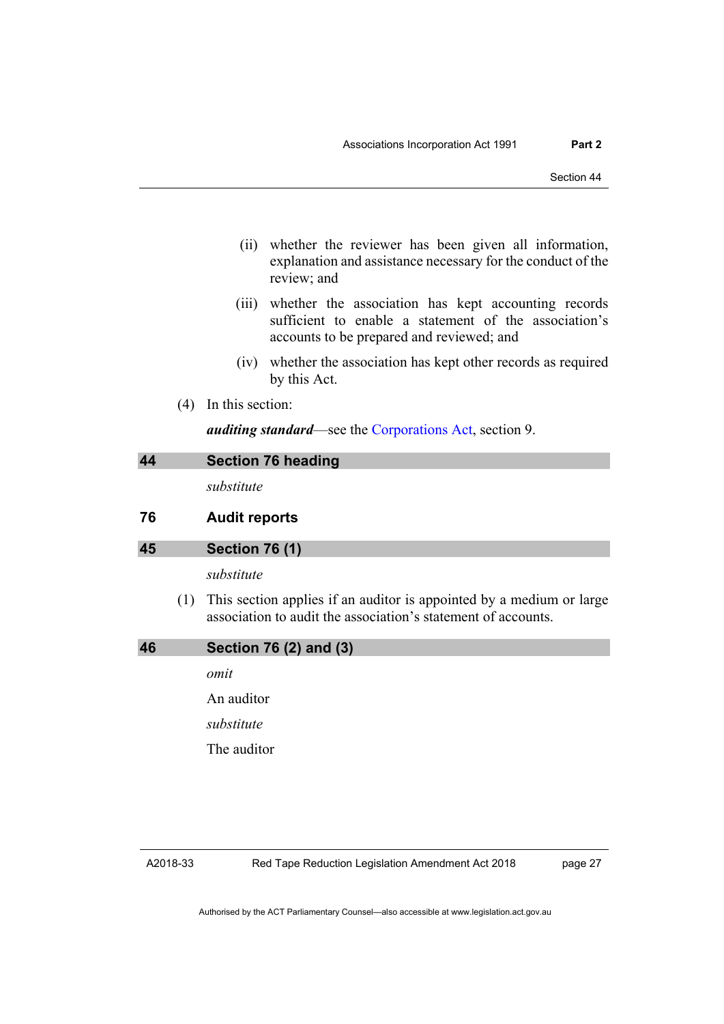- (ii) whether the reviewer has been given all information, explanation and assistance necessary for the conduct of the review; and
- (iii) whether the association has kept accounting records sufficient to enable a statement of the association's accounts to be prepared and reviewed; and
- (iv) whether the association has kept other records as required by this Act.
- (4) In this section:

*auditing standard*—see the [Corporations Act,](http://www.comlaw.gov.au/Series/C2004A00818) section 9.

|    |     | Section 76 heading                                                                                                                    |
|----|-----|---------------------------------------------------------------------------------------------------------------------------------------|
|    |     | substitute                                                                                                                            |
| 76 |     | <b>Audit reports</b>                                                                                                                  |
| 45 |     | <b>Section 76 (1)</b>                                                                                                                 |
|    |     | substitute                                                                                                                            |
|    | (1) | This section applies if an auditor is appointed by a medium or large<br>association to audit the association's statement of accounts. |
|    |     | Section 76 (2) and (3)                                                                                                                |

*omit*

An auditor

*substitute*

The auditor

page 27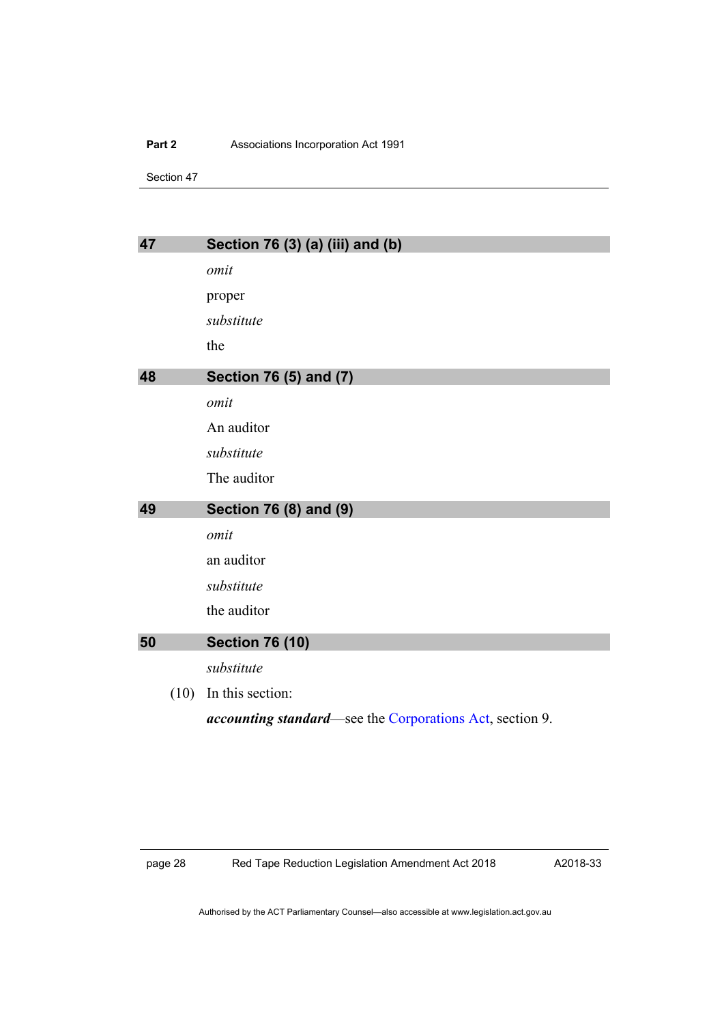#### **Part 2** Associations Incorporation Act 1991

Section 47

| 47   | Section 76 (3) (a) (iii) and (b)                                 |
|------|------------------------------------------------------------------|
|      | omit                                                             |
|      | proper                                                           |
|      | substitute                                                       |
|      | the                                                              |
| 48   | Section 76 (5) and (7)                                           |
|      | omit                                                             |
|      | An auditor                                                       |
|      | substitute                                                       |
|      | The auditor                                                      |
| 49   | Section 76 (8) and (9)                                           |
|      | omit                                                             |
|      | an auditor                                                       |
|      | substitute                                                       |
|      | the auditor                                                      |
| 50   | <b>Section 76 (10)</b>                                           |
|      | substitute                                                       |
| (10) | In this section:                                                 |
|      | <i>accounting standard</i> —see the Corporations Act, section 9. |

page 28 Red Tape Reduction Legislation Amendment Act 2018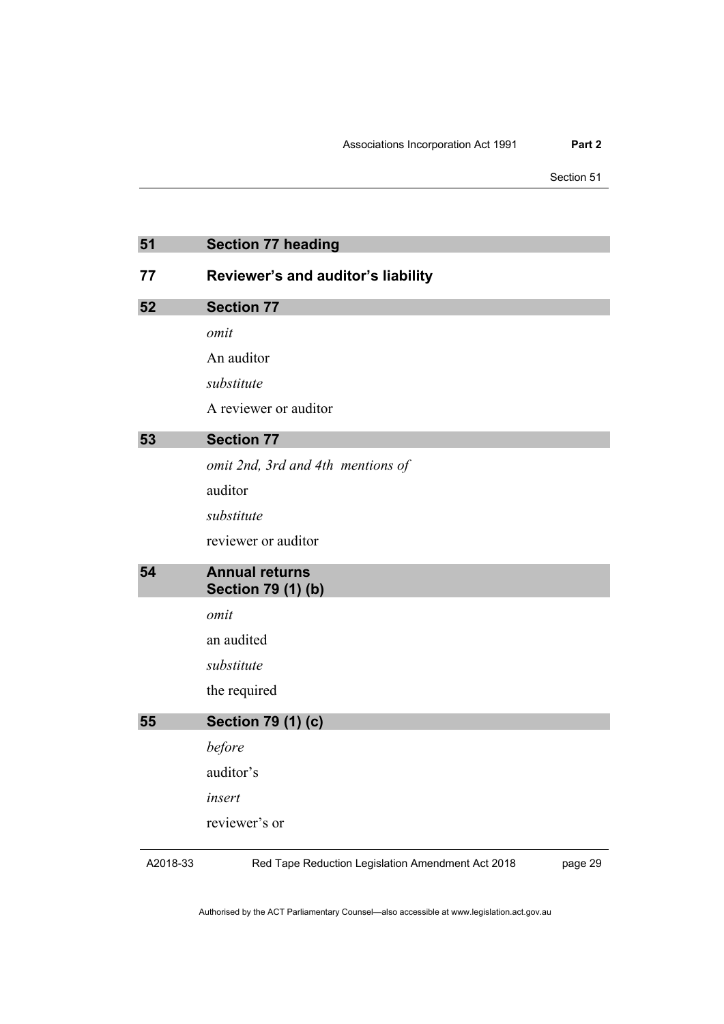Section 51

| 51       | <b>Section 77 heading</b>                          |         |
|----------|----------------------------------------------------|---------|
| 77       | Reviewer's and auditor's liability                 |         |
| 52       | <b>Section 77</b>                                  |         |
|          | omit                                               |         |
|          | An auditor                                         |         |
|          | substitute                                         |         |
|          | A reviewer or auditor                              |         |
| 53       | <b>Section 77</b>                                  |         |
|          | omit 2nd, 3rd and 4th mentions of                  |         |
|          | auditor                                            |         |
|          | substitute                                         |         |
|          | reviewer or auditor                                |         |
| 54       | <b>Annual returns</b><br><b>Section 79 (1) (b)</b> |         |
|          | omit                                               |         |
|          | an audited                                         |         |
|          | substitute                                         |         |
|          | the required                                       |         |
| 55       | <b>Section 79 (1) (c)</b>                          |         |
|          | before                                             |         |
|          | auditor's                                          |         |
|          | insert                                             |         |
|          | reviewer's or                                      |         |
| A2018-33 | Red Tape Reduction Legislation Amendment Act 2018  | page 29 |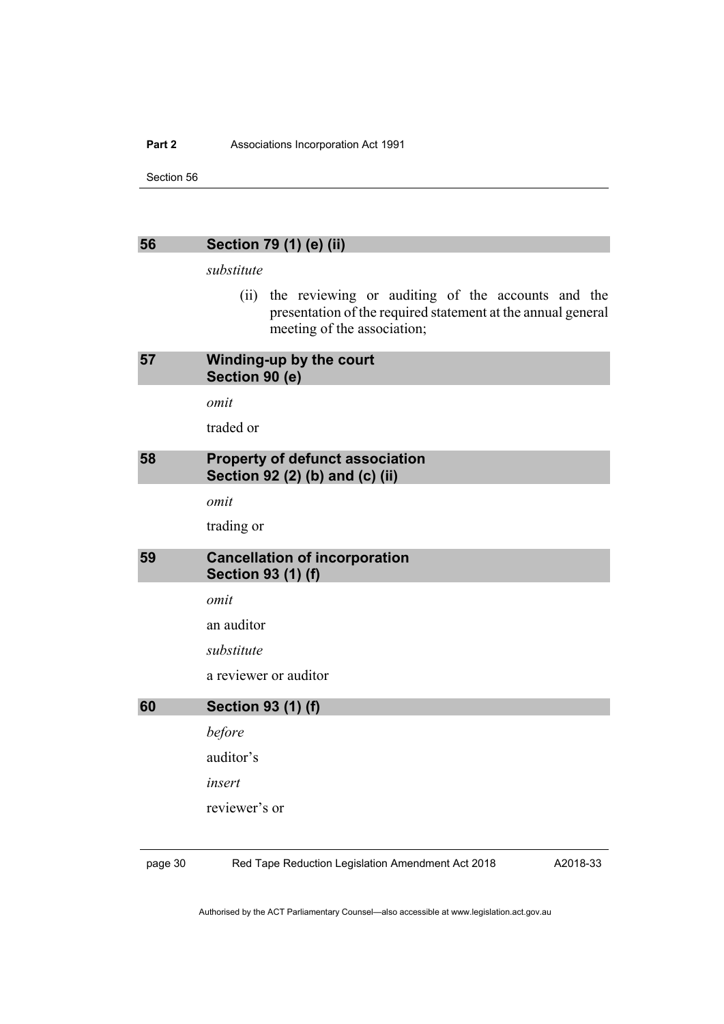#### Part 2 **Associations Incorporation Act 1991**

Section 56

*substitute*

(ii) the reviewing or auditing of the accounts and the presentation of the required statement at the annual general meeting of the association;

| 57 | Winding-up by the court<br>Section 90 (e)                                 |
|----|---------------------------------------------------------------------------|
|    | omit                                                                      |
|    | traded or                                                                 |
| 58 | <b>Property of defunct association</b><br>Section 92 (2) (b) and (c) (ii) |
|    | omit                                                                      |
|    | trading or                                                                |
| 59 | <b>Cancellation of incorporation</b><br><b>Section 93 (1) (f)</b>         |
|    | omit                                                                      |
|    | an auditor                                                                |
|    | substitute                                                                |
|    | a reviewer or auditor                                                     |
| 60 | <b>Section 93 (1) (f)</b>                                                 |
|    | before                                                                    |
|    | auditor's                                                                 |
|    | insert                                                                    |
|    | reviewer's or                                                             |
|    |                                                                           |

page 30 Red Tape Reduction Legislation Amendment Act 2018

A2018-33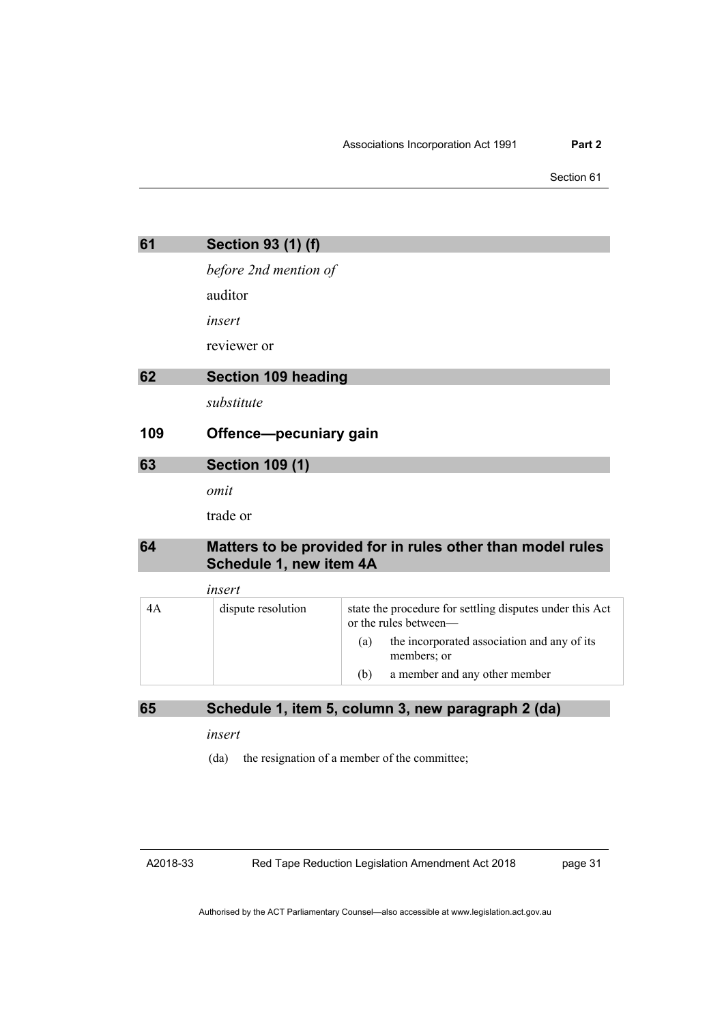Section 61

| 61  | <b>Section 93 (1) (f)</b>  |                                                                                   |
|-----|----------------------------|-----------------------------------------------------------------------------------|
|     | before 2nd mention of      |                                                                                   |
|     | auditor                    |                                                                                   |
|     | insert                     |                                                                                   |
|     | reviewer or                |                                                                                   |
| 62  | <b>Section 109 heading</b> |                                                                                   |
|     | substitute                 |                                                                                   |
| 109 | Offence-pecuniary gain     |                                                                                   |
| 63  | <b>Section 109 (1)</b>     |                                                                                   |
|     | omit                       |                                                                                   |
|     | trade or                   |                                                                                   |
| 64  | Schedule 1, new item 4A    | Matters to be provided for in rules other than model rules                        |
|     | insert                     |                                                                                   |
| 4A  | dispute resolution         | state the procedure for settling disputes under this Act<br>or the rules between- |
|     |                            | the incorporated association and any of its<br>(a)<br>members; or                 |

(b) a member and any other member

**65 Schedule 1, item 5, column 3, new paragraph 2 (da)**

*insert*

(da) the resignation of a member of the committee;

A2018-33

Red Tape Reduction Legislation Amendment Act 2018

page 31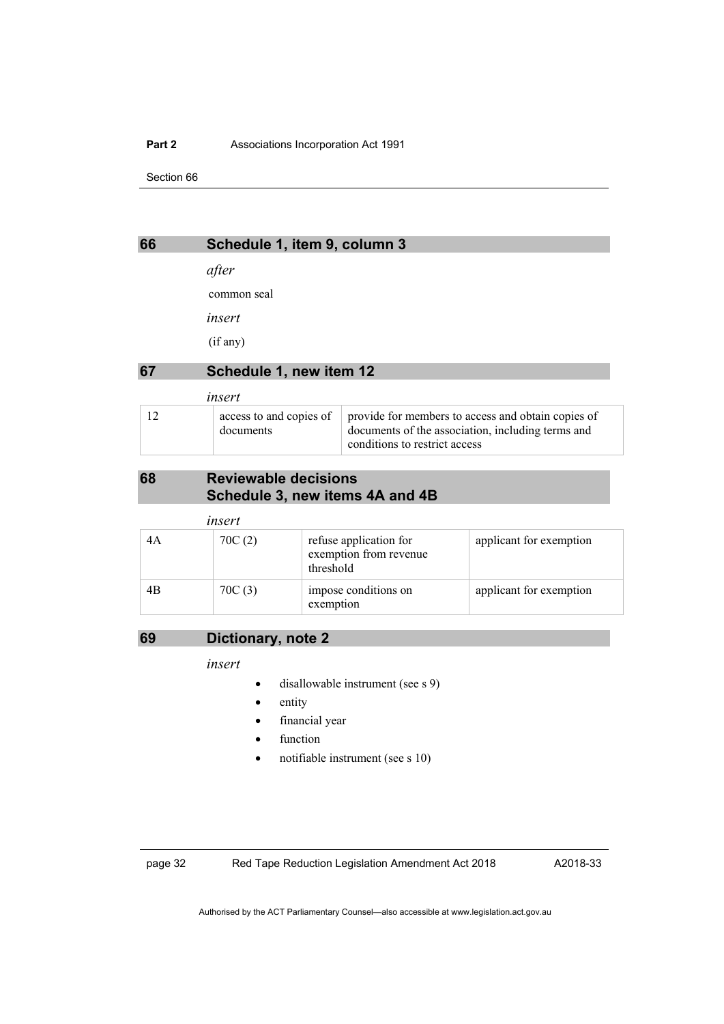#### Part 2 **Associations Incorporation Act 1991**

Section 66

### **66 Schedule 1, item 9, column 3**

*after*

common seal

*insert*

(if any)

### **67 Schedule 1, new item 12**

| insert |                                      |                                                                                                                                          |
|--------|--------------------------------------|------------------------------------------------------------------------------------------------------------------------------------------|
|        | access to and copies of<br>documents | provide for members to access and obtain copies of<br>documents of the association, including terms and<br>conditions to restrict access |

### **68 Reviewable decisions Schedule 3, new items 4A and 4B**

| insert |        |                                                               |                         |
|--------|--------|---------------------------------------------------------------|-------------------------|
| 4A     | 70C(2) | refuse application for<br>exemption from revenue<br>threshold | applicant for exemption |
| 4B     | 70C(3) | impose conditions on<br>exemption                             | applicant for exemption |

### **69 Dictionary, note 2**

*insert*

- disallowable instrument (see s 9)
- entity
- financial year
- function
- notifiable instrument (see s 10)

page 32 Red Tape Reduction Legislation Amendment Act 2018

A2018-33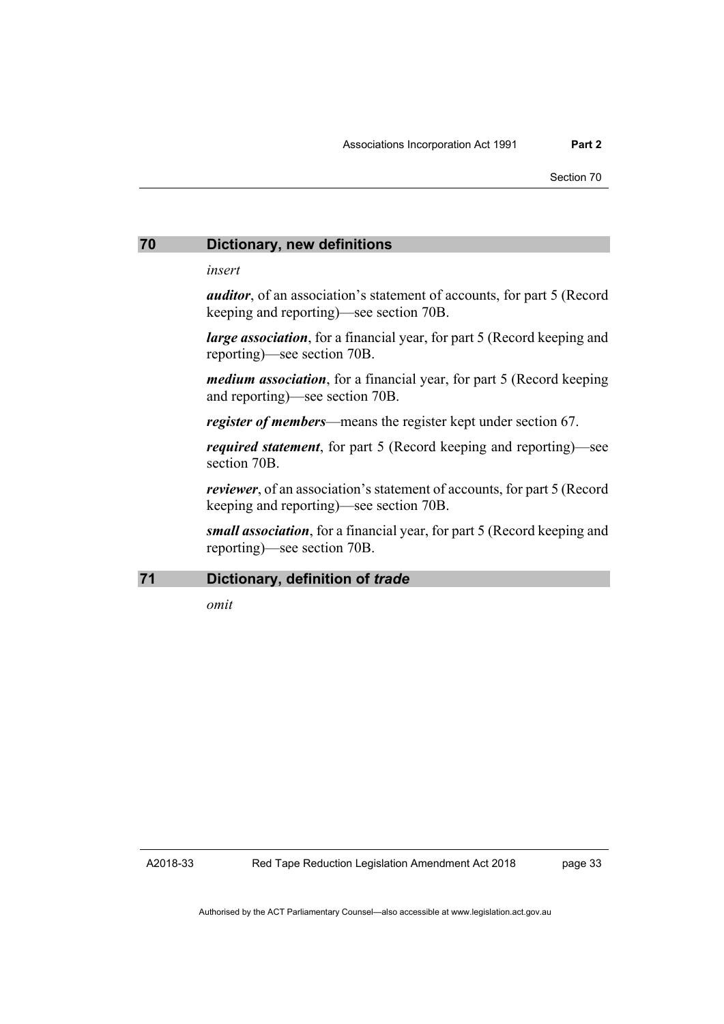#### **70 Dictionary, new definitions**

*insert*

*auditor*, of an association's statement of accounts, for part 5 (Record keeping and reporting)—see section 70B.

*large association*, for a financial year, for part 5 (Record keeping and reporting)—see section 70B.

*medium association*, for a financial year, for part 5 (Record keeping and reporting)—see section 70B.

*register of members*—means the register kept under section 67.

*required statement*, for part 5 (Record keeping and reporting)—see section 70B.

*reviewer*, of an association's statement of accounts, for part 5 (Record keeping and reporting)—see section 70B.

*small association*, for a financial year, for part 5 (Record keeping and reporting)—see section 70B.

#### **71 Dictionary, definition of** *trade*

*omit*

A2018-33

page 33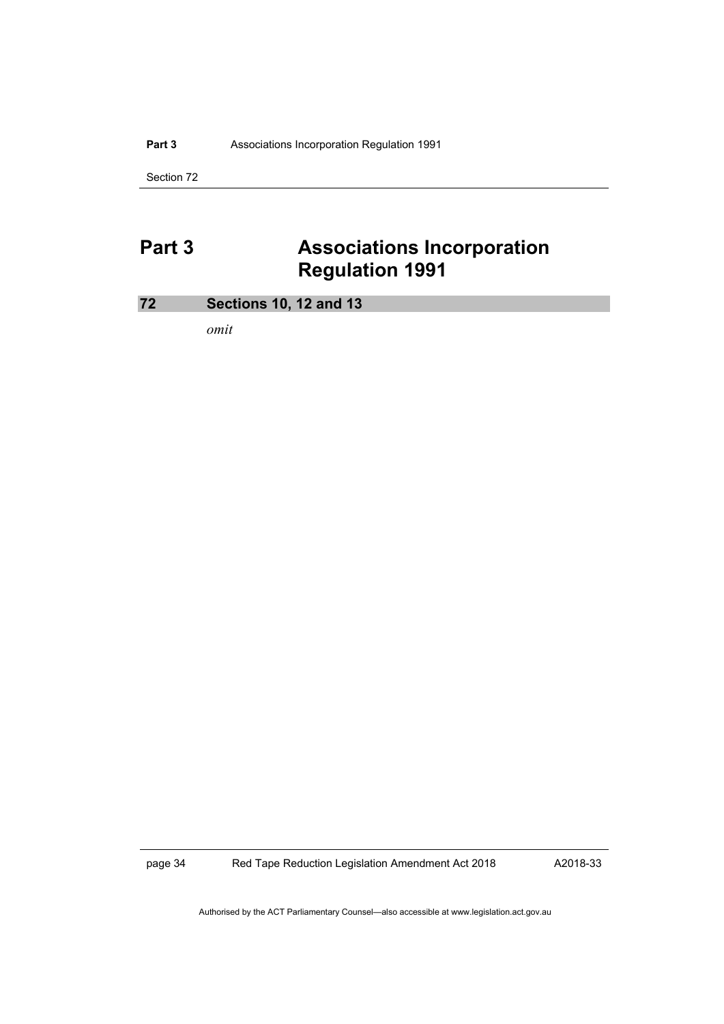#### Part 3 **Associations Incorporation Regulation 1991**

Section 72

# **Part 3 Associations Incorporation Regulation 1991**

### **72 Sections 10, 12 and 13**

*omit*

page 34 Red Tape Reduction Legislation Amendment Act 2018

A2018-33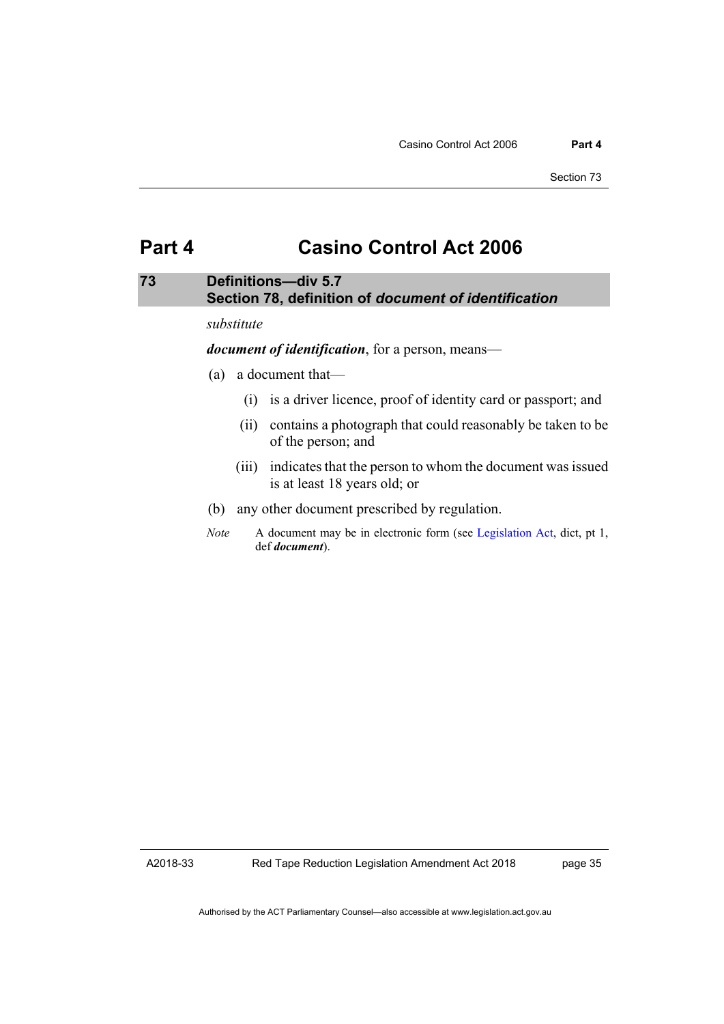### **Part 4 Casino Control Act 2006**

### **73 Definitions—div 5.7 Section 78, definition of** *document of identification*

#### *substitute*

*document of identification*, for a person, means—

- (a) a document that—
	- (i) is a driver licence, proof of identity card or passport; and
	- (ii) contains a photograph that could reasonably be taken to be of the person; and
	- (iii) indicates that the person to whom the document was issued is at least 18 years old; or
- (b) any other document prescribed by regulation.
- *Note* A document may be in electronic form (see [Legislation Act,](http://www.legislation.act.gov.au/a/2001-14) dict, pt 1, def *document*).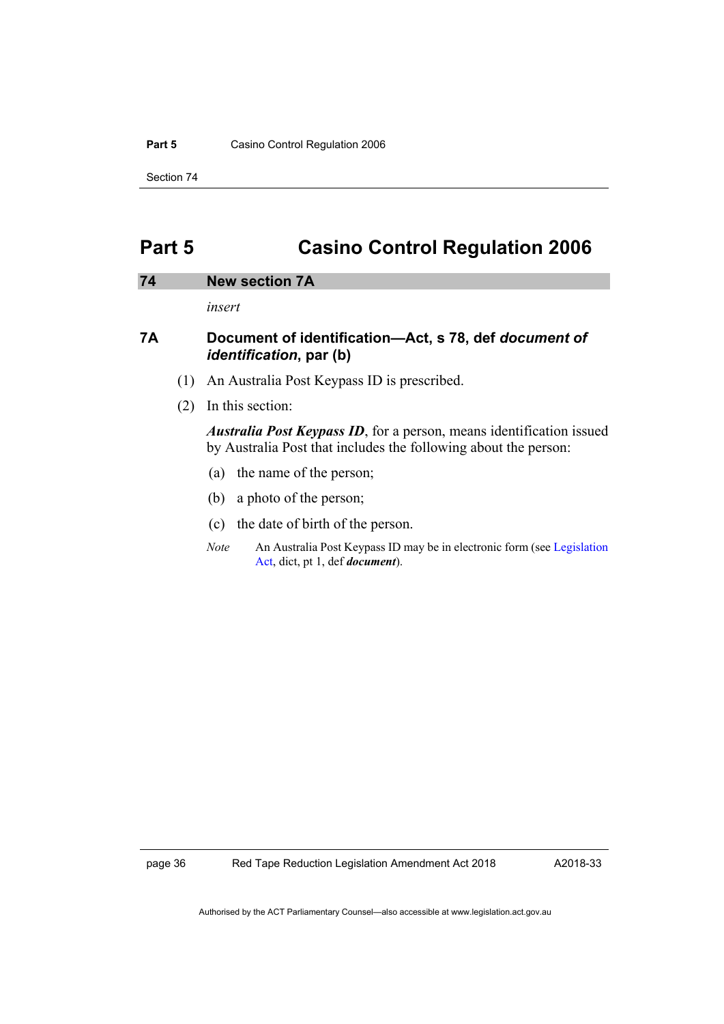#### Part 5 Casino Control Regulation 2006

Section 74

## **Part 5 Casino Control Regulation 2006**

#### **74 New section 7A**

*insert*

### **7A Document of identification—Act, s 78, def** *document of identification***, par (b)**

- (1) An Australia Post Keypass ID is prescribed.
- (2) In this section:

*Australia Post Keypass ID*, for a person, means identification issued by Australia Post that includes the following about the person:

- (a) the name of the person;
- (b) a photo of the person;
- (c) the date of birth of the person.
- *Note* An Australia Post Keypass ID may be in electronic form (se[e Legislation](http://www.legislation.act.gov.au/a/2001-14)  [Act,](http://www.legislation.act.gov.au/a/2001-14) dict, pt 1, def *document*).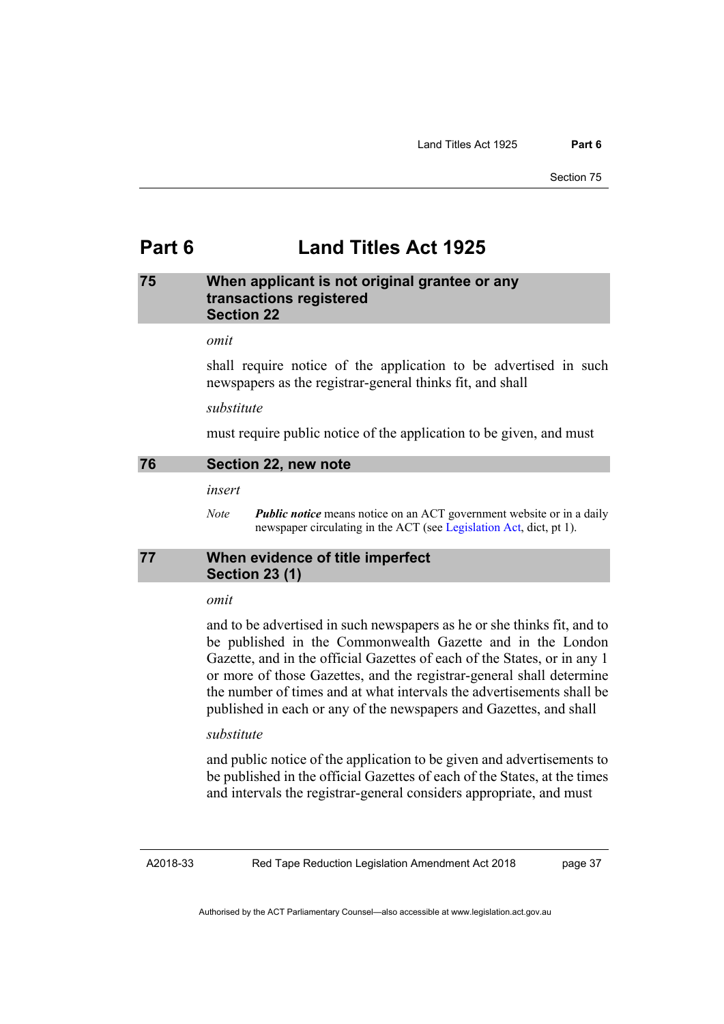## **Part 6 Land Titles Act 1925**

#### **75 When applicant is not original grantee or any transactions registered Section 22**

#### *omit*

shall require notice of the application to be advertised in such newspapers as the registrar-general thinks fit, and shall

#### *substitute*

must require public notice of the application to be given, and must

#### **76 Section 22, new note**

*insert*

*Note Public notice* means notice on an ACT government website or in a daily newspaper circulating in the ACT (se[e Legislation Act,](http://www.legislation.act.gov.au/a/2001-14) dict, pt 1).

### **77 When evidence of title imperfect Section 23 (1)**

#### *omit*

and to be advertised in such newspapers as he or she thinks fit, and to be published in the Commonwealth Gazette and in the London Gazette, and in the official Gazettes of each of the States, or in any 1 or more of those Gazettes, and the registrar-general shall determine the number of times and at what intervals the advertisements shall be published in each or any of the newspapers and Gazettes, and shall

#### *substitute*

and public notice of the application to be given and advertisements to be published in the official Gazettes of each of the States, at the times and intervals the registrar-general considers appropriate, and must

A2018-33

Red Tape Reduction Legislation Amendment Act 2018

page 37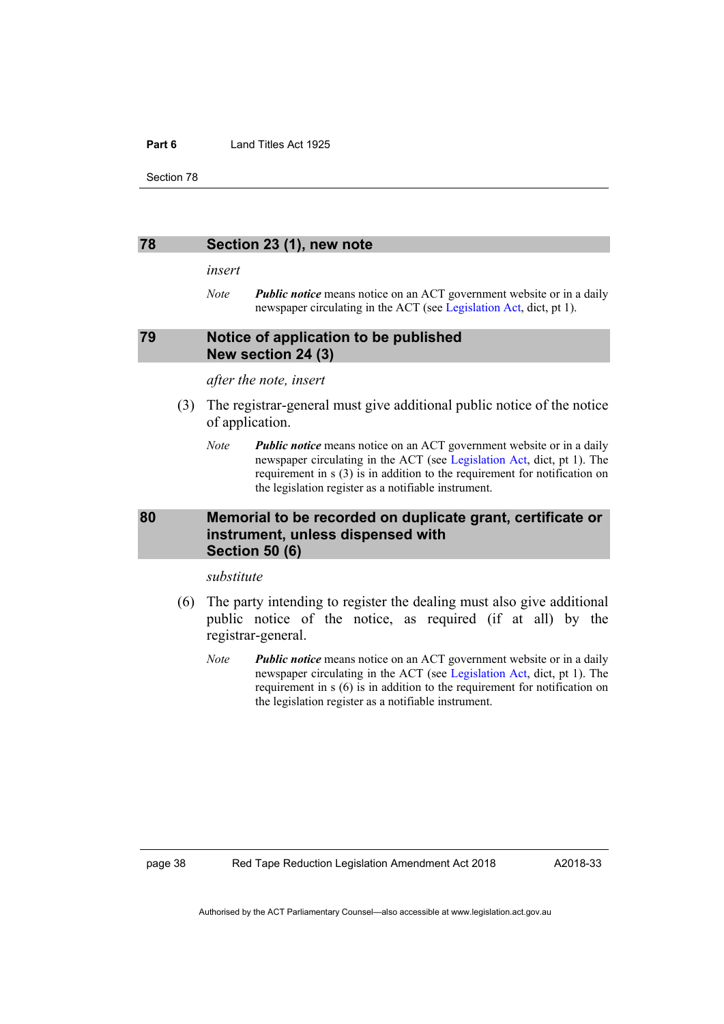#### **Part 6** Land Titles Act 1925

Section 78

#### **78 Section 23 (1), new note**

*insert*

*Note Public notice* means notice on an ACT government website or in a daily newspaper circulating in the ACT (se[e Legislation Act,](http://www.legislation.act.gov.au/a/2001-14) dict, pt 1).

#### **79 Notice of application to be published New section 24 (3)**

#### *after the note, insert*

- (3) The registrar-general must give additional public notice of the notice of application.
	- *Note Public notice* means notice on an ACT government website or in a daily newspaper circulating in the ACT (see [Legislation Act,](http://www.legislation.act.gov.au/a/2001-14) dict, pt 1). The requirement in s (3) is in addition to the requirement for notification on the legislation register as a notifiable instrument.

### **80 Memorial to be recorded on duplicate grant, certificate or instrument, unless dispensed with Section 50 (6)**

#### *substitute*

- (6) The party intending to register the dealing must also give additional public notice of the notice, as required (if at all) by the registrar-general.
	- *Note Public notice* means notice on an ACT government website or in a daily newspaper circulating in the ACT (see [Legislation Act,](http://www.legislation.act.gov.au/a/2001-14) dict, pt 1). The requirement in s (6) is in addition to the requirement for notification on the legislation register as a notifiable instrument.

page 38 Red Tape Reduction Legislation Amendment Act 2018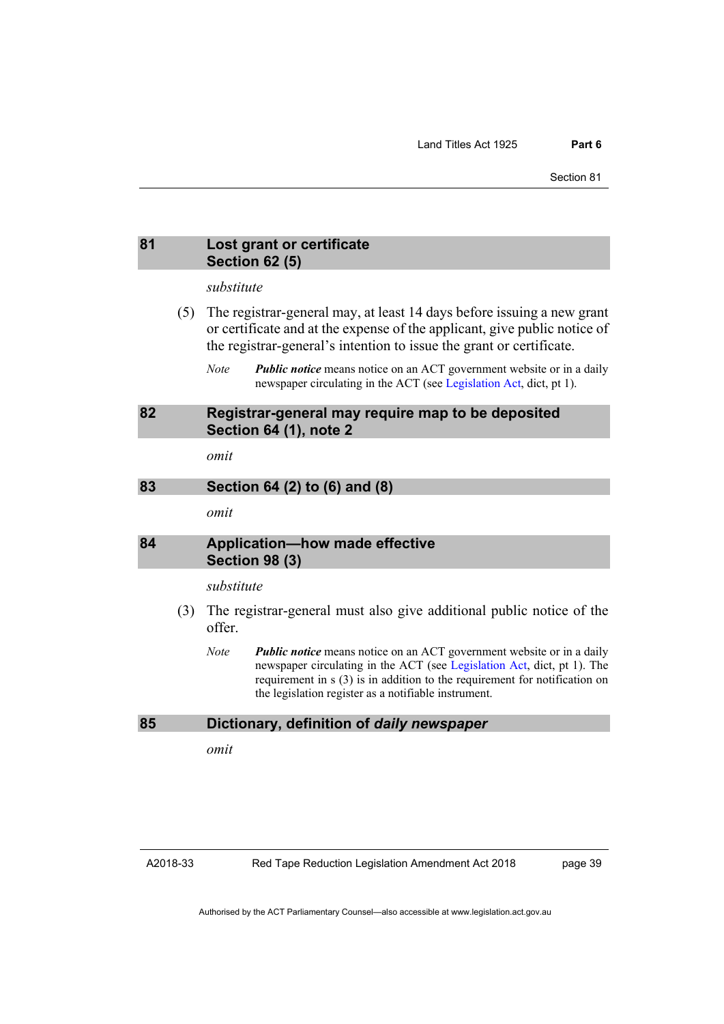#### **81 Lost grant or certificate Section 62 (5)**

#### *substitute*

- (5) The registrar-general may, at least 14 days before issuing a new grant or certificate and at the expense of the applicant, give public notice of the registrar-general's intention to issue the grant or certificate.
	- *Note Public notice* means notice on an ACT government website or in a daily newspaper circulating in the ACT (se[e Legislation Act,](http://www.legislation.act.gov.au/a/2001-14) dict, pt 1).

#### **82 Registrar-general may require map to be deposited Section 64 (1), note 2**

*omit*

#### **83 Section 64 (2) to (6) and (8)**

*omit*

#### **84 Application—how made effective Section 98 (3)**

#### *substitute*

- (3) The registrar-general must also give additional public notice of the offer.
	- *Note Public notice* means notice on an ACT government website or in a daily newspaper circulating in the ACT (see [Legislation Act,](http://www.legislation.act.gov.au/a/2001-14) dict, pt 1). The requirement in s (3) is in addition to the requirement for notification on the legislation register as a notifiable instrument.

#### **85 Dictionary, definition of** *daily newspaper*

*omit*

A2018-33

page 39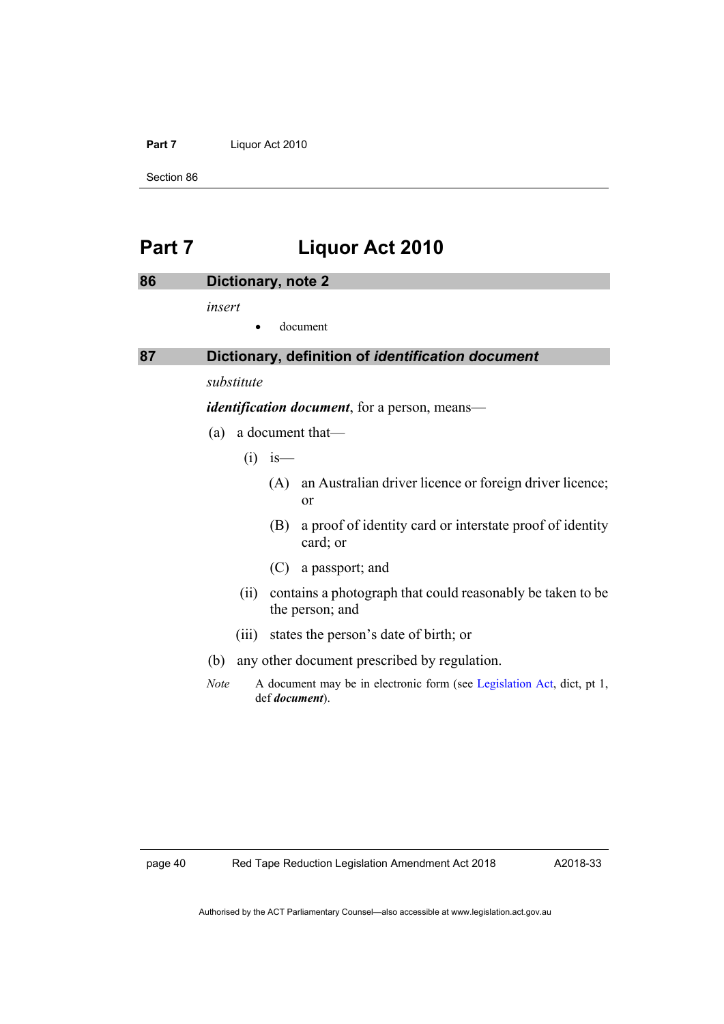#### Part 7 Liquor Act 2010

Section 86

# **Part 7 Liquor Act 2010**

| 86 |             | Dictionary, note 2                                                                               |
|----|-------------|--------------------------------------------------------------------------------------------------|
|    | insert      |                                                                                                  |
|    |             | document                                                                                         |
| 87 |             | Dictionary, definition of identification document                                                |
|    | substitute  |                                                                                                  |
|    |             | <i>identification document</i> , for a person, means—                                            |
|    | (a)         | a document that—                                                                                 |
|    |             | $(i)$ is —                                                                                       |
|    |             | an Australian driver licence or foreign driver licence;<br>(A)<br>or                             |
|    |             | a proof of identity card or interstate proof of identity<br>(B)<br>card; or                      |
|    |             | $(C)$ a passport; and                                                                            |
|    | (i)         | contains a photograph that could reasonably be taken to be<br>the person; and                    |
|    | (iii)       | states the person's date of birth; or                                                            |
|    | (b)         | any other document prescribed by regulation.                                                     |
|    | <b>Note</b> | A document may be in electronic form (see Legislation Act, dict, pt 1,<br>def <i>document</i> ). |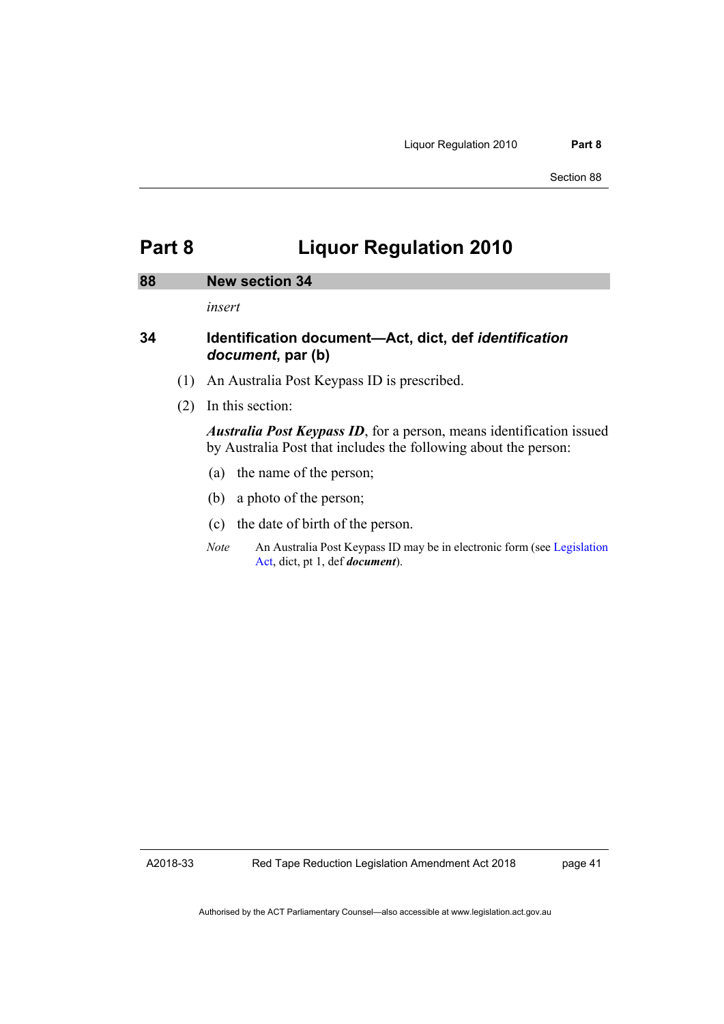## **Part 8 Liquor Regulation 2010**

#### **88 New section 34**

*insert*

### **34 Identification document—Act, dict, def** *identification document***, par (b)**

- (1) An Australia Post Keypass ID is prescribed.
- (2) In this section:

*Australia Post Keypass ID*, for a person, means identification issued by Australia Post that includes the following about the person:

- (a) the name of the person;
- (b) a photo of the person;
- (c) the date of birth of the person.
- *Note* An Australia Post Keypass ID may be in electronic form (se[e Legislation](http://www.legislation.act.gov.au/a/2001-14)  [Act,](http://www.legislation.act.gov.au/a/2001-14) dict, pt 1, def *document*).

A2018-33

page 41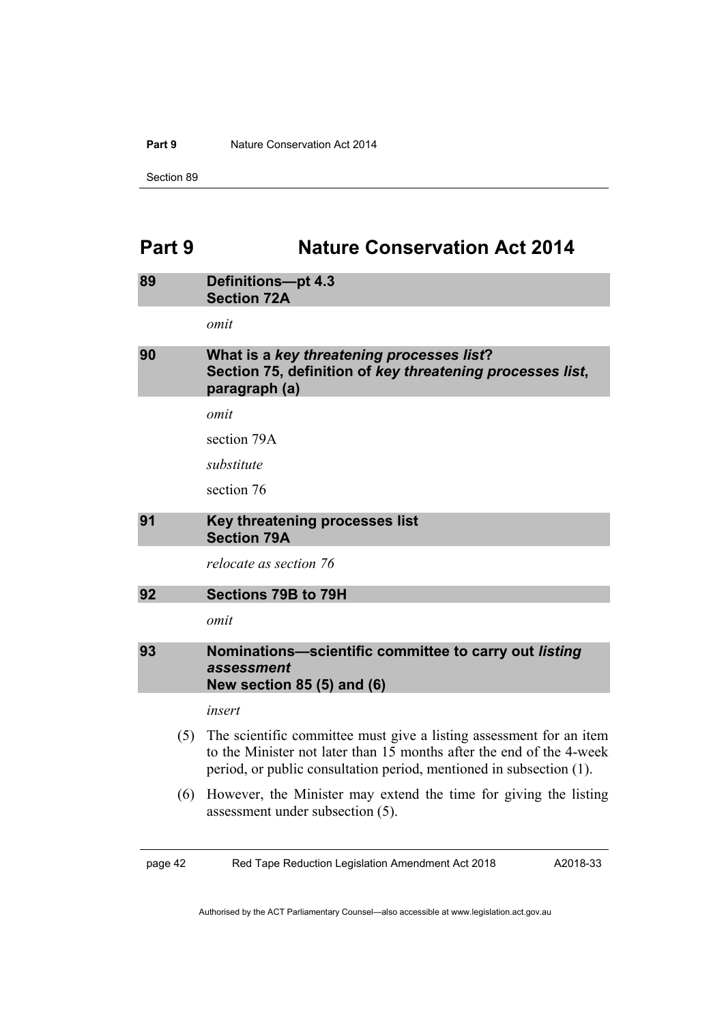#### **Part 9** Nature Conservation Act 2014

Section 89

# **Part 9 Nature Conservation Act 2014**

| 89      | <b>Definitions-pt 4.3</b><br><b>Section 72A</b>                                                                                                                                                                    |
|---------|--------------------------------------------------------------------------------------------------------------------------------------------------------------------------------------------------------------------|
|         | omit                                                                                                                                                                                                               |
| 90      | What is a key threatening processes list?<br>Section 75, definition of key threatening processes list,<br>paragraph (a)                                                                                            |
|         | omit                                                                                                                                                                                                               |
|         | section 79A                                                                                                                                                                                                        |
|         | substitute                                                                                                                                                                                                         |
|         | section 76                                                                                                                                                                                                         |
| 91      | Key threatening processes list<br><b>Section 79A</b>                                                                                                                                                               |
|         | relocate as section 76                                                                                                                                                                                             |
| 92      | Sections 79B to 79H                                                                                                                                                                                                |
|         | omit                                                                                                                                                                                                               |
| 93      | Nominations-scientific committee to carry out listing<br>assessment<br><b>New section 85 (5) and (6)</b>                                                                                                           |
|         | insert                                                                                                                                                                                                             |
| (5)     | The scientific committee must give a listing assessment for an item<br>to the Minister not later than 15 months after the end of the 4-week<br>period, or public consultation period, mentioned in subsection (1). |
| (6)     | However, the Minister may extend the time for giving the listing<br>assessment under subsection (5).                                                                                                               |
| page 42 | Red Tape Reduction Legislation Amendment Act 2018<br>A2018-33                                                                                                                                                      |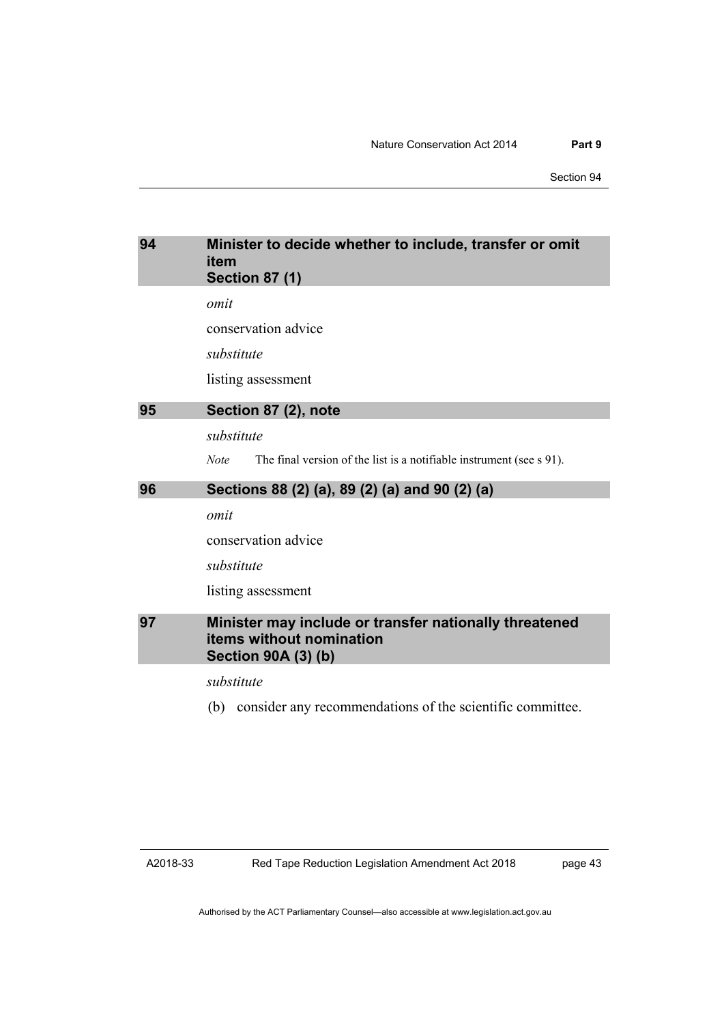Section 94

# **94 Minister to decide whether to include, transfer or omit item Section 87 (1)** *omit* conservation advice *substitute* listing assessment **95 Section 87 (2), note** *substitute Note* The final version of the list is a notifiable instrument (see s 91). **96 Sections 88 (2) (a), 89 (2) (a) and 90 (2) (a)** *omit* conservation advice *substitute* listing assessment **97 Minister may include or transfer nationally threatened items without nomination Section 90A (3) (b)** *substitute* (b) consider any recommendations of the scientific committee.

A2018-33

page 43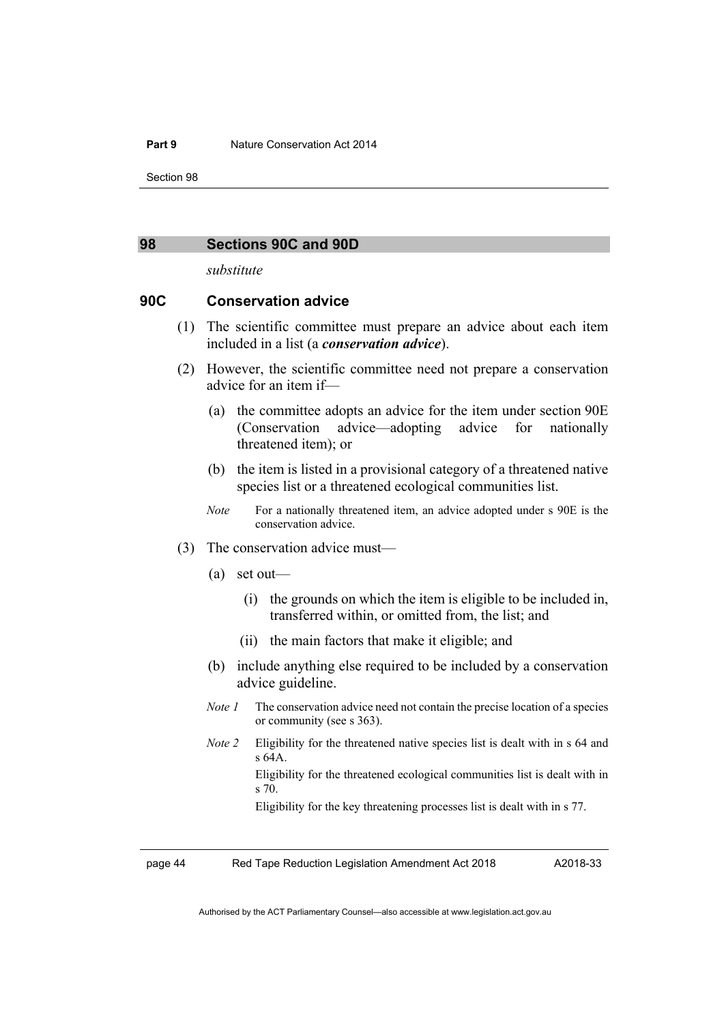#### **Part 9** Nature Conservation Act 2014

Section 98

#### **98 Sections 90C and 90D**

*substitute*

#### **90C Conservation advice**

- (1) The scientific committee must prepare an advice about each item included in a list (a *conservation advice*).
- (2) However, the scientific committee need not prepare a conservation advice for an item if—
	- (a) the committee adopts an advice for the item under section 90E (Conservation advice—adopting advice for nationally threatened item); or
	- (b) the item is listed in a provisional category of a threatened native species list or a threatened ecological communities list.
	- *Note* For a nationally threatened item, an advice adopted under s 90E is the conservation advice.
- (3) The conservation advice must—
	- (a) set out—
		- (i) the grounds on which the item is eligible to be included in, transferred within, or omitted from, the list; and
		- (ii) the main factors that make it eligible; and
	- (b) include anything else required to be included by a conservation advice guideline.
	- *Note 1* The conservation advice need not contain the precise location of a species or community (see s 363).
	- *Note 2* Eligibility for the threatened native species list is dealt with in s 64 and s 64A.

Eligibility for the threatened ecological communities list is dealt with in s 70.

Eligibility for the key threatening processes list is dealt with in s 77.

page 44 Red Tape Reduction Legislation Amendment Act 2018

A2018-33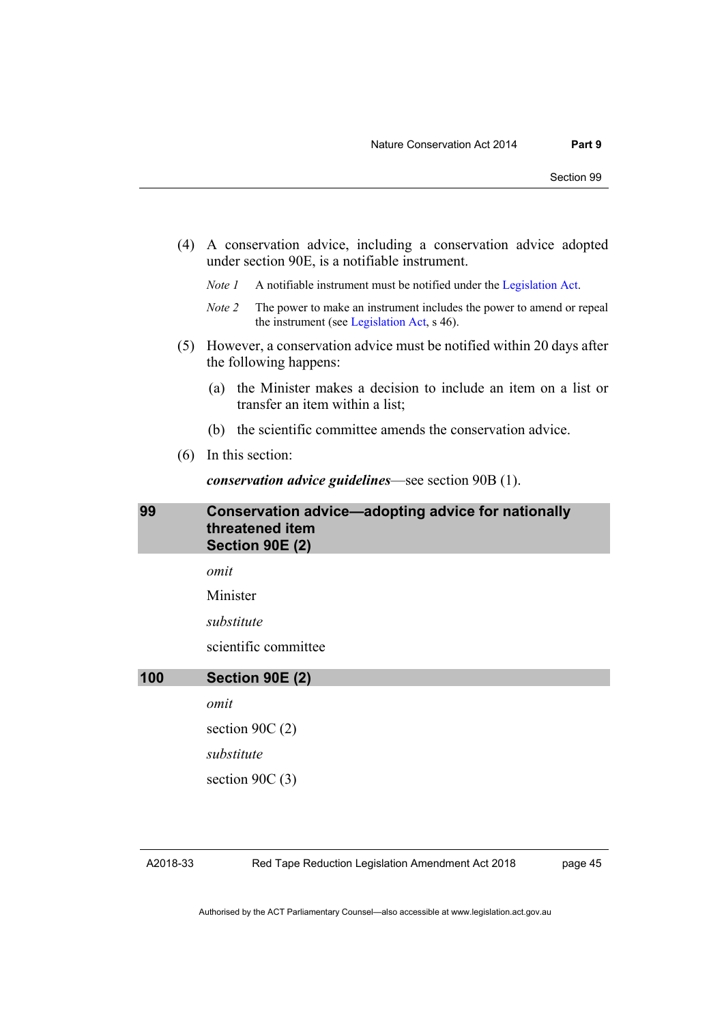- (4) A conservation advice, including a conservation advice adopted under section 90E, is a notifiable instrument.
	- *Note 1* A notifiable instrument must be notified under the [Legislation Act.](http://www.legislation.act.gov.au/a/2001-14)
	- *Note 2* The power to make an instrument includes the power to amend or repeal the instrument (se[e Legislation Act,](http://www.legislation.act.gov.au/a/2001-14) s 46).
- (5) However, a conservation advice must be notified within 20 days after the following happens:
	- (a) the Minister makes a decision to include an item on a list or transfer an item within a list;
	- (b) the scientific committee amends the conservation advice.
- (6) In this section:

*conservation advice guidelines*—see section 90B (1).

**99 Conservation advice—adopting advice for nationally threatened item Section 90E (2)**

*omit*

Minister

*substitute*

scientific committee

**100 Section 90E (2)**

*omit*

section 90C (2)

*substitute*

section 90C (3)

Red Tape Reduction Legislation Amendment Act 2018

page 45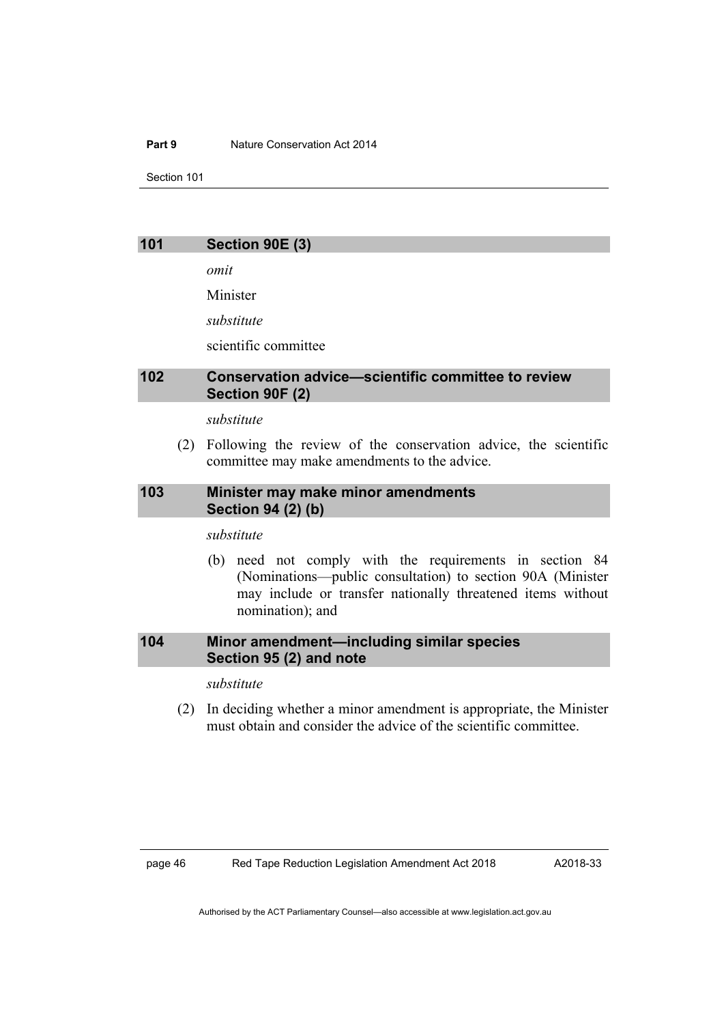#### **Part 9** Nature Conservation Act 2014

Section 101

#### **101 Section 90E (3)**

*omit*

Minister

*substitute*

scientific committee

#### **102 Conservation advice—scientific committee to review Section 90F (2)**

#### *substitute*

(2) Following the review of the conservation advice, the scientific committee may make amendments to the advice.

### **103 Minister may make minor amendments Section 94 (2) (b)**

*substitute*

(b) need not comply with the requirements in section 84 (Nominations—public consultation) to section 90A (Minister may include or transfer nationally threatened items without nomination); and

### **104 Minor amendment—including similar species Section 95 (2) and note**

*substitute*

(2) In deciding whether a minor amendment is appropriate, the Minister must obtain and consider the advice of the scientific committee.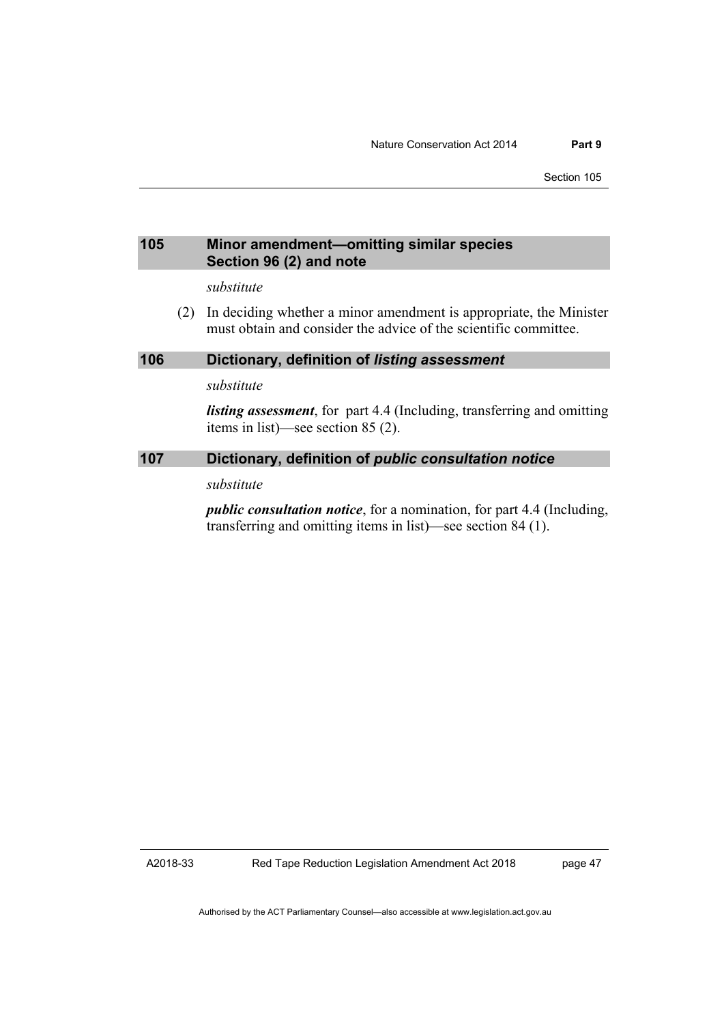### **105 Minor amendment—omitting similar species Section 96 (2) and note**

*substitute*

(2) In deciding whether a minor amendment is appropriate, the Minister must obtain and consider the advice of the scientific committee.

#### **106 Dictionary, definition of** *listing assessment*

*substitute*

*listing assessment*, for part 4.4 (Including, transferring and omitting items in list)—see section 85 (2).

#### **107 Dictionary, definition of** *public consultation notice*

*substitute*

*public consultation notice*, for a nomination, for part 4.4 (Including, transferring and omitting items in list)—see section 84 (1).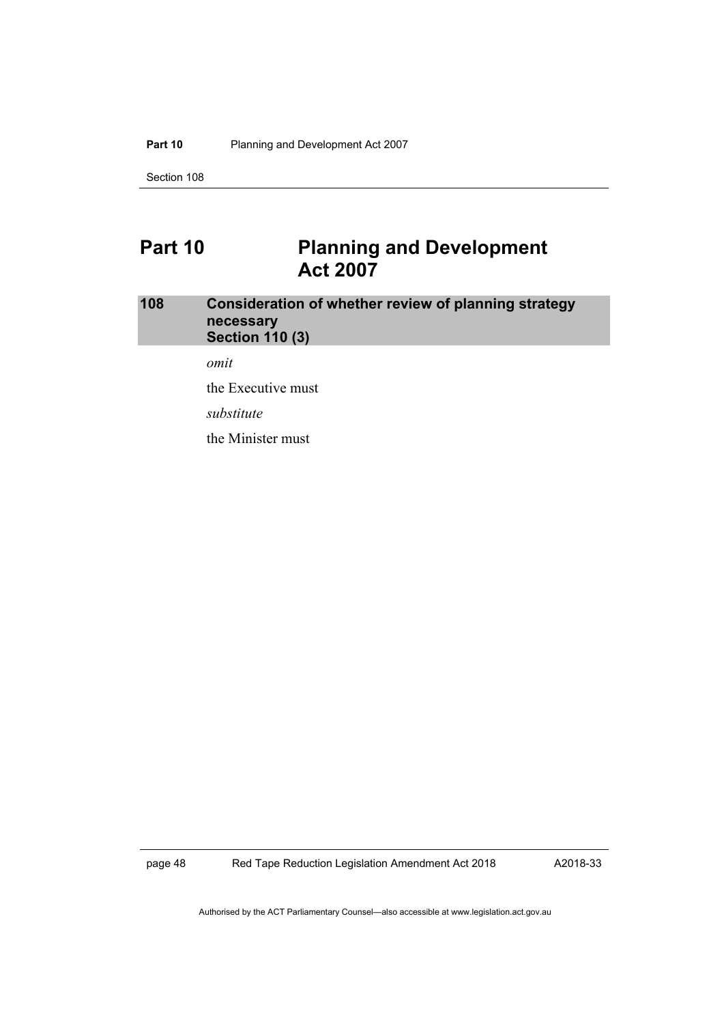#### Part 10 Planning and Development Act 2007

Section 108

# **Part 10 Planning and Development Act 2007**

### **108 Consideration of whether review of planning strategy necessary Section 110 (3)**

*omit*

the Executive must

*substitute*

the Minister must

page 48 Red Tape Reduction Legislation Amendment Act 2018

A2018-33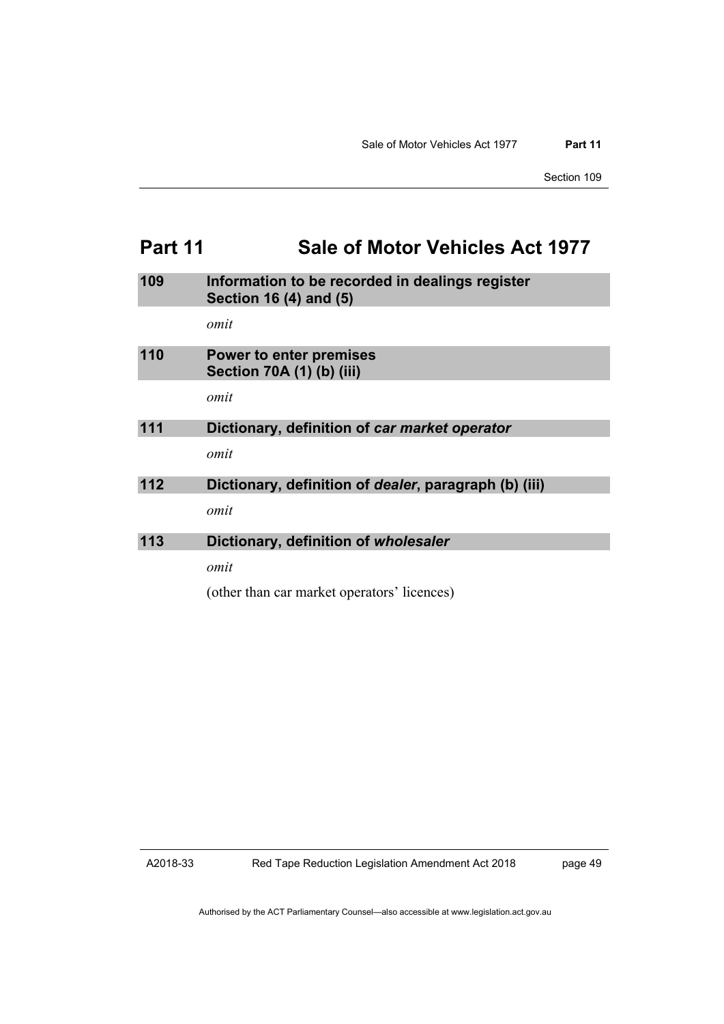# **Part 11 Sale of Motor Vehicles Act 1977**

| 109 | Information to be recorded in dealings register<br>Section 16 (4) and (5) |
|-----|---------------------------------------------------------------------------|
|     | omit                                                                      |
| 110 | <b>Power to enter premises</b><br>Section 70A (1) (b) (iii)               |
|     | omit                                                                      |
| 111 | Dictionary, definition of car market operator                             |
|     | omit                                                                      |
| 112 | Dictionary, definition of <i>dealer</i> , paragraph (b) (iii)             |
|     | omit                                                                      |
| 113 | Dictionary, definition of wholesaler                                      |
|     | omit                                                                      |
|     | (other than car market operators' licences)                               |

A2018-33

page 49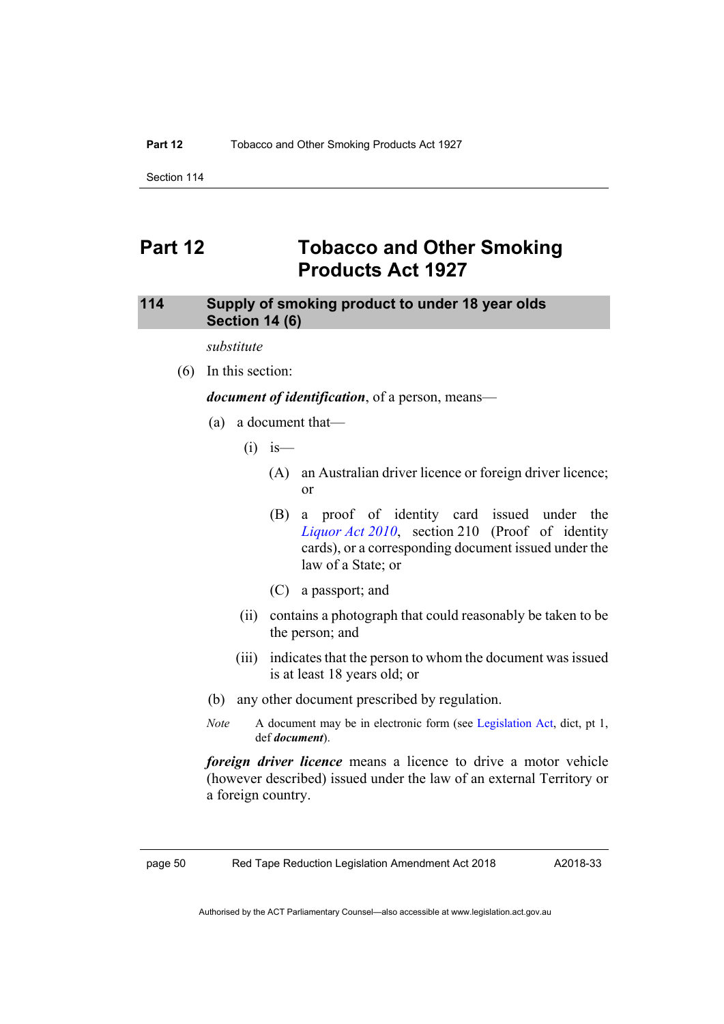Section 114

## **Part 12 Tobacco and Other Smoking Products Act 1927**

### **114 Supply of smoking product to under 18 year olds Section 14 (6)**

*substitute*

(6) In this section:

*document of identification*, of a person, means—

- (a) a document that—
	- $(i)$  is
		- (A) an Australian driver licence or foreign driver licence; or
		- (B) a proof of identity card issued under the *[Liquor](http://www.legislation.act.gov.au/a/2010-35) Act 2010*, section 210 (Proof of identity cards), or a corresponding document issued under the law of a State; or
		- (C) a passport; and
	- (ii) contains a photograph that could reasonably be taken to be the person; and
	- (iii) indicates that the person to whom the document was issued is at least 18 years old; or
- (b) any other document prescribed by regulation.
- *Note* A document may be in electronic form (see [Legislation Act,](http://www.legislation.act.gov.au/a/2001-14) dict, pt 1, def *document*).

*foreign driver licence* means a licence to drive a motor vehicle (however described) issued under the law of an external Territory or a foreign country.

page 50 Red Tape Reduction Legislation Amendment Act 2018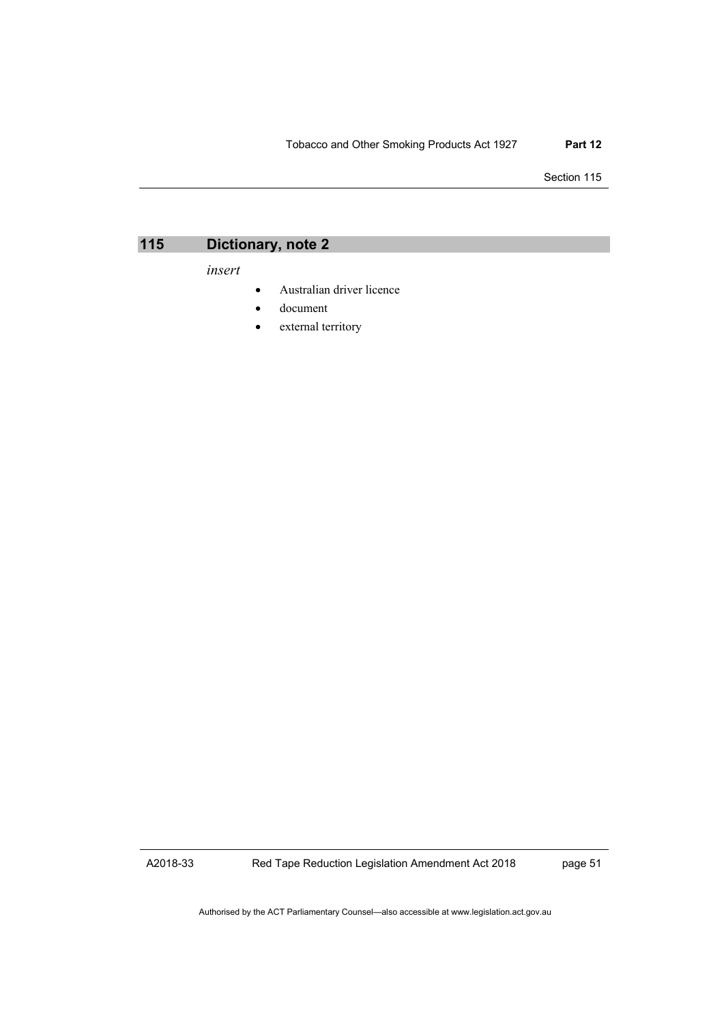#### Tobacco and Other Smoking Products Act 1927 **Part 12**

Section 115



*insert*

- Australian driver licence
- document
- external territory

A2018-33

Red Tape Reduction Legislation Amendment Act 2018

page 51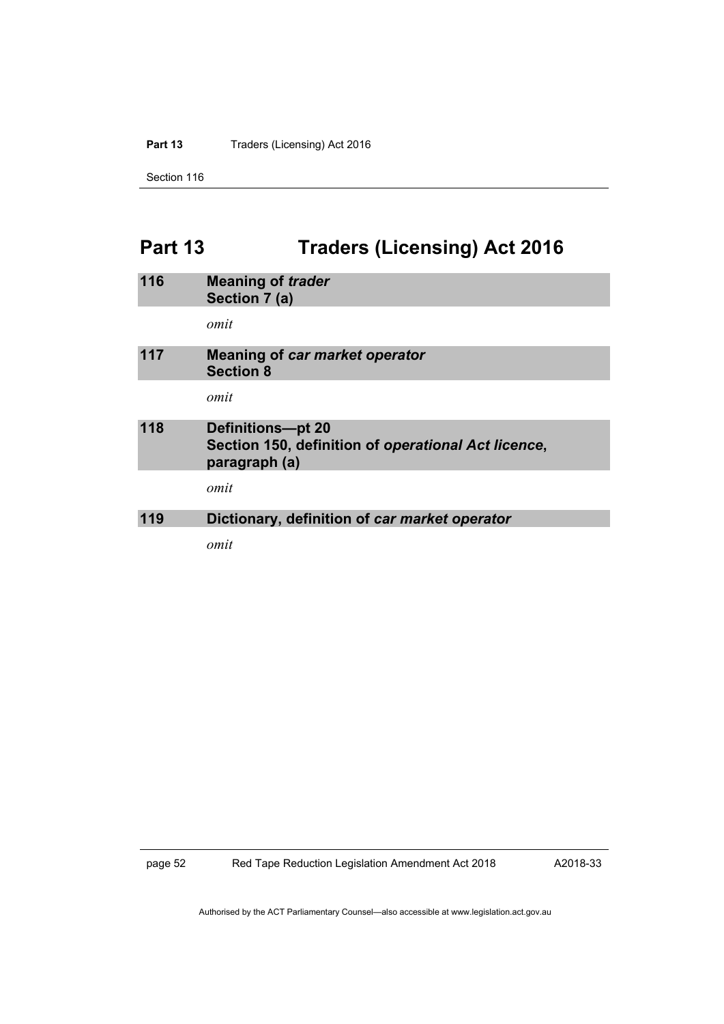Part 13 Traders (Licensing) Act 2016

Section 116

# **Part 13 Traders (Licensing) Act 2016**

| 116 | <b>Meaning of trader</b><br>Section 7 (a)                                                 |
|-----|-------------------------------------------------------------------------------------------|
|     | omit                                                                                      |
| 117 | <b>Meaning of car market operator</b><br><b>Section 8</b>                                 |
|     | omit                                                                                      |
| 118 | Definitions-pt 20<br>Section 150, definition of operational Act licence,<br>paragraph (a) |
|     | omit                                                                                      |
| 119 | Dictionary, definition of car market operator                                             |
|     | omit                                                                                      |

page 52 Red Tape Reduction Legislation Amendment Act 2018

A2018-33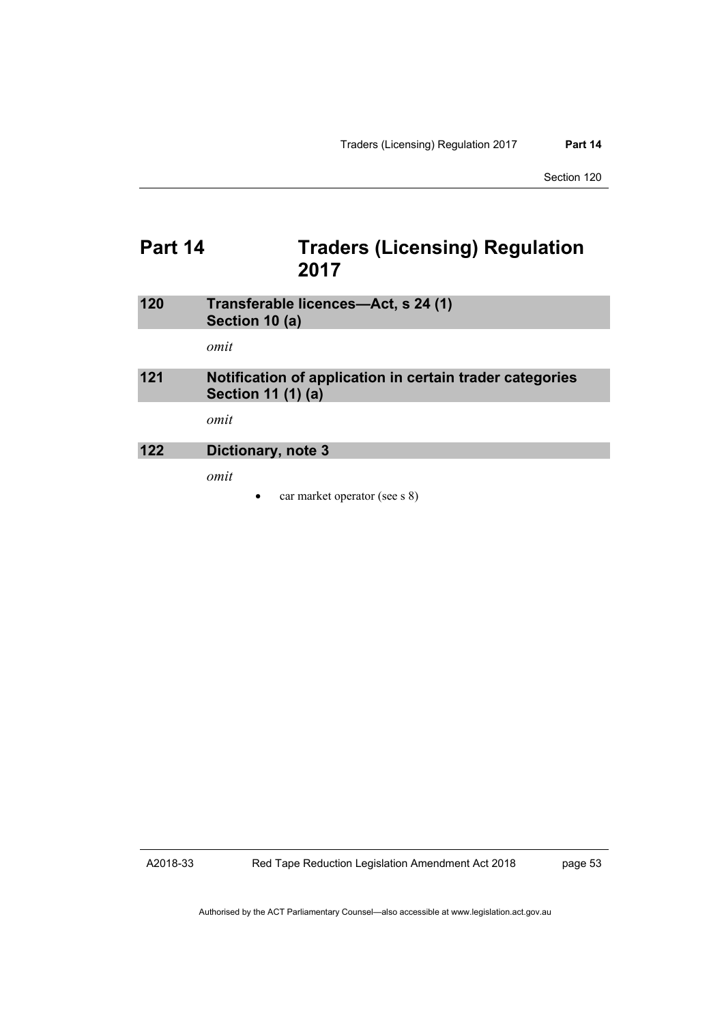Section 120

# **Part 14 Traders (Licensing) Regulation 2017**

| 120 | Transferable licences-Act, s 24 (1)<br>Section 10 (a)                          |
|-----|--------------------------------------------------------------------------------|
|     | omit                                                                           |
| 121 | Notification of application in certain trader categories<br>Section 11 (1) (a) |
|     | omit                                                                           |
| 122 | Dictionary, note 3                                                             |
|     | omit                                                                           |

• car market operator (see s 8)

A2018-33

Red Tape Reduction Legislation Amendment Act 2018

page 53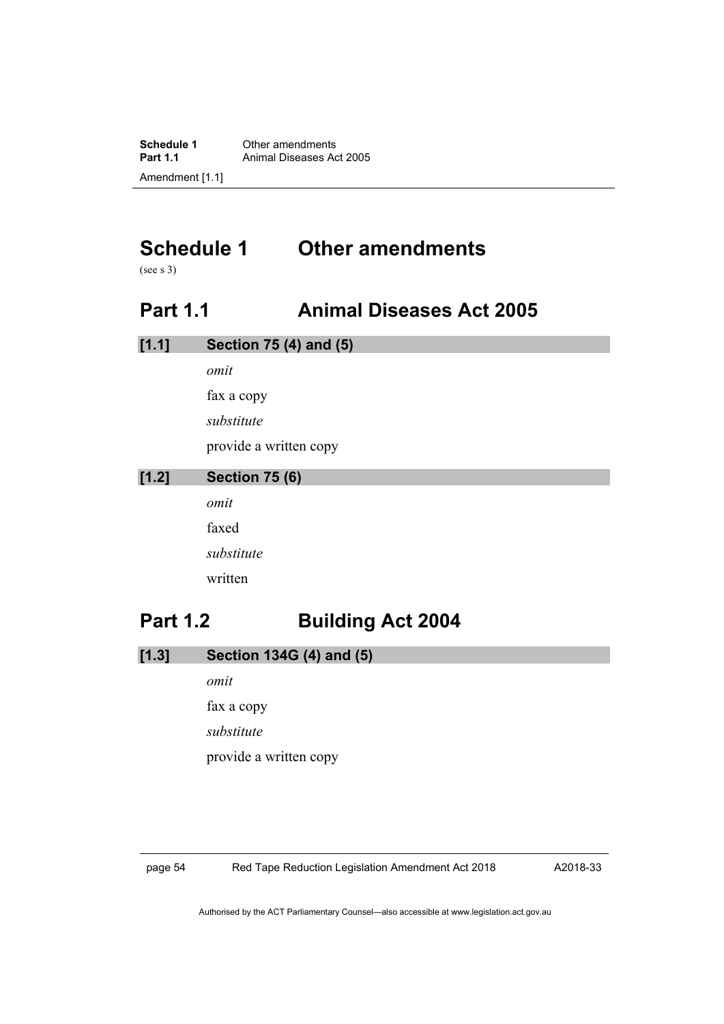**Schedule 1** Other amendments<br>**Part 1.1** Animal Diseases Ad **Animal Diseases Act 2005** Amendment [1.1]

# **Schedule 1 Other amendments**

(see s 3)

# **Part 1.1 Animal Diseases Act 2005**

| [1.1] | <b>Section 75 (4) and (5)</b> |
|-------|-------------------------------|
|       | omit                          |
|       | fax a copy                    |
|       | substitute                    |
|       | provide a written copy        |
| [1.2] | <b>Section 75 (6)</b>         |
|       | omit                          |
|       | faxed                         |
|       | substitute                    |
|       | written                       |
|       |                               |

# **Part 1.2 Building Act 2004**

| [1.3] | Section 134G (4) and (5) |  |  |
|-------|--------------------------|--|--|
|       |                          |  |  |

*omit* fax a copy *substitute* provide a written copy

page 54 Red Tape Reduction Legislation Amendment Act 2018

A2018-33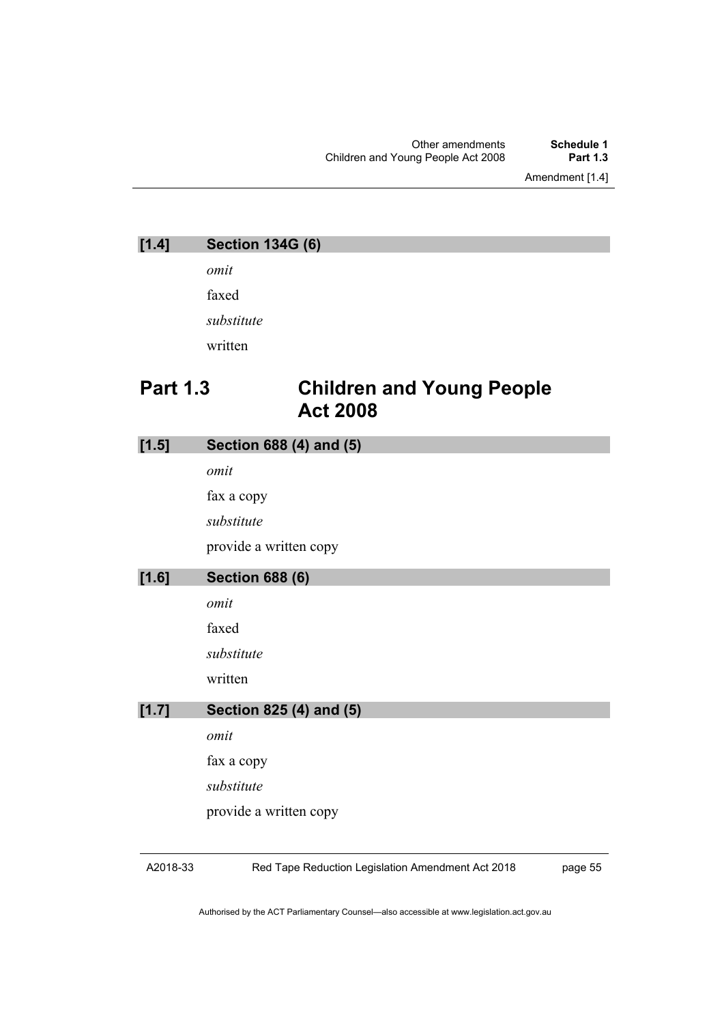Amendment [1.4]

| $[1.4]$         | <b>Section 134G (6)</b>                             |
|-----------------|-----------------------------------------------------|
|                 | omit                                                |
|                 | faxed                                               |
|                 | substitute                                          |
|                 | written                                             |
| <b>Part 1.3</b> | <b>Children and Young People</b><br><b>Act 2008</b> |
| $[1.5]$         | Section 688 (4) and (5)                             |
|                 | omit                                                |
|                 | fax a copy                                          |
|                 | substitute                                          |
|                 | provide a written copy                              |
| $[1.6]$         | <b>Section 688 (6)</b>                              |
|                 | omit                                                |
|                 | faxed                                               |
|                 | substitute                                          |
|                 | written                                             |
| [1.7]           | Section 825 (4) and (5)                             |
|                 | omit                                                |
|                 | fax a copy                                          |
|                 | substitute                                          |
|                 | provide a written copy                              |
|                 |                                                     |

A2018-33

Red Tape Reduction Legislation Amendment Act 2018

page 55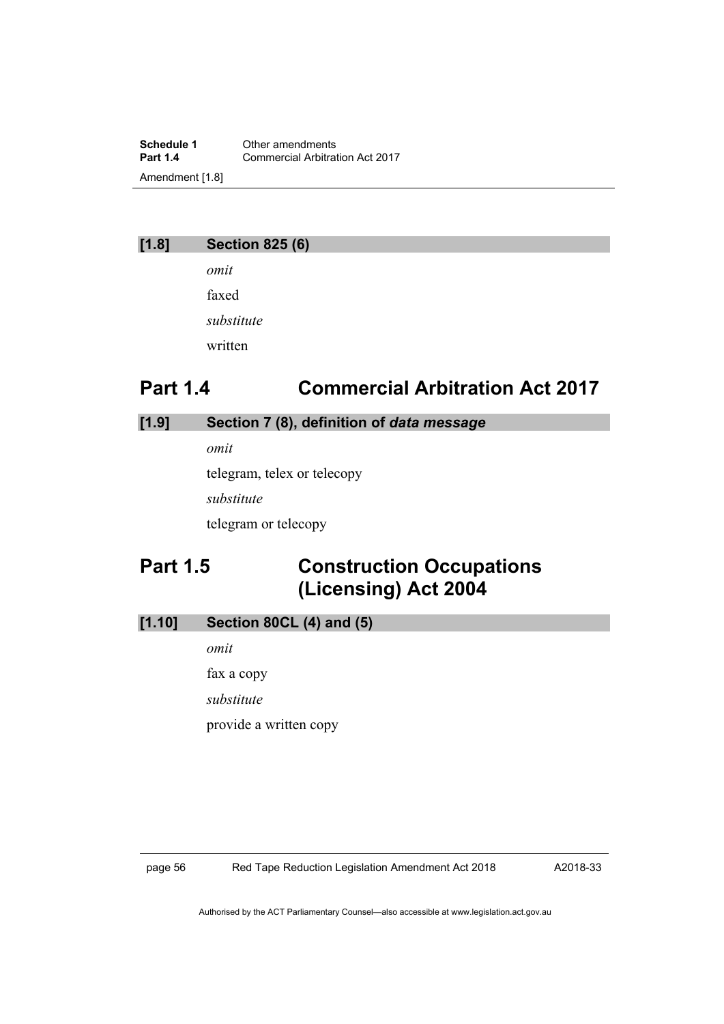**Schedule 1** Other amendments<br> **Part 1.4** Commercial Arbitrat **Commercial Arbitration Act 2017** Amendment [1.8]

### **[1.8] Section 825 (6)**

*omit* faxed *substitute* written

# **Part 1.4 Commercial Arbitration Act 2017**

### **[1.9] Section 7 (8), definition of** *data message*

*omit*

telegram, telex or telecopy

*substitute*

telegram or telecopy

# **Part 1.5 Construction Occupations (Licensing) Act 2004**

### **[1.10] Section 80CL (4) and (5)**

*omit*

fax a copy

*substitute*

provide a written copy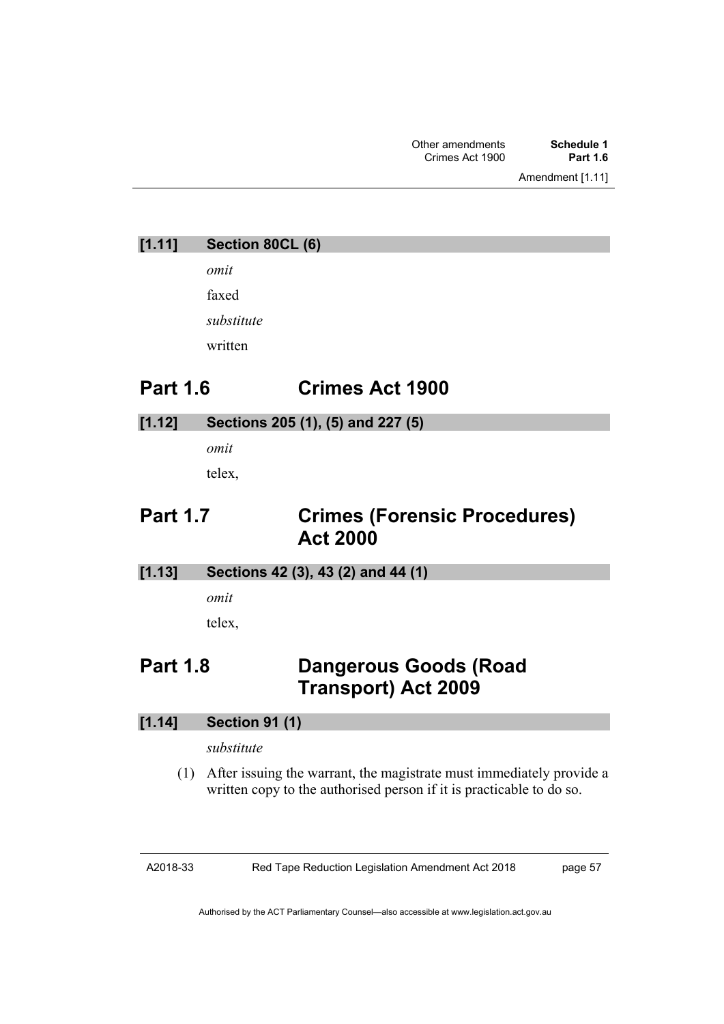Amendment [1.11]

**[1.11] Section 80CL (6)**

*omit*

faxed *substitute*

written

# **Part 1.6 Crimes Act 1900**

### **[1.12] Sections 205 (1), (5) and 227 (5)**

*omit* telex,

# **Part 1.7 Crimes (Forensic Procedures) Act 2000**

**[1.13] Sections 42 (3), 43 (2) and 44 (1)**

*omit*

telex,

# **Part 1.8 Dangerous Goods (Road Transport) Act 2009**

### **[1.14] Section 91 (1)**

### *substitute*

(1) After issuing the warrant, the magistrate must immediately provide a written copy to the authorised person if it is practicable to do so.

Red Tape Reduction Legislation Amendment Act 2018

page 57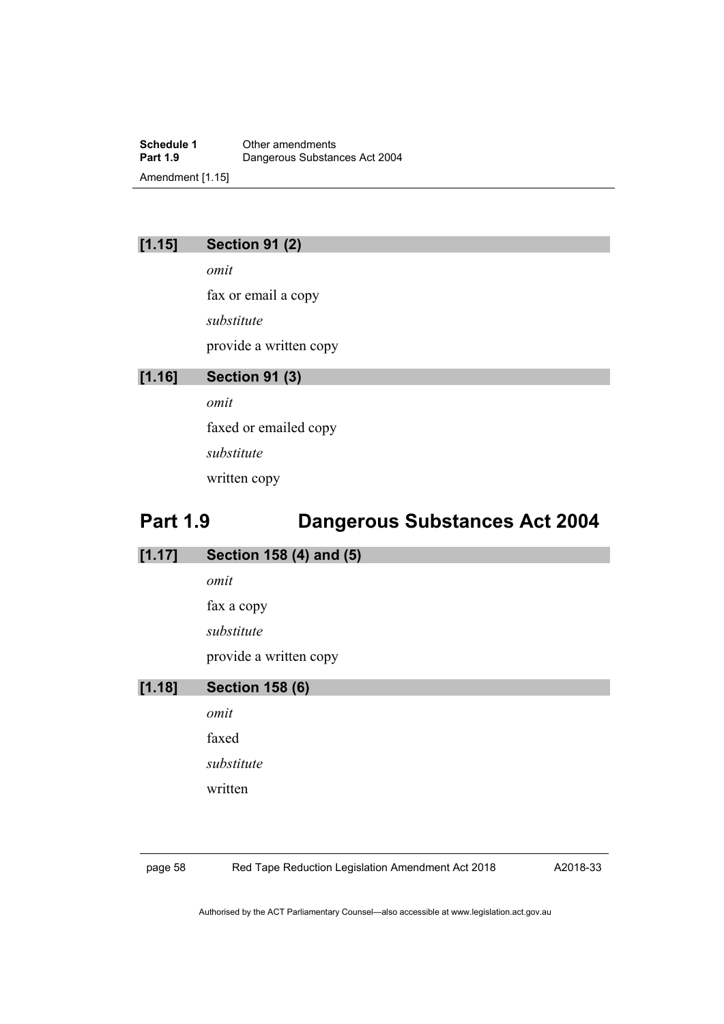**Schedule 1** Other amendments<br> **Part 1.9** Dangerous Substan **Dangerous Substances Act 2004** Amendment [1.15]

### **[1.15] Section 91 (2)**

*omit* fax or email a copy *substitute* provide a written copy

### **[1.16] Section 91 (3)**

*omit* faxed or emailed copy *substitute*

written copy

# **Part 1.9 Dangerous Substances Act 2004**

| [1.17] | Section 158 (4) and (5) |
|--------|-------------------------|
|        | omit                    |
|        | fax a copy              |
|        | substitute              |
|        | provide a written copy  |
| [1.18] | <b>Section 158 (6)</b>  |
|        | omit                    |

faxed *substitute* written

8 Red Tape Reduction Legislation Amendment Act 2018

A2018-33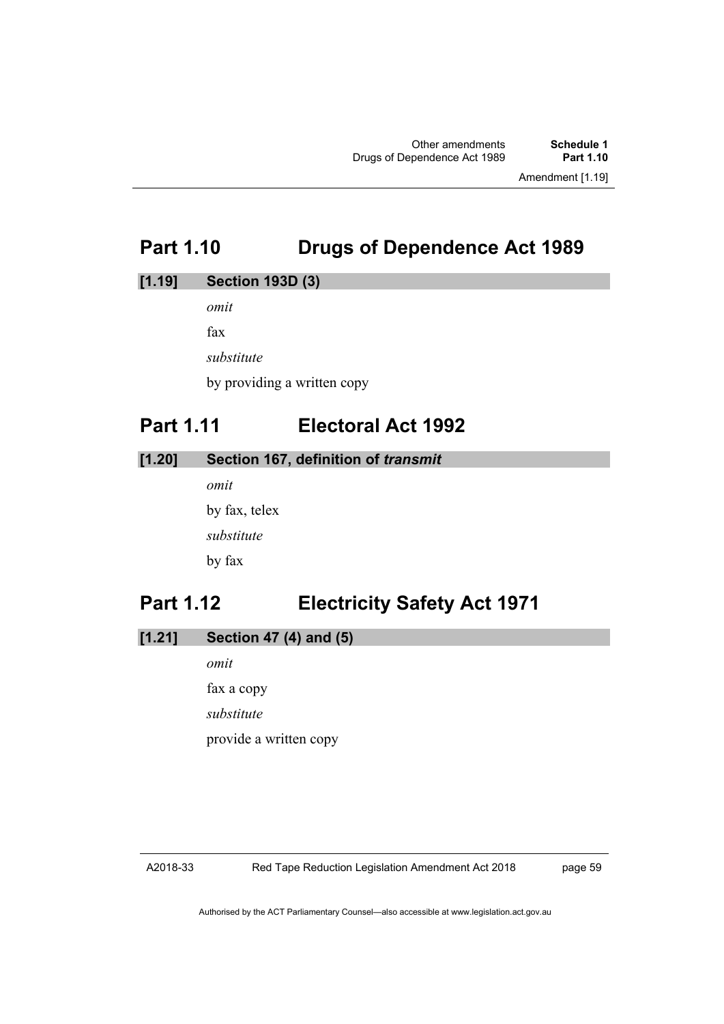# **Part 1.10 Drugs of Dependence Act 1989**

### **[1.19] Section 193D (3)**

*omit*

fax

*substitute*

by providing a written copy

# **Part 1.11 Electoral Act 1992**

**[1.20] Section 167, definition of** *transmit*

*omit* by fax, telex *substitute* by fax

# **Part 1.12 Electricity Safety Act 1971**

| [1.21]<br>Section 47 (4) and (5) |  |  |
|----------------------------------|--|--|
|----------------------------------|--|--|

*omit* fax a copy *substitute* provide a written copy

#### A2018-33

page 59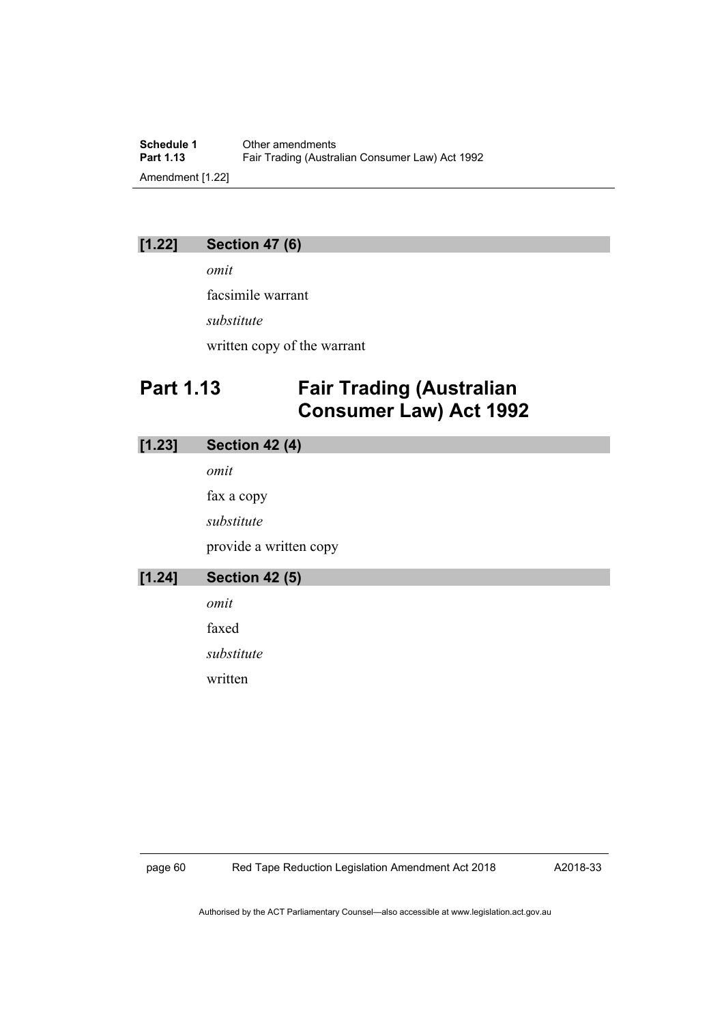**Schedule 1** Other amendments<br>**Part 1.13** Fair Trading (Austra Fair Trading (Australian Consumer Law) Act 1992 Amendment [1.22]

### **[1.22] Section 47 (6)**

*omit*

facsimile warrant

*substitute*

written copy of the warrant

# **Part 1.13 Fair Trading (Australian Consumer Law) Act 1992**

### **[1.23] Section 42 (4)**

*omit*

fax a copy

*substitute*

provide a written copy

| $[1.24]$ | <b>Section 42 (5)</b> |
|----------|-----------------------|
|          | omit                  |
|          | faxed                 |
|          | substitute            |

written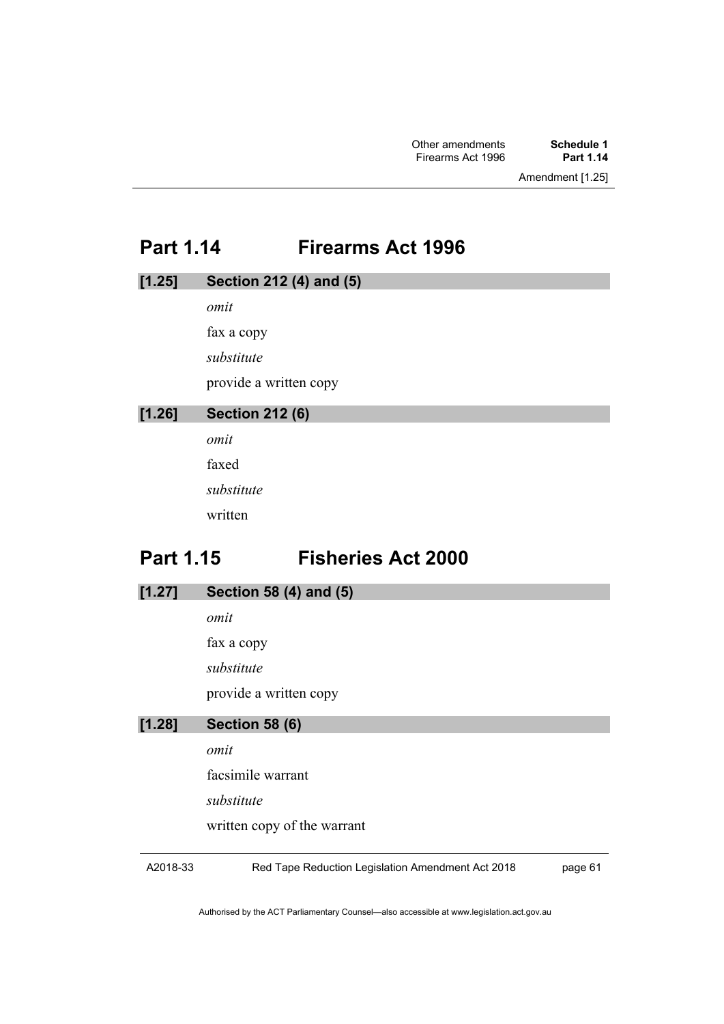# **Part 1.14 Firearms Act 1996**

| [1.25] | Section 212 (4) and (5) |
|--------|-------------------------|
|        | omit                    |
|        | fax a copy              |
|        | substitute              |
|        | provide a written copy  |
| [1.26] | <b>Section 212 (6)</b>  |
|        | $\alpha$ mit            |

*omit* faxed *substitute* written

# **Part 1.15 Fisheries Act 2000**

| [1.27] | Section 58 (4) and (5)      |
|--------|-----------------------------|
|        | omit                        |
|        | fax a copy                  |
|        | substitute                  |
|        | provide a written copy      |
| [1.28] | <b>Section 58 (6)</b>       |
|        |                             |
|        | omit                        |
|        | facsimile warrant           |
|        | substitute                  |
|        | written copy of the warrant |

A2018-33

Red Tape Reduction Legislation Amendment Act 2018

page 61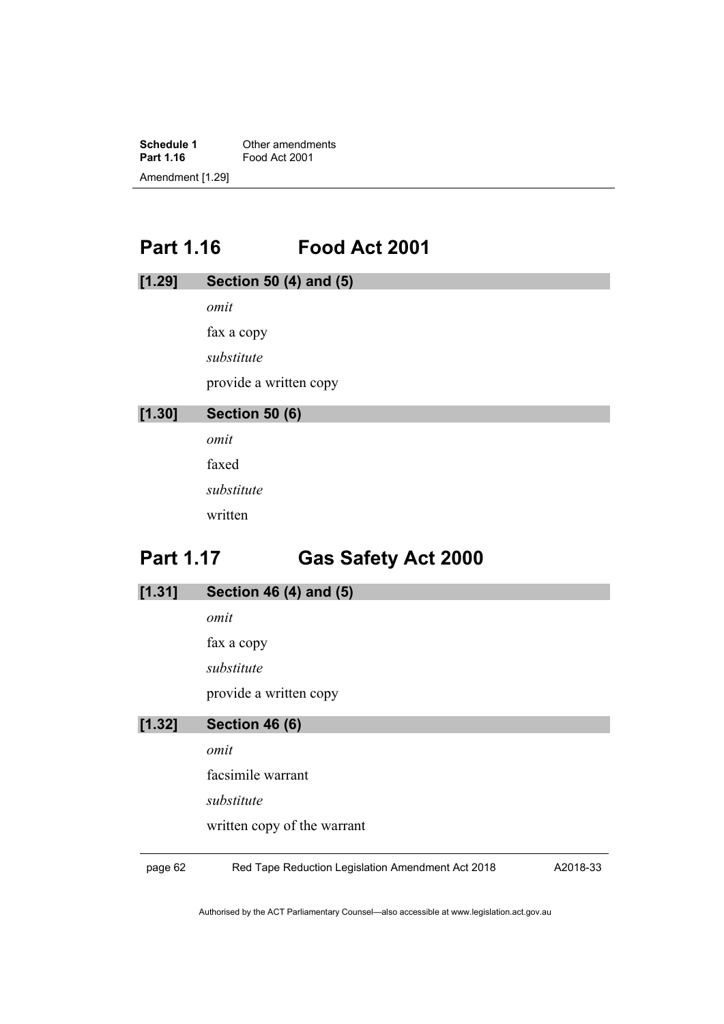**Schedule 1** Other amendments<br> **Part 1.16** Food Act 2001 **Part 1.16** Food Act 2001 Amendment [1.29]

# **Part 1.16 Food Act 2001**

| [1.29]           | Section 50 (4) and (5)     |
|------------------|----------------------------|
|                  | omit                       |
|                  | fax a copy                 |
|                  | substitute                 |
|                  | provide a written copy     |
| [1.30]           | <b>Section 50 (6)</b>      |
|                  | omit                       |
|                  | faxed                      |
|                  | substitute                 |
|                  | written                    |
| <b>Part 1.17</b> | <b>Gas Safety Act 2000</b> |
| [1.31]           | Section 46 (4) and (5)     |

*omit* fax a copy *substitute* provide a written copy

### **[1.32] Section 46 (6)**

*omit*

facsimile warrant

*substitute*

written copy of the warrant

page 62 Red Tape Reduction Legislation Amendment Act 2018

A2018-33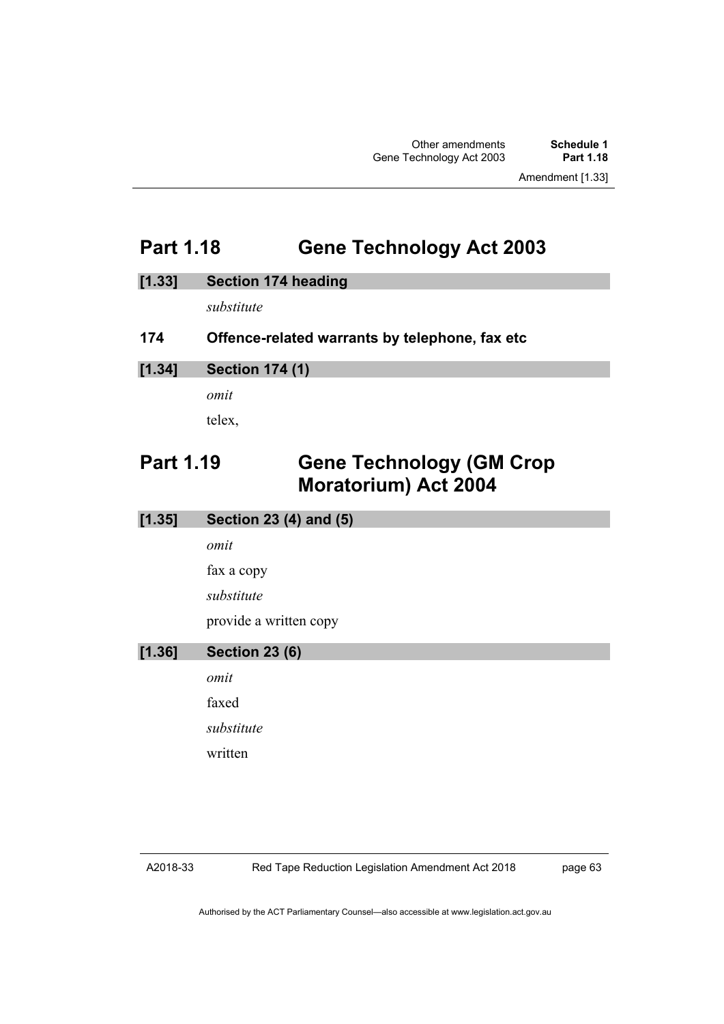## **Part 1.18 Gene Technology Act 2003**

#### **[1.33] Section 174 heading**

*substitute*

#### **174 Offence-related warrants by telephone, fax etc**

#### **[1.34] Section 174 (1)**

*omit*

telex,

## **Part 1.19 Gene Technology (GM Crop Moratorium) Act 2004**

| [1.35] | Section 23 (4) and (5) |
|--------|------------------------|
|        | omit                   |
|        | fax a copy             |
|        | substitute             |
|        | provide a written copy |
| [1.36] | <b>Section 23 (6)</b>  |
|        | omit                   |
|        | faxed                  |
|        | substitute             |
|        | written                |

page 63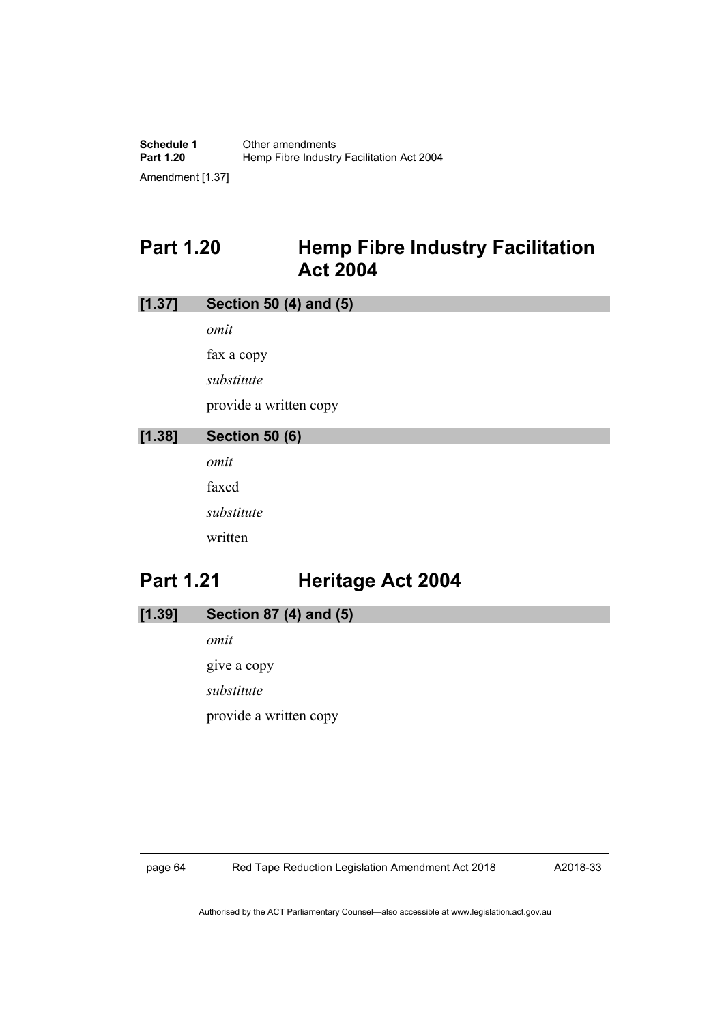## **Part 1.20 Hemp Fibre Industry Facilitation Act 2004**

# **[1.37] Section 50 (4) and (5)** *omit* fax a copy *substitute* provide a written copy **[1.38] Section 50 (6)**

*omit* faxed *substitute* written

# **Part 1.21 Heritage Act 2004**

- **[1.39] Section 87 (4) and (5)**
	- *omit* give a copy *substitute* provide a written copy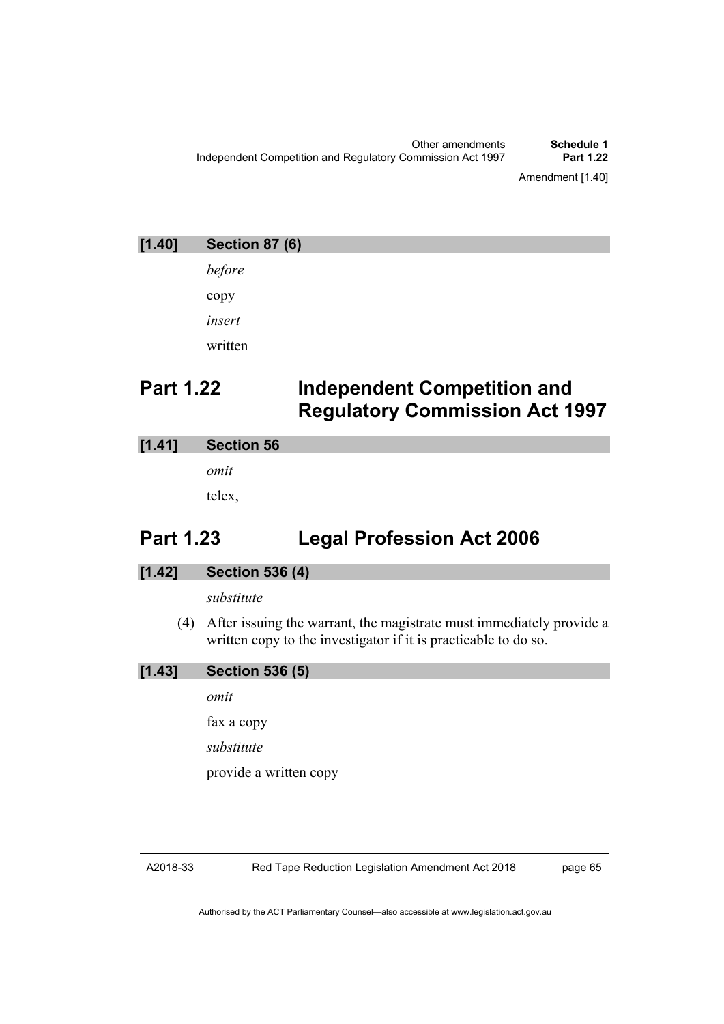# **[1.40] Section 87 (6)** *before* copy *insert* written **Part 1.22 Independent Competition and Regulatory Commission Act 1997**

#### **[1.41] Section 56**

*omit*

telex,

## **Part 1.23 Legal Profession Act 2006**

#### **[1.42] Section 536 (4)**

#### *substitute*

(4) After issuing the warrant, the magistrate must immediately provide a written copy to the investigator if it is practicable to do so.

| [1.43] | <b>Section 536 (5)</b> |  |  |
|--------|------------------------|--|--|
|        | omit                   |  |  |
|        | fax a copy             |  |  |
|        | substitute             |  |  |
|        | provide a written copy |  |  |
|        |                        |  |  |

Red Tape Reduction Legislation Amendment Act 2018

page 65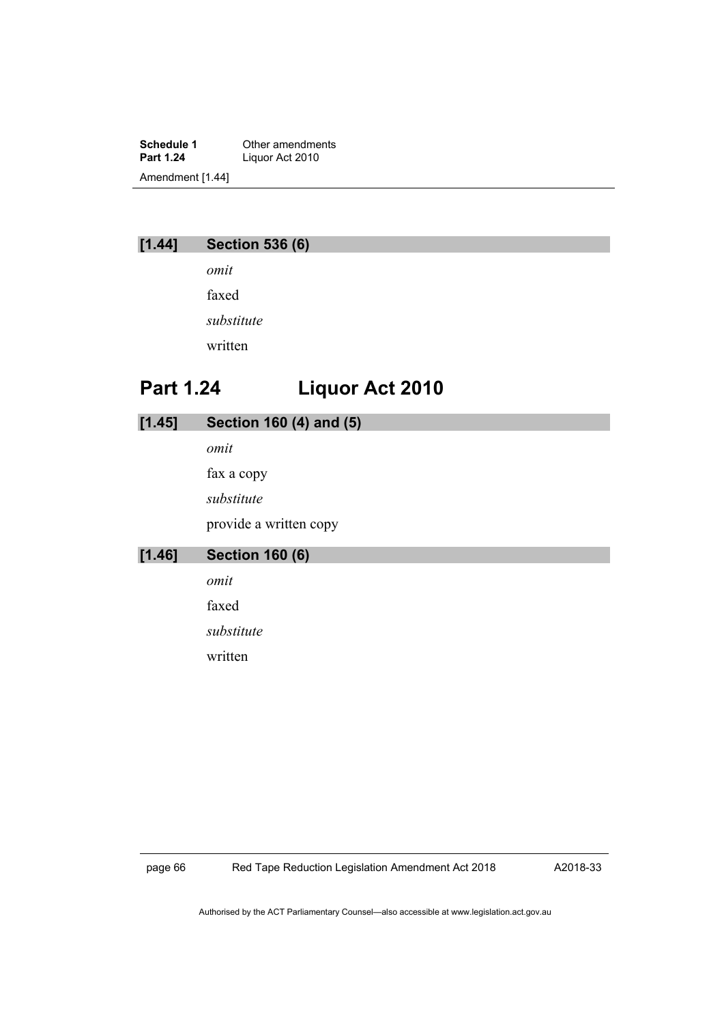**Schedule 1** Other amendments<br> **Part 1.24** Liquor Act 2010 Liquor Act 2010 Amendment [1.44]

#### **[1.44] Section 536 (6)**

*omit* faxed *substitute* written

## **Part 1.24 Liquor Act 2010**

| [1.45] | Section 160 (4) and (5) |
|--------|-------------------------|
|        | omit                    |
|        | fax a copy              |
|        | substitute              |
|        | provide a written copy  |
| [1.46] | <b>Section 160 (6)</b>  |
|        | omit                    |
|        | faxed                   |
|        | substitute              |
|        | written                 |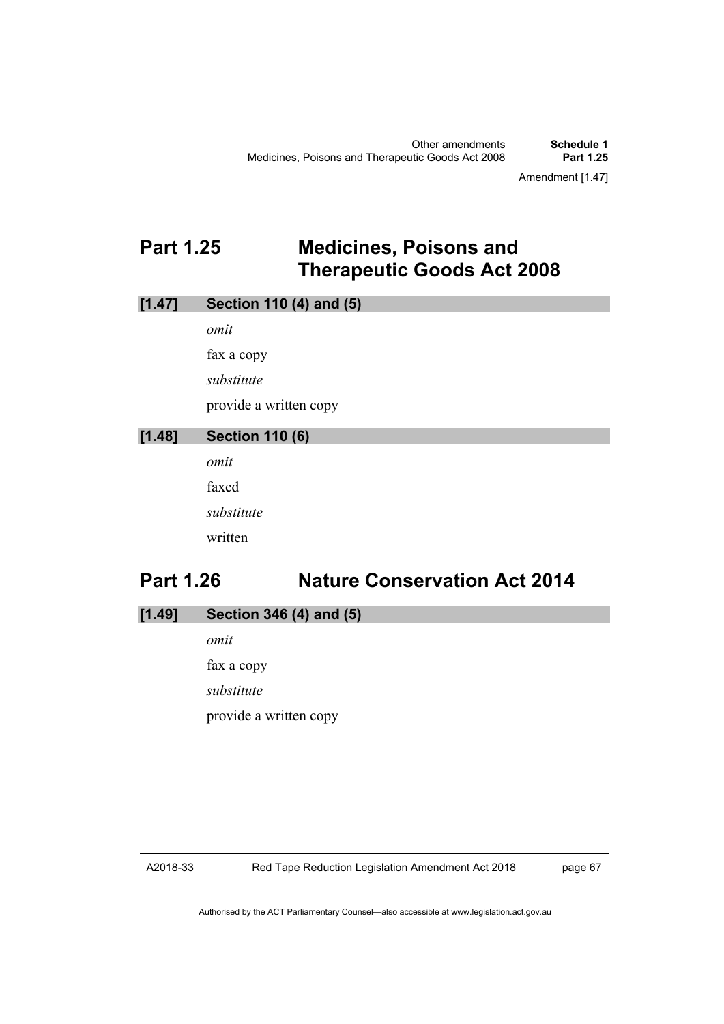## **Part 1.25 Medicines, Poisons and Therapeutic Goods Act 2008**

|        | omit                   |
|--------|------------------------|
|        | fax a copy             |
|        | substitute             |
|        | provide a written copy |
| [1.48] | <b>Section 110 (6)</b> |
|        | omit                   |
|        | faxed                  |
|        | substitute             |
|        | written                |
|        |                        |

## **Part 1.26 Nature Conservation Act 2014**

**[1.49] Section 346 (4) and (5)**

**[1.47] Section 110 (4) and (5)**

*omit* fax a copy *substitute* provide a written copy

#### A2018-33

page 67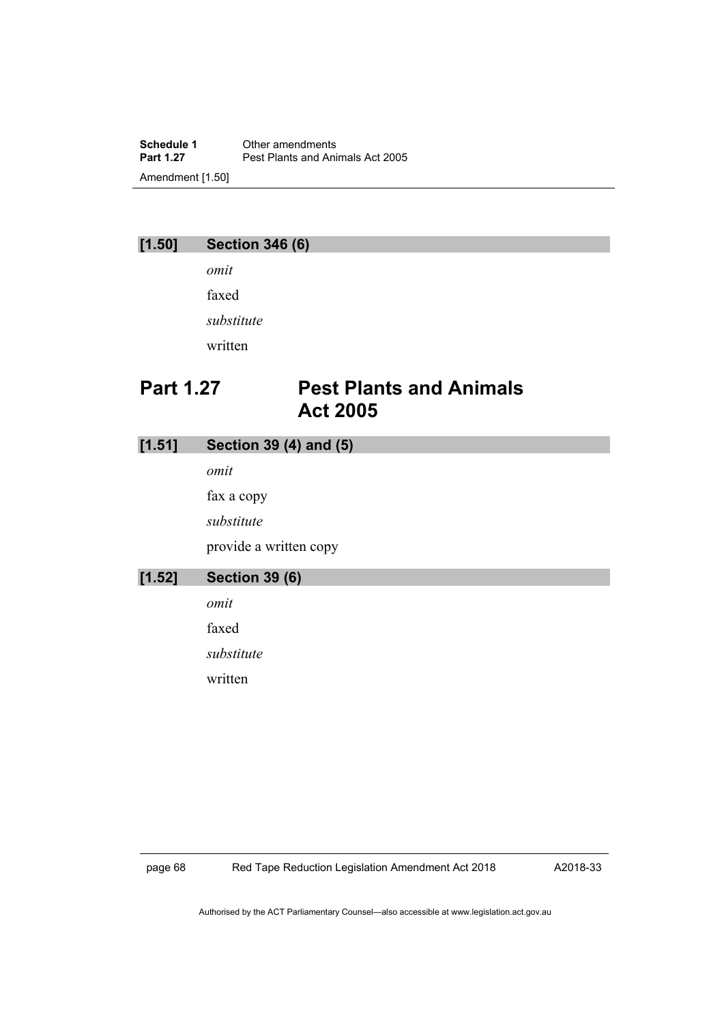**Schedule 1** Other amendments<br> **Part 1.27** Pest Plants and Ani Pest Plants and Animals Act 2005 Amendment [1.50]

#### **[1.50] Section 346 (6)**

*omit* faxed *substitute* written

## **Part 1.27 Pest Plants and Animals Act 2005**

#### **[1.51] Section 39 (4) and (5)**

*omit*

fax a copy

*substitute*

provide a written copy

#### **[1.52] Section 39 (6)** *omit*

faxed

*substitute*

written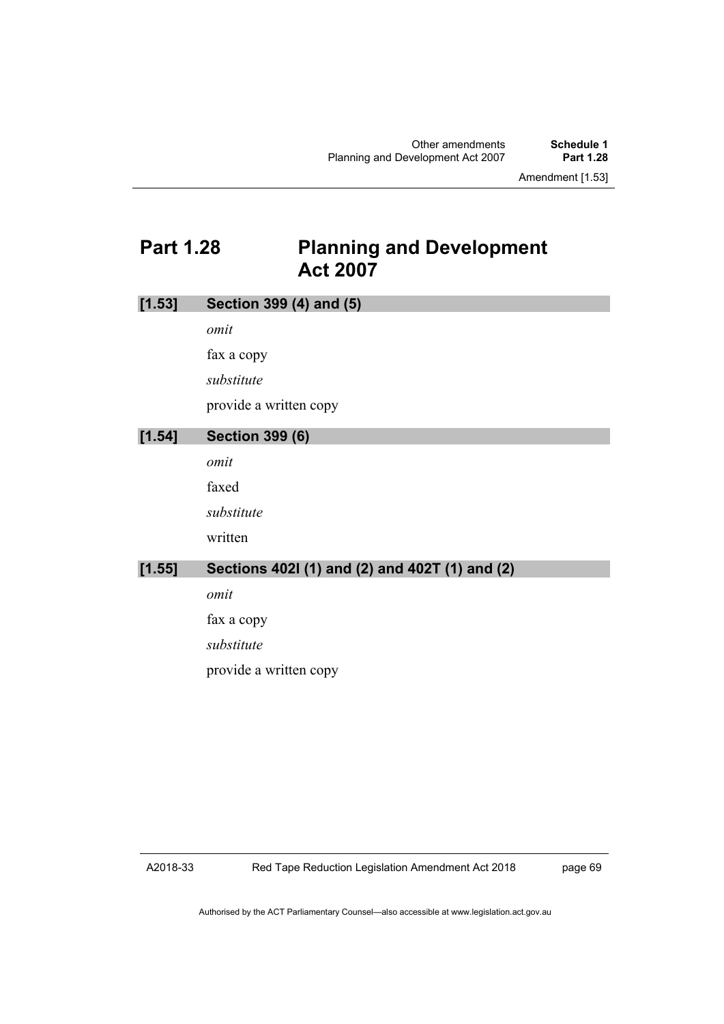## **Part 1.28 Planning and Development Act 2007**

| [1.53] | Section 399 (4) and (5)                        |
|--------|------------------------------------------------|
|        | omit                                           |
|        | fax a copy                                     |
|        | substitute                                     |
|        | provide a written copy                         |
| [1.54] | <b>Section 399 (6)</b>                         |
|        | omit                                           |
|        | faxed                                          |
|        | substitute                                     |
|        | written                                        |
| [1.55] | Sections 402l (1) and (2) and 402T (1) and (2) |
|        | omit                                           |
|        | fax a copy                                     |
|        | substitute                                     |
|        | provide a written copy                         |
|        |                                                |

A2018-33

page 69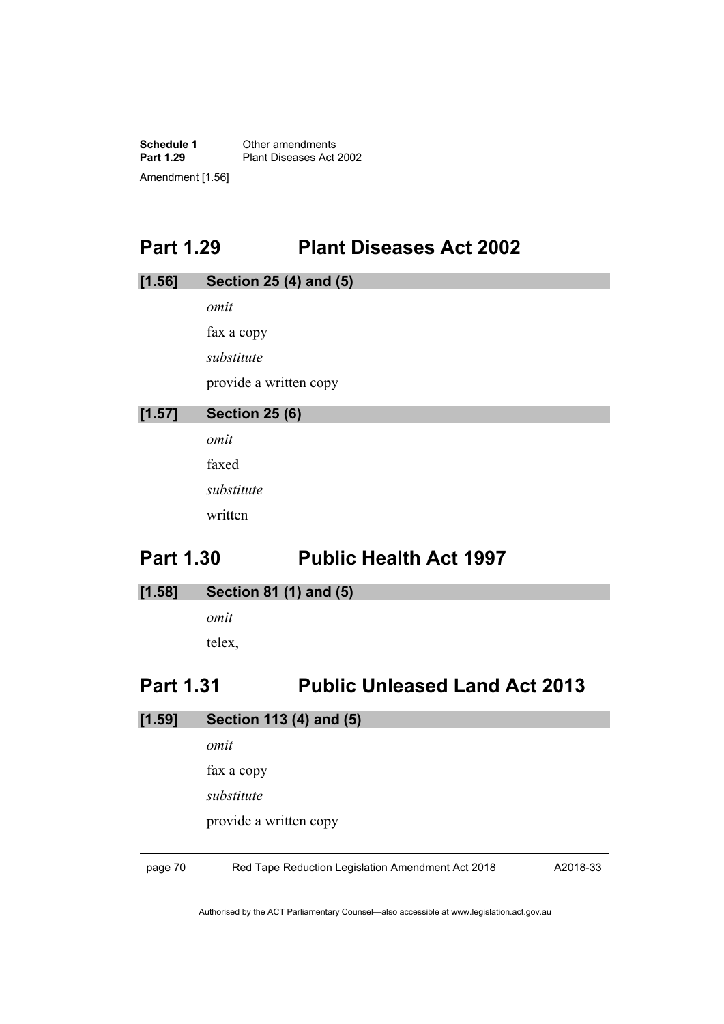**Schedule 1** Other amendments<br> **Part 1.29** Plant Diseases Act Plant Diseases Act 2002 Amendment [1.56]

## **Part 1.29 Plant Diseases Act 2002**

| [1.56]                | Section 25 (4) and (5) |  |  |
|-----------------------|------------------------|--|--|
|                       | omit                   |  |  |
|                       | fax a copy             |  |  |
|                       | substitute             |  |  |
|                       | provide a written copy |  |  |
| [1.57]                | <b>Section 25 (6)</b>  |  |  |
|                       | omit                   |  |  |
|                       | faxed                  |  |  |
|                       | substitute             |  |  |
|                       | written                |  |  |
| D <sub>2rt</sub> 1 20 | Dublic Hoolth Act 1007 |  |  |

#### **Part 1.30 Public Health Act 1997**

**[1.58] Section 81 (1) and (5)**

*omit* telex,

#### **Part 1.31 Public Unleased Land Act 2013**

- **[1.59] Section 113 (4) and (5)**
	- *omit*

fax a copy

*substitute*

provide a written copy

page 70 Red Tape Reduction Legislation Amendment Act 2018

A2018-33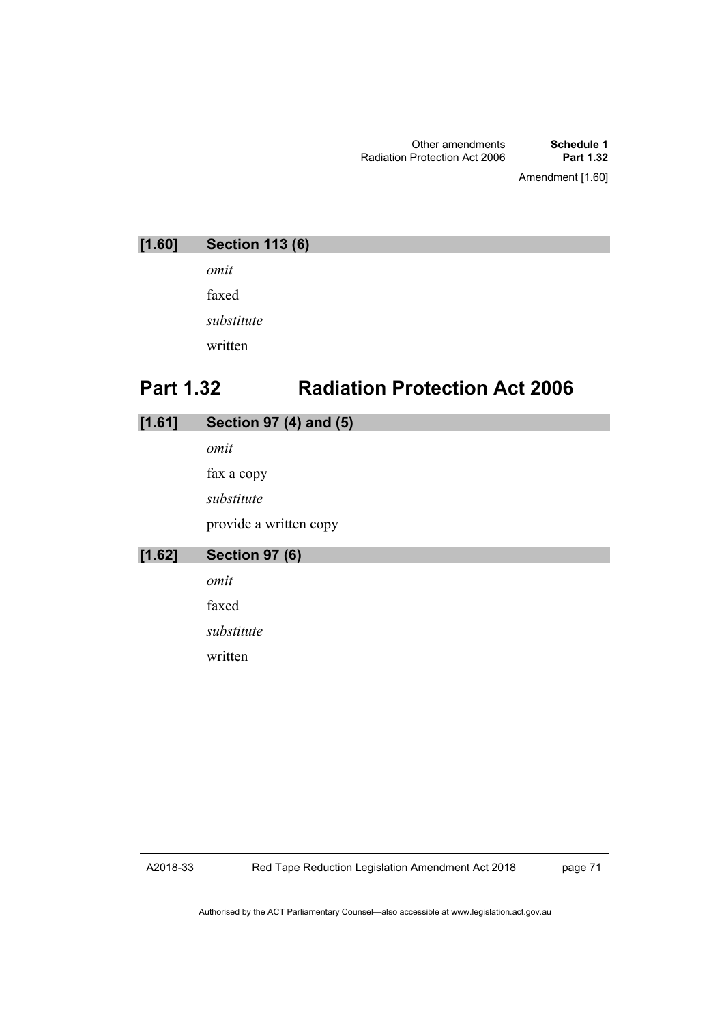Amendment [1.60]

| [1.60] | <b>Section 113 (6)</b> |  |
|--------|------------------------|--|
|        | omit                   |  |

faxed *substitute* written

## **Part 1.32 Radiation Protection Act 2006**

#### **[1.61] Section 97 (4) and (5)**

*omit* fax a copy *substitute* provide a written copy

**[1.62] Section 97 (6)**

*omit*

faxed

*substitute*

written

A2018-33

page 71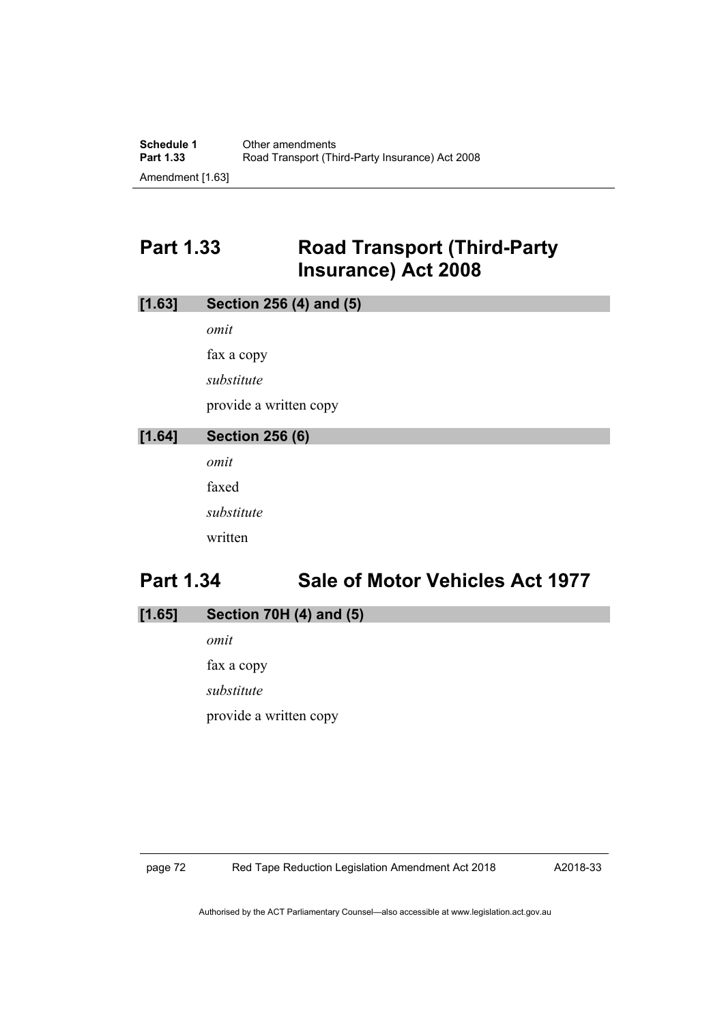## **Part 1.33 Road Transport (Third-Party Insurance) Act 2008**

| [1.63] | Section 256 (4) and (5) |  |  |
|--------|-------------------------|--|--|
|        | omit                    |  |  |
|        | fax a copy              |  |  |
|        | substitute              |  |  |
|        | provide a written copy  |  |  |
| [1.64] | <b>Section 256 (6)</b>  |  |  |
|        | omit                    |  |  |
|        | faxed                   |  |  |
|        | substitute              |  |  |
|        | written                 |  |  |
|        | .<br>$\blacksquare$     |  |  |

## **Part 1.34 Sale of Motor Vehicles Act 1977**

**[1.65] Section 70H (4) and (5)**

*omit* fax a copy *substitute* provide a written copy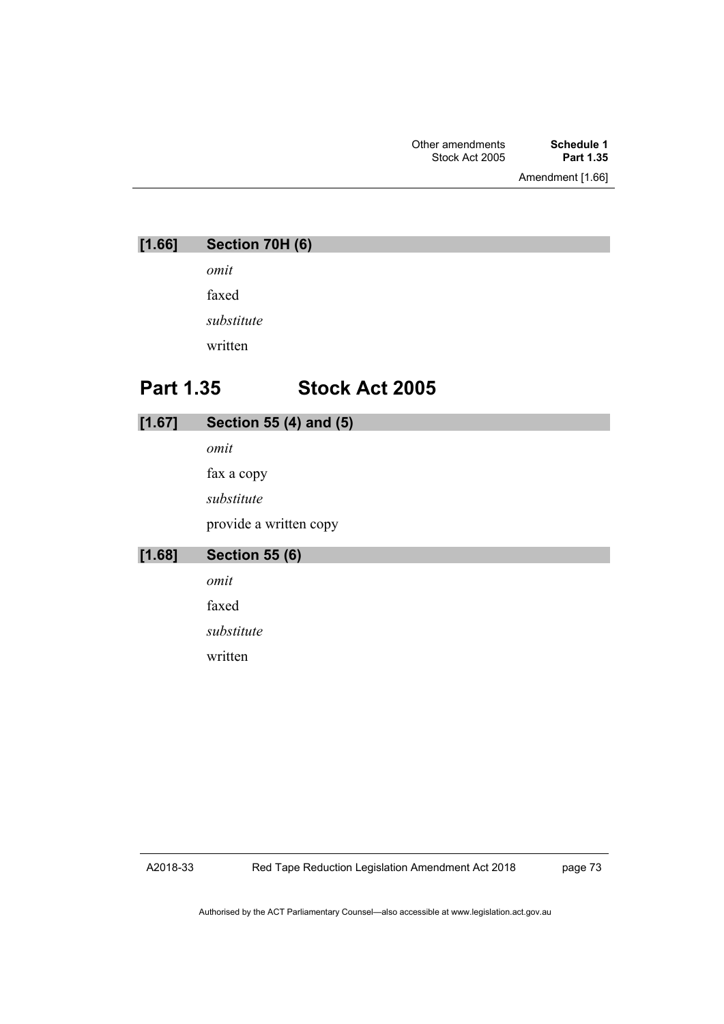Amendment [1.66]

| [1.66]           | Section 70H (6) |                        |
|------------------|-----------------|------------------------|
|                  | omit            |                        |
|                  | faxed           |                        |
|                  | substitute      |                        |
|                  | written         |                        |
| <b>Part 1.35</b> |                 | <b>Stock Act 2005</b>  |
| [1.67]           |                 | Section 55 (4) and (5) |
|                  | omit            |                        |

fax a copy *substitute* provide a written copy

**[1.68] Section 55 (6)**

*omit*

faxed

*substitute*

written

A2018-33

page 73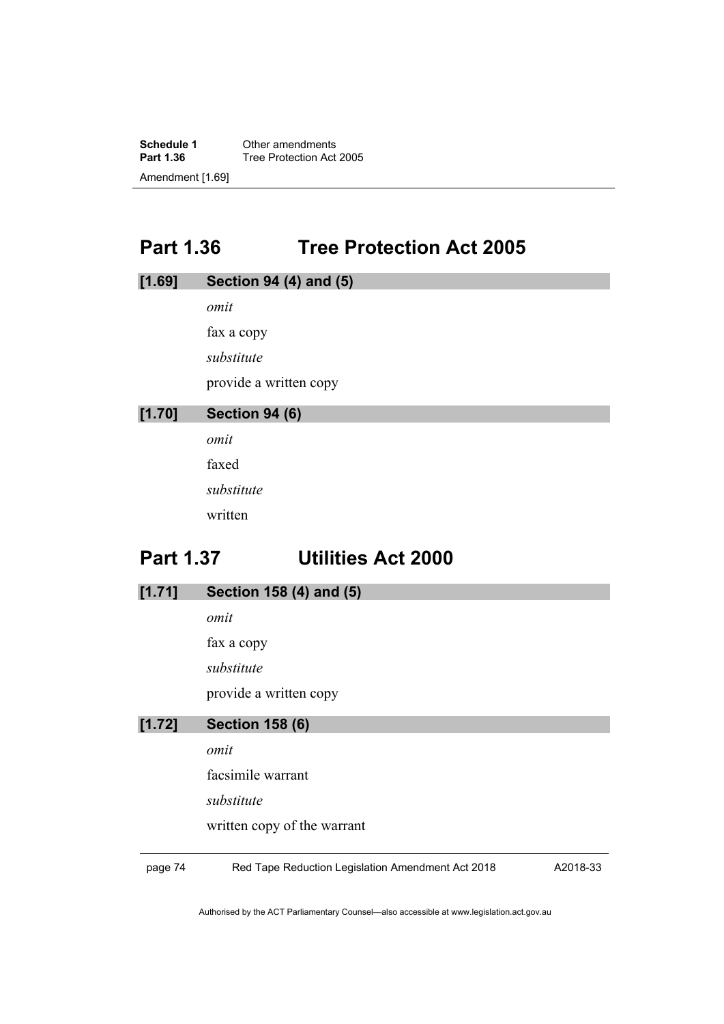**Schedule 1** Other amendments<br>**Part 1.36** Tree Protection Act **Tree Protection Act 2005** Amendment [1.69]

## **Part 1.36 Tree Protection Act 2005**

| [1.69]           | Section 94 (4) and (5)    |
|------------------|---------------------------|
|                  | omit                      |
|                  | fax a copy                |
|                  | substitute                |
|                  | provide a written copy    |
| [1.70]           | <b>Section 94 (6)</b>     |
|                  | omit                      |
|                  | faxed                     |
|                  | substitute                |
|                  | written                   |
| <b>Part 1.37</b> | <b>Utilities Act 2000</b> |

**[1.71] Section 158 (4) and (5)**

*omit*

fax a copy

*substitute*

provide a written copy

#### **[1.72] Section 158 (6)**

*omit*

facsimile warrant

*substitute*

written copy of the warrant

page 74 Red Tape Reduction Legislation Amendment Act 2018

A2018-33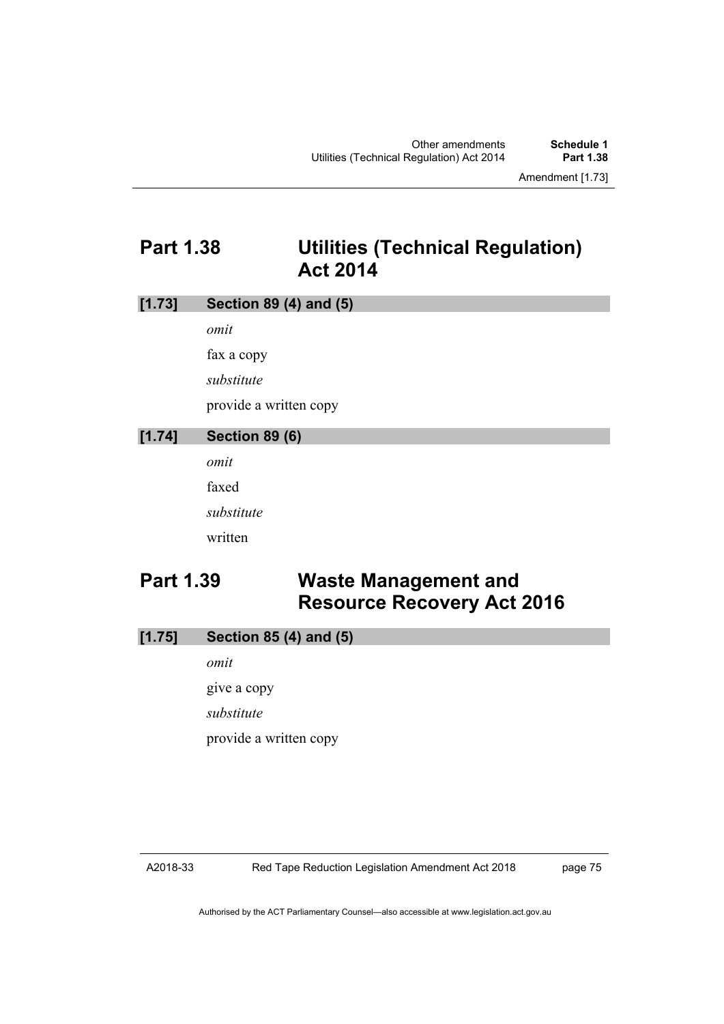## **Part 1.38 Utilities (Technical Regulation) Act 2014**

| [1.73]                   | Section 89 (4) and (5) |                                                                  |  |  |
|--------------------------|------------------------|------------------------------------------------------------------|--|--|
|                          | omit                   |                                                                  |  |  |
| fax a copy<br>substitute |                        |                                                                  |  |  |
|                          |                        |                                                                  |  |  |
|                          |                        | provide a written copy                                           |  |  |
| [1.74]                   | <b>Section 89 (6)</b>  |                                                                  |  |  |
|                          | omit                   |                                                                  |  |  |
|                          | faxed                  |                                                                  |  |  |
|                          | substitute             |                                                                  |  |  |
|                          | written                |                                                                  |  |  |
| <b>Part 1.39</b>         |                        | <b>Waste Management and</b><br><b>Resource Recovery Act 2016</b> |  |  |
| [1.75]                   | Section 85 (4) and (5) |                                                                  |  |  |
|                          | omit                   |                                                                  |  |  |

give a copy *substitute* provide a written copy

#### A2018-33

page 75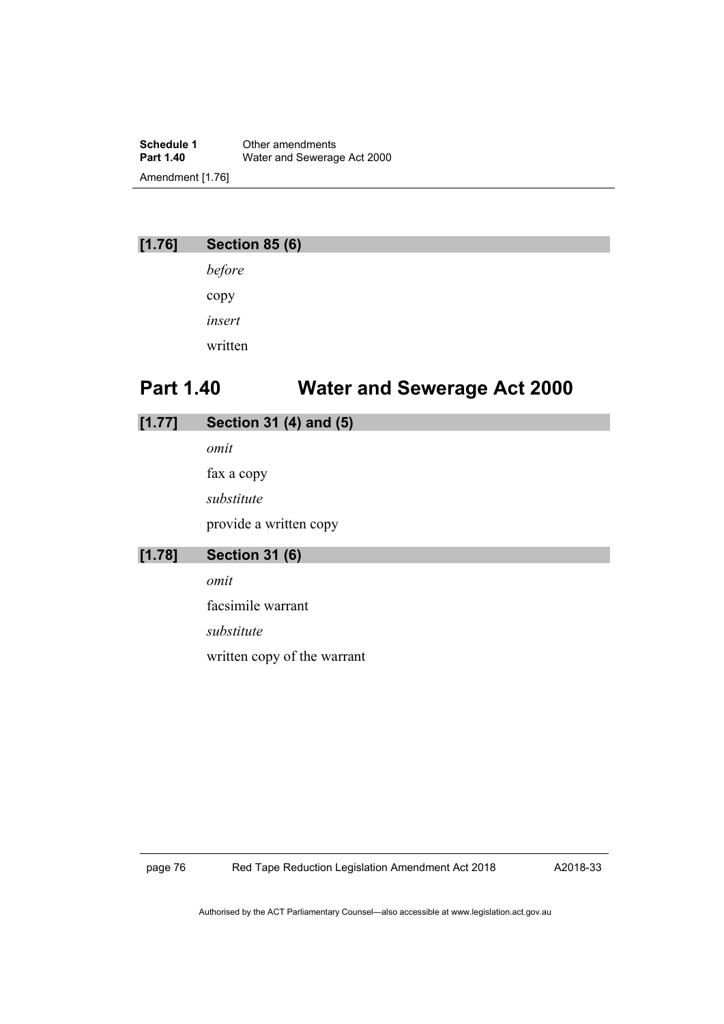**Schedule 1** Other amendments<br> **Part 1.40** Water and Sewerad **Water and Sewerage Act 2000** Amendment [1.76]

#### **[1.76] Section 85 (6)**

*before* copy *insert* written

## **Part 1.40 Water and Sewerage Act 2000**

| [1.77] | Section 31 (4) and (5) |
|--------|------------------------|
|        | omit                   |
|        | fax a copy             |
|        | substitute             |
|        | provide a written copy |
| [1.78] | <b>Section 31 (6)</b>  |
|        | omit                   |
|        | facsimile warrant      |

*substitute* written copy of the warrant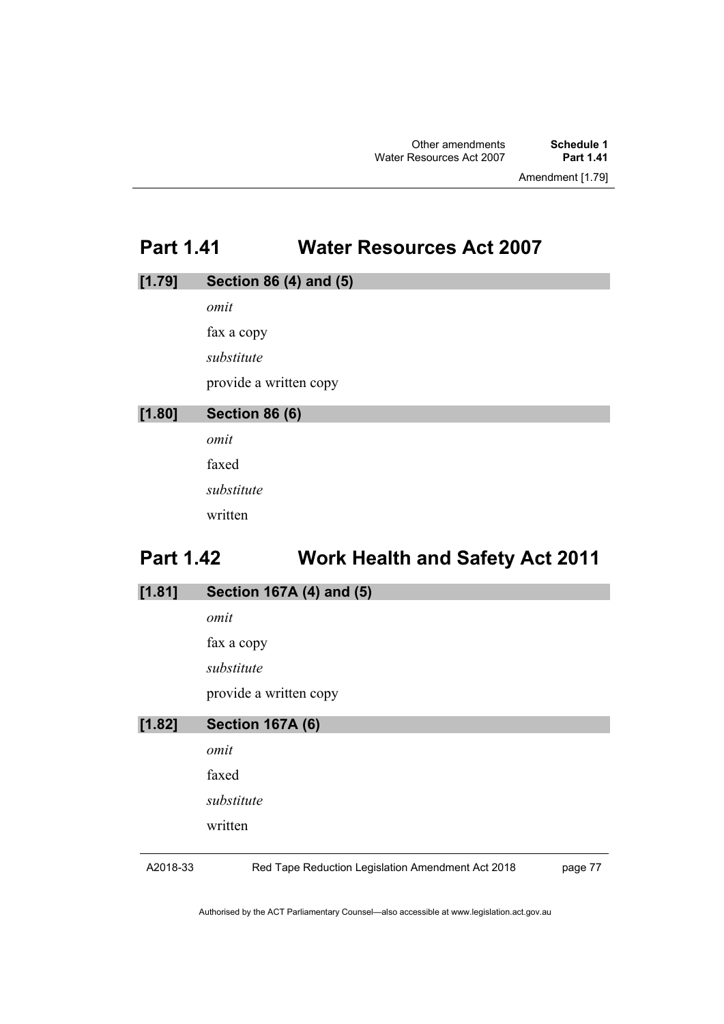Amendment [1.79]

## **Part 1.41 Water Resources Act 2007**

| [1.79] | Section 86 (4) and (5) |
|--------|------------------------|
|        | omit                   |
|        | fax a copy             |
|        | substitute             |
|        | provide a written copy |
| [1.80] | <b>Section 86 (6)</b>  |
|        | omit                   |
|        | $\sim$ $\sim$          |

faxed *substitute* written

# **Part 1.42 Work Health and Safety Act 2011**

| [1.81] | Section 167A (4) and (5) |
|--------|--------------------------|
|        | omit                     |
|        | fax a copy               |
|        | substitute               |
|        | provide a written copy   |
| [1.82] | <b>Section 167A (6)</b>  |
|        | omit                     |
|        | faxed                    |
|        | substitute               |
|        | written                  |
|        |                          |

A2018-33

Red Tape Reduction Legislation Amendment Act 2018

page 77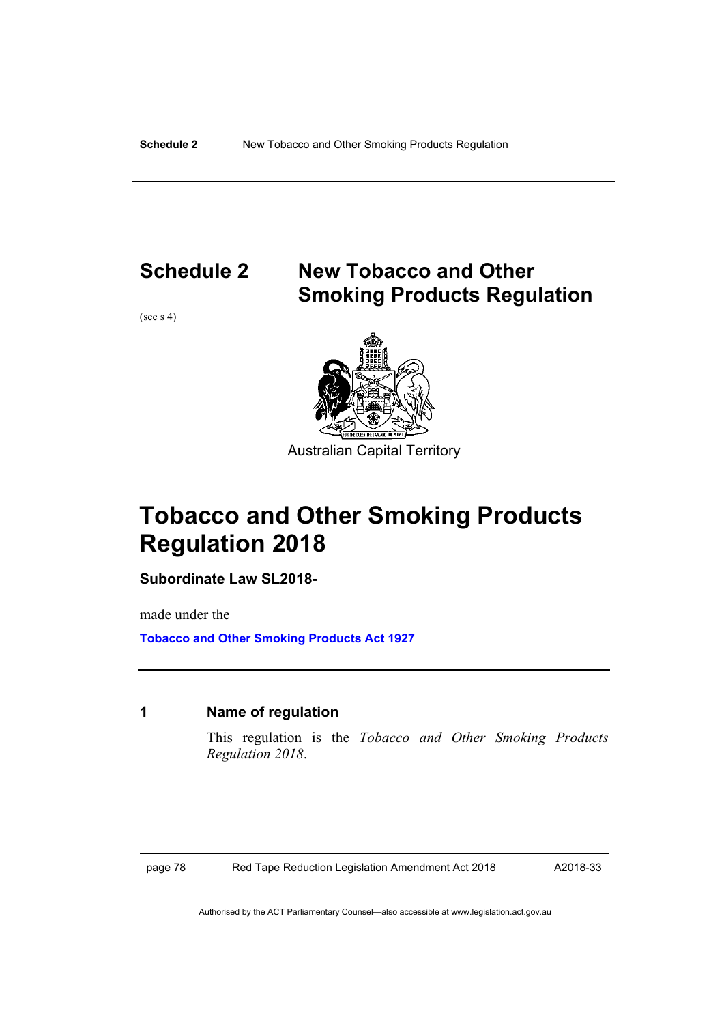## **Schedule 2 New Tobacco and Other Smoking Products Regulation**

(see s 4)



Australian Capital Territory

# **Tobacco and Other Smoking Products Regulation 2018**

**Subordinate Law SL2018-**

made under the

**[Tobacco and Other Smoking Products Act 1927](https://www.legislation.act.gov.au/a/1927-14/)**

#### **1 Name of regulation**

This regulation is the *Tobacco and Other Smoking Products Regulation 2018*.

page 78 Red Tape Reduction Legislation Amendment Act 2018

A2018-33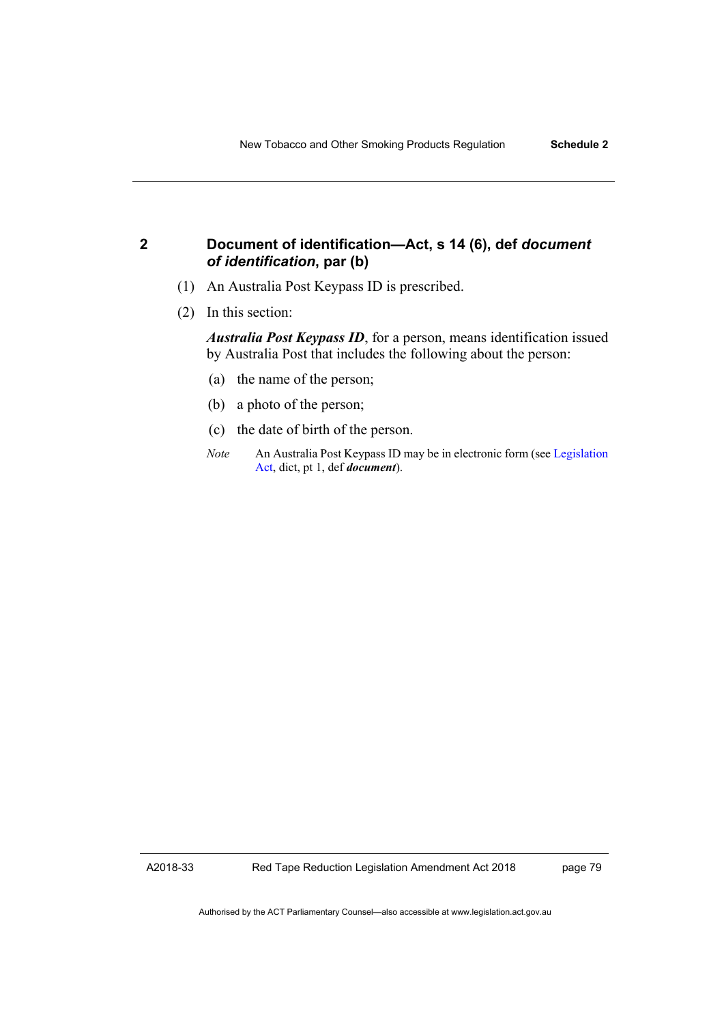#### **2 Document of identification—Act, s 14 (6), def** *document of identification***, par (b)**

- (1) An Australia Post Keypass ID is prescribed.
- (2) In this section:

*Australia Post Keypass ID*, for a person, means identification issued by Australia Post that includes the following about the person:

- (a) the name of the person;
- (b) a photo of the person;
- (c) the date of birth of the person.
- *Note* An Australia Post Keypass ID may be in electronic form (se[e Legislation](http://www.legislation.act.gov.au/a/2001-14)  [Act,](http://www.legislation.act.gov.au/a/2001-14) dict, pt 1, def *document*).